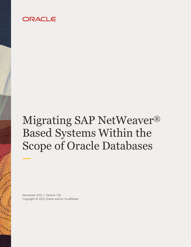# ORACLE

# Migrating SAP NetWeaver® Based Systems Within the Scope of Oracle Databases

November 2021 | Version 1.10 Copyright © 2021, Oracle and/or its affiliates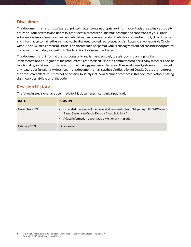### **Disclaimer**

This document in any form, software or printed matter, contains proprietary information that is the exclusive property of Oracle. Your access to and use of this confidential material is subject to the terms and conditions of your Oracle software license and service agreement, which has been executed and with which you agree to comply. This document and information contained herein may not be disclosed, copied, reproduced or distributed to anyone outside Oracle without prior written consent of Oracle. This document is not part of your license agreement nor can it be incorporated into any contractual agreement with Oracle or its subsidiaries or affiliates.

This document is for informational purposes only and is intended solely to assist you in planning for the implementation and upgrade of the product features described. It is not a commitment to deliver any material, code, or functionality, and should not be relied upon in making purchasing decisions. The development, release, and timing of any features or functionality described in this document remains at the sole discretion of Oracle. Due to the nature of the product architecture, it may not be possible to safely include all features described in this document without risking significant destabilization of the code.

## **Revision History**

The following revisions have been made to this document since its initial publication:

| <b>DATE</b>   | <b>REVISION</b>                                                                                                                                                                              |
|---------------|----------------------------------------------------------------------------------------------------------------------------------------------------------------------------------------------|
| November 2021 | • Expanded the scope of the paper and renamed it from "Migrating SAP NetWeaver<br>Based Systems to Oracle Exadata Cloud Solutions"<br>• Added information about Oracle Multitenant migration |
| February 2021 | Initial version                                                                                                                                                                              |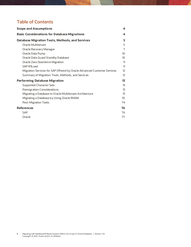## **Table of Contents**

| <b>Scope and Assumptions</b>                                            | 4                 |
|-------------------------------------------------------------------------|-------------------|
| <b>Basic Considerations for Database Migrations</b>                     | 4                 |
| <b>Database Migration Tools, Methods, and Services</b>                  |                   |
| Oracle Multitenant                                                      | 5                 |
| Oracle Recovery Manager                                                 | 7                 |
| Oracle Data Pump                                                        | 10                |
| Oracle Data Guard Standby Database                                      | 10 <sup>10</sup>  |
| Oracle Zero Downtime Migration                                          | 11                |
| SAP R3Load                                                              | 11                |
| Migration Services for SAP Offered by Oracle Advanced Customer Services | $12 \overline{ }$ |
| Summary of Migration Tools, Methods, and Services                       | $12 \overline{ }$ |
| <b>Performing Database Migration</b>                                    | 13                |
| <b>Supported Character Sets</b>                                         | 13                |
| Premigration Considerations                                             | 13                |
| Migrating a Database to Oracle Multitenant Architecture                 | 13                |
| Migrating a Database by Using Oracle RMAN                               | 35                |
| Post-Migration Tasks                                                    | 74                |
| <b>References</b>                                                       | 76                |
| <b>SAP</b>                                                              | 76                |
| Oracle                                                                  | 77                |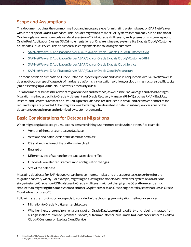## <span id="page-3-0"></span>**Scope and Assumptions**

This documentoutlines the common methods and necessary steps for migrating systems based on SAP NetWeaver within the scope of Oracle Databases. This includes migrations of mostSAP systems that currently run on traditional Oracle single-instance non-container databases (non-CDB) to Oracle Multitenant, andsystems on customer-specific Oracle Real Application Clusters (RAC)implementations or Oracle engineered systems like Exadata Cloud@Customer or Exadata Cloud Service.This document also complements the following documents:

- [SAP NetWeaver® Application Server ABAP/Java on Oracle Exadata Cloud@Customer X9M](https://docs.oracle.com/en-us/iaas/Content/Resources/Assets/whitepapers/sap_netweaver_app_server_abap_java_on_exadata_cloud_at_customer_x9m.pdf)
- [SAP NetWeaver® Application Server ABAP/Java on Oracle Exadata Cloud@Customer X8M](https://docs.oracle.com/en-us/iaas/Content/Resources/Assets/whitepapers/sap_netweaver_app_server_abap_java_on_exadata_cloud_at_customer.pdf)
- [SAP NetWeaver® Application Server ABAP/Java on Oracle Exadata Cloud Service](https://docs.oracle.com/en-us/iaas/Content/Resources/Assets/whitepapers/exacs_x8m_sap_netweaver_app_server_abap_java_on_exadata_cloud_service.pdf)
- [SAP NetWeaver® Application Server ABAP/Java on Oracle Cloud Infrastructure](https://docs.oracle.com/en-us/iaas/Content/Resources/Assets/whitepapers/sap-netweaver-application-server-abap-java-on-oci.pdf)

The focus of this document is on Oracle Database–specific questions and tasks in conjunction with SAP NetWeaver. It does not focus on specific aspects of hardwareplatforms, virtualization solutions,or cloud infrastructure-specific topics (such as setting up a virtual cloud network or security rules).

This document discusses the relevant migration tools and methods, as well as their advantages and disadvantages. Migration methods specific to Oracle Multitenant and Oracle Recovery Manager (RMAN), such as RMAN Back Up, Restore, and Recover Database and RMAN Duplicate Database, are discussed in detail, and examples of most of the required steps are provided.Other migration methods might be described in detail in subsequent versions of this document, depending on and prioritized by customer demands.

## <span id="page-3-1"></span>**Basic Considerations for Database Migrations**

When migrating databases, you must consider several things, some more obvious than others. For example:

- Vendor of the source and target database
- Versions and patch levels of the database software
- OS and architecture of the platforms involved
- Encryption
- Different types of storage for the database relevant files
- Oracle RAC–related requirements and configuration changes
- Size of the database

Migrating databases for SAP NetWeaver can be even more complex, and the scope of tasks to perform for the migration can vary widely. For example, migrating an existing traditional SAP NetWeaver system on a traditional single-instance Oracle non-CDB database to Oracle Multitenant without changing the OS platform can be much simpler than migrating the same system to another OS platform or to an Oracle engineered system that runs in Oracle Cloud Infrastructure(OCI).

Following are the most important aspects to consider before choosing your migration methods or services:

- Migration to Oracle Multitenant architecture
- Whether the source environment consists of an Oracle Database on Linux x86\_64 and is being migratedfrom a single instance, from on-premises Exadata, or from a customer-built Oracle RAC database cluster to Exadata Cloud@Customer or Exadata Cloud Service

**<sup>4</sup>** Migrating SAP NetWeaver® Based Systems Within the Scope of Oracle Databases | Version 1.10 Copyright © 2021, Oracle and/or its affiliates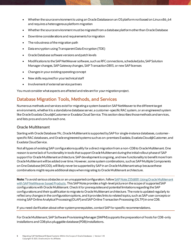- Whether the source environment is using an Oracle Database on an OS platform *not*based on Linux x86\_64 and requires a heterogenous platform migration
- Whether the source environment mustbe migrated from a database platform other than Oracle Database
- Downtime considerations and requirements for migration
- The robustness of the migration path
- Data encryption using Transparent Data Encryption (TDE)
- Oracle Database software versions and patch levels
- Modifications to the SAP NetWeaver software, such as RFC connections, scheduled jobs, SAP Solution Manager changes, SAP Gateway changes, SAP Transaction DB13, or new SAP licenses
- Changes in your existing operating concept
- New skills required for your technical staff
- Involvement of external service partners

You must consider what aspects are affected and relevant for *your* migration project.

## <span id="page-4-0"></span>**Database Migration Tools, Methods, and Services**

Numerous methods and services exist for migrating a system based on SAP NetWeaver to the different target environments, whether it is a standalone database server, a customer-specific RAC system, or an engineered system like Oracle Exadata Cloud@Customeror Exadata Cloud Service. This section describes those methods and services, and lists pros and cons for each one.

#### <span id="page-4-1"></span>**Oracle Multitenant**

Starting with Oracle Database 19c, Oracle Multitenant is supported by SAP for single-instance databases, customerspecific RAC databases, and Oracle engineered systems such as on-premises Exadata, Exadata Cloud@Customer, and Exadata Cloud Service.

Notall types of existing SAP configurations qualify for a direct migration from a non-CDB to Oracle Multitenant. One reason is some lack of functionality in tools that support Oracle Multitenant during the initial rollout phase of SAP support for Oracle Multitenant architecture.SAP development is ongoing, and new functionality to benefit more from Oracle Multitenant will be added over time. However, some system combinations, such as SAP Multiple Components on One Database (MCOD),will likely never be supportedby SAP in an Oracle Multitenant setup because these combinations might require additional steps when migrating to Oracle Multitenant architecture.

**Note**: To avoid serious obstacles or an unsupported configuration,follo[w SAP Note 2336881: Using Oracle Multitenant](https://launchpad.support.sap.com/#/notes/2336881)  [with SAP NetWeaver based Products](https://launchpad.support.sap.com/#/notes/2336881).This SAP Note provides a high-level picture on the scope of supported SAP configurations with Oracle Multitenant. Check it for prerequisites and potential limitations regarding the SAP configurations and their qualification to migrate to Oracle Multitenant architecture. The note is updated regularly to reflect any changes in the configuration options, and itprovides links to related topics, such as SAP user concepts or mixing SAP Online Analytical Processing (OLAP) and SAP Online Transaction Processing (OLTP)in one CDB.

#### If you need clarification about other system prerequisites, contact SAP for specific recommendations.

For Oracle Multitenant, SAP Software Provisioning Manager (SWPM) supports the preparation of hosts for CDB-only installations and CDB plus pluggable database (PDB) installations.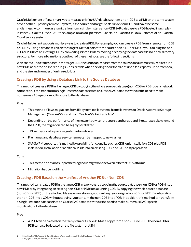Oracle Multitenant offers a smart way to migrate existing SAP databases from a non-CDB to a PDB on the same system or to another—possibly remote—system, if the source and target hosts run on same OS and have the same endianness.A common case ismigration from a single-instance non-CDB SAP database to a PDB hosted in a singleinstance CDBor to Oracle RAC, for example, on an on-premises Exadata, an Exadata Cloud@Customer,or an Exadata Cloud Service system.

Oracle Multitenant supports multiple ways to create a PDB. For example, you can create a PDB from a remote non-CDB or PDB by using a database link on the target CDB that points to the source non-CDB or PDB. Or you can plugthe non-CDB or PDB into an existing CDB by converting it into a PDB by moving or copying the database files to a new directory structure. For more information about both of these methods, see the following sections.

With shared undo tablespaces in the target CDB, the undo tablespaces from the source are automatically replaced in a new PDB, as are the online redo logs.Consider this when deciding about the size of undo tablespaces, undo retention, and the size and number of online redo logs.

#### **Creating a PDB by Using a Database Link to the Source Database**

This method creates a PDB in the target CDB by copying the whole source database (non-CDB or PDB) over a network connection. It can transform a single-instance database into an OracleRAC database without the need to make numerous RAC-specific modifications to the database.

#### **Pros**

- This method allows migrations from file system to file system, from file system to Oracle Automatic Storage Management (Oracle ASM), and from Oracle ASM to Oracle ASM.
- Depending on the performance of the network betweenthe source and target, and the storage subsystem and the CPUs, the migration can be highly parallelized.
- TDE-encryption keys are migrated automatically.
- File names and database service names can be mapped to new names.
- SAP SWPM supports this method by providing functionality such as CDB-only installation, CDBplus PDB installation, installation of additional PDBs into an existing CDB, and SAP host preparation.

#### **Cons**

- This method does not support heterogenous migrations between different OS platforms.
- Migration happens offline.

#### **Creating a PDB Based on the Manifest of Another PDB or Non-CDB**

This method can create a PDB in the target CDB in two ways: by copying the source database (non-CDB or PDB) into a new PDB or by integrating an existing non-CDB or PDB into a running CDB. By copying the whole source database (non-CDB or PDB) on the attached file system or storage, you can keep your original non-CDB or PDB. By integrating the non-CDB into a CDB without copying, you can turn the non-CDB into a PDB. In addition,this method can transform a single-instance database into an Oracle RAC database without the need to make numerous RAC-specific modifications to the database.

#### **Pros**

• A PDB can be created on the file system or Oracle ASM as a copy from a non-CDB or PDB. The non-CDB or PDB can also be located on the file system or ASM.

**<sup>6</sup>** Migrating SAP NetWeaver® Based Systems Within the Scope of Oracle Databases | Version 1.10 Copyright © 2021, Oracle and/or its affiliates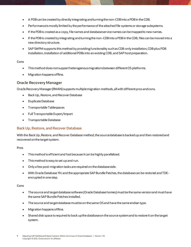- A PDB can be created by directly integrating and turning the non-CDB into a PDB in the CDB.
- Performance is mostly limited by the performance of the attached file systems or storage subsystems.
- If the PDB is created as a copy, file names and database service names can be mapped to new names.
- If the PDB is created by integrating and turning the non-CDB into a PDB in the CDB, files can be moved into a new directory structure.
- SAP SWPM supports this method by providing functionality such as CDB-only installation, CDBplus PDB installation, installation of additional PDBs into an existing CDB, and SAP host preparation.

#### **Cons**

- This method does not support heterogenous migrations between different OS platforms.
- Migration happens offline.

#### <span id="page-6-0"></span>**Oracle Recovery Manager**

Oracle Recovery Manager (RMAN) supports multiple migration methods, all with different pros and cons.

- Back [Up, Restore, and Recover Database](#page-6-1)
- [Duplicate Database](#page-7-0)
- [Transportable Tablespaces](#page-7-1)
- [Full Transportable Export/Import](#page-8-0)
- [Transportable Database](#page-8-1)

#### <span id="page-6-1"></span>**Back Up, Restore, and Recover Database**

With the Back Up, Restore, and Recover Database method, the source database is backed up and then restored and recovered on the target system.

#### **Pros**

- This method is efficient and fast because it can be highly parallelized.
- This method is easy to set up and run.
- Only a few post-migration tasks are required on the database side.
- With Oracle Database 19c and the appropriate SAP Bundle Patches, the database can be restored and TDEencrypted in one step.

#### **Cons**

- The source and target database software (Oracle Database homes) must be the same version and must have the same SAP Bundle Patches installed.
- The source and target database must be on the same OSand have the same endian type.
- Migration happens offline.
- Shared disk space is required to back up the database on the source system and to restore it on the target system.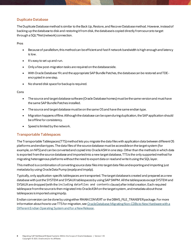#### <span id="page-7-0"></span>**Duplicate Database**

The Duplicate Database method is similar to the Back Up, Restore, and Recover Databasemethod. However, instead of backing up the database to disk and restoring it from disk, the database is copied directly from source to target through a SQL\*Net (network) connection.

**Pros**

- Because of parallelism, this method can be efficient and fast if network bandwidth is high enough and latency is low.
- It's easy to set up and run.
- Only a few post-migration tasks are required on the database side.
- With Oracle Database 19c and the appropriate SAP Bundle Patches, the database can be restored and TDEencrypted in one step.
- No shared disk space for backup is required.

**Cons**

- The source and target database software (Oracle Database homes) must be the same version and must have the same SAP Bundle Patches installed.
- The source and target database must be on the same OSand have the same endian type.
- Migration happens offline. Although the database can be open during duplication,the SAP application should be offline for consistency.
- Speed is limited by the network.

#### <span id="page-7-1"></span>**Transportable Tablespaces**

The Transportable Tablespaces (TTS) method lets you migrate the data files with application data between different OS platforms and endian types. The data files of the source database mustbe accessible on the target system (for example, on NFS) and can be converted and copied into Oracle ASM in one step. Other than the methods in which data is exported from the source database and imported into a new target database, TTS is the only supported method for migrating heterogenous platforms without the need to export data or read and write it using the SQL layer.

This method is a combination of converting source data files into target data files and exporting and importing just metadata by using OracleData Pump (expdpand impdp).

Typically,only application-specific tablespaces are transported. The target database is created and prepared as a new database with just the SYSTEM and SYSAUX tablespacesby using SAP SWPM. All the tablespaces except SYSTEM and SYSAUX are dropped (with the including datafiles and contents clause) after initial creation. Each required tablespace from the source is then migrated into Oracle ASM on the target system, and metadata about those tablespaces is imported using impdp.

Endian conversion can be done by using either RMAN CONVERT or the DBMS\_FILE\_TRANSFER package. For more information about how to use TTS for migration, see Oracle Database: Migrating Non-CDBs to New Hardware with a [Different Endian Operating System and for a New Release](https://docs.oracle.com/en/database/oracle/oracle-database/19/spmdu/migrating-non-cdbs-new-hardware-different-endian-operating-system-and-new-release.pdf).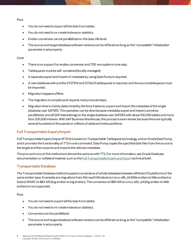**Pros**

- You do not need to export all the data from tables.
- You do not need to re-create indexes or statistics.
- Endian conversion can be parallelized on the data-file level.
- The source and target database software versions can be different as long as the "compatible" initialization parameter is set properly.

#### **Cons**

- There is no support for endian conversion and TDE-encryption in one step.
- Tablespaces must be self-contained (locally managed).
- A separate export and import of metadata by using Data Pump is required.
- A new database with just the SYSTEM and SYSAUX tablespaces is required, and the source tablespaces must be imported.
- Migration happens offline.
- The migration is complex and requires many manual steps.
- Migration time is mainly determined by the time it takes to export and import the metadata of the single database user SAPSR3. This operation can be slow because metadata export and import cannot be parallelized, and all SAP data belongs to the single database user SAPSR3 with about 100,000 tables and more than 200,000 indexes. With SAP Business Warehouse, this process is even slower because there are typically several hundreds of thousands or millions of table and index partitions.

#### <span id="page-8-0"></span>**Full Transportable Export/Import**

Full Transportable Export/Import (FTEX) is based on Transportable Tablespace technology andon Oracle Data Pump, and it provides the functionality of TTS in one command. Data Pump copies the specified data files from the source to the target and then exports and imports the relevant metadata.

The pros and cons of this method are almost the same as with TTS. For more information, see Oracle Database documentation or collateral material, such as th[e Full Transportable Export and Import](https://www.oracle.com/technetwork/database/enterprise-edition/full-transportable-wp-18c-4394831.pdf) technical brief.

#### <span id="page-8-1"></span>**Transportable Database**

The Transportable Database method supports conversions of whole databases between different OS platforms of the same endian type.Examples are migrations from MicrosoftWindows to Linux x86\_64 (little endian to little endian) or Solaris SPARC to IBM AIX (big endian to big endian). The conversion of IBM AIX to Linux x86\_64 (big endian to little endian) is not supported.

**Pros**

- You do notneed to export all the data from tables.
- You do notneed to re-create indexes or statistics.
- Conversion can be parallelized.
- The source and target database software versions can be different as long as the "compatible" initialization parameter is set properly.

**<sup>9</sup>** Migrating SAP NetWeaver® Based Systems Within the Scope of Oracle Databases | Version 1.10 Copyright © 2021, Oracle and/or its affiliates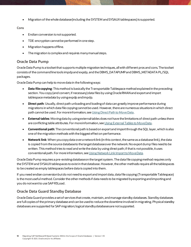• Migration of the whole database (including the SYSTEM and SYSAUX tablespaces)is supported.

#### **Cons**

- Endian conversion is not supported.
- TDE-encryption cannot be performed in one step.
- Migration happens offline.
- The migration is complex and requires manymanual steps.

#### <span id="page-9-0"></span>**Oracle Data Pump**

Oracle Data Pump is a toolset that supports multiple migration techniques, all with different pros and cons. The toolset consists of the command line tools impdp and expdp, and the DBMS\_DATAPUMP and DBMS\_METADATA PL/SQL packages.

Oracle Data Pump can help to move data in the following ways:

- **Data file copying**: This method is basically the Transportable Tablespace method explained in the preceding section. You copy (and convert, if necessary) data files by using Oracle RMAN and export and import tablespace metadata by using expdp and impdp.
- **Direct path**: Usually, direct path unloading and loading of data can greatly improve performance during migrations in which data file copying cannot be used. However, there are numerous situations in which direct path cannot be used. For more information, se[e Using Direct Path to Move Data](https://docs.oracle.com/en/database/oracle/oracle-database/19/sutil/oracle-data-pump-overview.html#GUID-F5790243-15A3-4932-9258-1A466985964D).
- **External tables**: Moving data by using external tables does not have the limitations of direct path unless there are conflicting table attributes. For more information, se[e Using External Tables to Move Data](https://docs.oracle.com/en/database/oracle/oracle-database/19/sutil/oracle-data-pump-overview.html#GUID-EDB0DFE2-A20A-4FF6-B584-1D31583054AB).
- **Conventional path**: The conventional path is based on export and import through the SQL layer, which is also one of the migration methods with the biggest effect on performance.
- **Network link**: When you copy data over a network link (in this context, the same as a database link), the data is copied from the source database to the target database over the network. No export dump files need to be written. This method tries to read and write the data by using direct path; if thatis not possible, it uses conventional path. For more information, se[e Using Network Link Import to Move Data.](https://docs.oracle.com/en/database/oracle/oracle-database/19/sutil/oracle-data-pump-overview.html#GUID-3E1D4B46-E856-4ABE-ACC5-977A898BB0F1)

Oracle Data Pump requires a pre-existing database on the target system. The data file copying method requires only the SYSTEM and SYSAUX tablespaces to existin that database. However, the other methods require all the tablespaces to be created as empty tablespaces before data is copied into them.

If you need endian conversion but do not needto export and import data, data file copying (Transportable Tablespace) is the most useful method. Consider the other methods if data needs to be migrated by exportingand importing and you do not want to use SAP R3Load.

#### <span id="page-9-1"></span>**Oracle Data Guard Standby Database**

Oracle Data Guard provides a set of services that create, maintain, and manage standby databases. Standby databases are full copies of the primary database and can be used to reduce the downtime involved in migrating.Physical standby databases are supported for SAP migration; logical standby databases are not supported.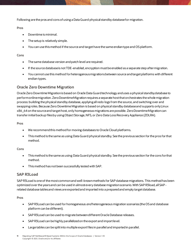Following are the pros and cons of using a Data Guard physical standby database for migration.

#### **Pros**

- Downtime is minimal.
- The setup is relatively simple.
- You can use this method if the source and target have the same endiantype and OS platform.

#### **Cons**

- The same database version and patch level are required.
- If the source database is not TDE-enabled, encryption must be enabled as a separate step after migration.
- You cannot use this method for heterogenous migrations between source and target platforms with different endian types.

#### <span id="page-10-0"></span>**Oracle Zero Downtime Migration**

Oracle Zero Downtime Migration is based on Oracle Data Guard technology and uses a physical standby database to perform online migration. Zero Downtime Migration requires a separate host that orchestrates the whole migration process: building the physical standby database, applying all redo logs from the source, and switching over and swappingroles. Because Zero Downtime Migration is based on physical standby database and supports only Linux x86\_64 on the source and target host,only homogeneous migrations are possible. Zero Downtime Migration can transfer initial backup files by usingObject Storage, NFS,or Zero Data Loss Recovery Appliance (ZDLRA).

#### **Pros**

- We recommend this methodfor moving databases to Oracle Cloud platforms.
- This method is the same as using Data Guard physical standby. See the previous section for the pros for that method.

#### **Cons**

- This method is the same as using Data Guard physical standby. See the previous section for the cons for that method.
- This method has notbeen successfully tested with SAP.

#### <span id="page-10-1"></span>**SAP R3Load**

SAP R3Load is one of the most common and well-known methods for SAP database migrations. This method has been optimized over the years and can be used in almost every database migration scenario. With SAP R3load, all SAPrelated database tables and views are exported and imported into a prepared and empty target database.

#### **Pros**

- SAP R3Load can be used for homogeneous *and*heterogeneous migration scenarios (the OS and database platform can be different).
- SAP R3Load can be used to migrate between different Oracle Database releases.
- SAP R3Load can be highly parallelized on the export and import level.
- Large tables can be split into multiple export files in parallel and imported in parallel.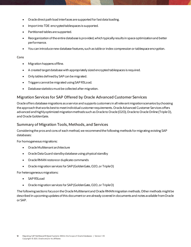- Oracle direct path load interfaces are supported for fast data loading.
- Import into TDE-encrypted tablespaces is supported.
- Partitioned tables are supported.
- Reorganization of the entire database is provided, which typically results in space optimization and better performance.
- You can introduce new database features, such as table or index compression or tablespace encryption.

#### **Cons**

- Migration happens offline.
- A created target database with appropriately sized encrypted tablespaces is required.
- Only tables defined by SAP can be migrated.
- Triggers cannot be migrated using SAP R3Load.
- Database statistics must be collected after migration.

#### <span id="page-11-0"></span>**Migration Services for SAP Offered by Oracle Advanced Customer Services**

Oracle offers database migrations as a service and supports customers in all relevant migration scenarios by choosing the approach that works best to meet individual customer requirements. Oracle Advanced Customer Services offers advanced and highly optimized migration methods such as Oracle to Oracle (O2O), Oracle to Oracle Online (Triple O), and Oracle GoldenGate.

#### <span id="page-11-1"></span>**Summary of Migration Tools, Methods, and Services**

Considering the pros and cons of each method, we recommendthe following methods for migrating existing SAP databases:

For homogeneous migrations:

- Oracle Multitenant architecture
- Oracle Data Guard standby database using physical standby
- Oracle RMAN restore or duplicate commands
- Oracle migration services for SAP (GoldenGate, O2O,or TripleO)

For heterogeneous migrations:

- SAP R3Load
- Oracle migration services for SAP (GoldenGate, O2O,or TripleO)

The following sections focus on the Oracle Multitenant and Oracle RMAN migration methods. Other methods might be described in upcoming updates of this document or are already covered in documents and notes available from Oracle or SAP.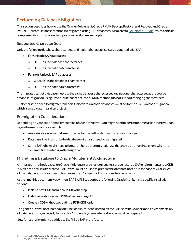## <span id="page-12-0"></span>**Performing Database Migration**

This section describes how to use the Oracle Multitenant; Oracle RMAN Backup, Restore, and Recover; and Oracle RMAN Duplicate Database methods to migrate existing SAP databases. Also refer to [SAP Note 3018983](https://launchpad.support.sap.com/#/notes/3018983), which contains complementary information, best practices, and example scripts.

#### <span id="page-12-1"></span>**Supported Character Sets**

Only the following database character sets and national character sets are supported with SAP:

- For Unicode SAP databases:
	- o UTF-8 as the database character set
	- o UTF-8 as the national character set
- For non-Unicode SAP databases:
	- o WE8DEC as the database character set
	- o UTF-8 as the national character set

The migrated target database mustuse the same database character set and national character set as the source database. Migration using Oracle Multitenant or Oracle RMAN methods do not support changing character sets.

Customers who need to migrate from non-Unicode to Unicode databases must perform an SAP Unicode migration, which is a separate migration project.

#### <span id="page-12-2"></span>**Premigration Considerations**

Depending on your specific implementation of SAP NetWeaver, you might need to perform some tasks before you can begin the migration. For example:

- Any satellite systems that are connected to the SAP system might require changes.
- Database links from or to the database might also need to be migrated.
- Some SAP jobs might need to be set on hold before migration, so that they do not run into errors when the system is first started up after migration.

#### <span id="page-12-3"></span>**Migrating a Database to Oracle Multitenant Architecture**

All migration methods based on Oracle Multitenant architecture require a properly set up SAP environment and a CDB in which the new PDB is created. SAP SWPM must be used to prepare the database host or, in the case of Oracle RAC, all the database hosts involved. This creates the SAP-specific OS users and environments.

At the time this document was written, SAP SWPM supported the following Oracle Multitenant–specific installation options:

- Install a new CDB and a new PDB in one step
- Install an additional new PDB into an existing CDB
- Create a CDB without a creating a PDB (CDB-only)

The generic SWPM host-preparation functionality must be used to create SAP-specific OS users and environments on all database hosts, especially for Oracle RAC-based systems where all nodes must be prepared.

New functionality might be added to SWPM by SAP in the future.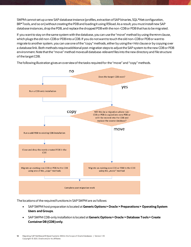SWPM cannot setup a new SAP database instance (profiles, extraction of SAP binaries, SQL\*Net configuration, BR\*Tools, and so on) without creating the PDB and loading it using R3load. As a result, you must install new SAP database instances, drop the PDB, and replace the dropped PDB with the non-CDB or PDB that has to be migrated.

If you want to stay on the same system with the database, you can use the "move" method by using the move clause, which plugs the old non-CDB or PDB into a CDB. If you do not want to touch the old non-CDB or PDB or want to migrate to another system, you can use one of the "copy" methods, either by using the copy clause or by copying over a database link. Both methods require additional post-migration steps to adjust the SAP system to the new CDBor PDB environment. Note that the "move" method movesall database-relevant files into the new directory and file structure of the target CDB.



The following illustration gives an overview of the tasks required for the "move" and "copy"methods.

The locations of the required functions in SAP SWPM are as follows:

- SAP SWPM host preparation is located at **Generic Options > Oracle > Preparations > Operating System Users and Groups**.
- SAP SWPM CDB-only installation is located at **Generic Options > Oracle > Database Tools > Create Container DB (CDB) only**.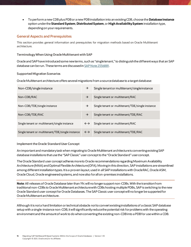• To perform a new CDB plus PDB or a new PDB installation into an existing CDB, choose the **Database Instance** option under the **Standard System**, **Distributed System**,or **High Availability System** installation type, depending on your requirements.

#### **General Aspects and Prerequisites**

This section provides general information and prerequisites for migration methods based on Oracle Multitenant architecture.

#### **Terminology When Using OracleMultitenant with SAP**

Oracle and SAP have introduced some new terms, such as "single tenant," to distinguish the different ways that an SAP database can be run. These terms are discussed i[n SAP Note 2336881](https://launchpad.support.sap.com/#/notes/2336881).

#### **Supported Migration Scenarios**

Oracle Multitenant architecture offers several migrations from a source database to a target database:

| Non-CDB/single instance                          | $\rightarrow$     | Single tenant or multitenant/singleinstance      |
|--------------------------------------------------|-------------------|--------------------------------------------------|
| Non-CDB/RAC                                      | $\rightarrow$     | Single tenant or multitenant/RAC                 |
| Non-CDB/TDE/single instance                      | $\rightarrow$     | Single tenant or multitenant/TDE/single instance |
| Non-CDB/TDE/RAC                                  | $\rightarrow$     | Single tenant or multitenant/TDE/RAC             |
| Single tenant or multitenant/single instance     | $\leftrightarrow$ | Single tenant or multitenant/RAC                 |
| Single tenant or multitenant/TDE/single instance | $\leftrightarrow$ | Single tenant or multitenant/TDE/RAC             |

#### **Implement the Oracle Standard User Concept**

An important and mandatory task when migrating to Oracle Multitenant architecture is convertingexisting SAP database installations that use the "SAP Classic"user concept to the "Oracle Standard"user concept.

The Oracle Standard user concept adheres more to Oracle recommendations regarding Maximum Availability Architecture (MAA) and Optimal Flexible Architecture (OFA). Moving in this direction, SAP installations are streamlined among different installation types. It is a proven layout, used in all SAP installations with Oracle RAC, Oracle ASM, Oracle Cloud, Oracle engineered systems, and now also for all on-premises installations.

**Note**: All releases of Oracle Database later than 19c will no longer support non-CDBs. With the transition from traditional non-CDBs to Oracle Multitenant architecture with CDBs hosting multiple PDBs, SAP is switching to the new Oracle Standard user conceptfor Oracle Databases.The SAP Classic user concept will no longer be supported for Oracle Multitenant architecture.

Although it is not a hard limitation or technical obstacle *not*to convert existing installations of a classic SAP database setup with a single-instance non-CDB, it will significantly reduce the potential risk for problems with the operating environment and the amount of work to do when converting the existing non-CDB into a PDB for use within a CDB.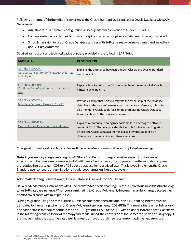Following are some of the benefits of converting to the Oracle Standard user concept for Oracle Database with SAP NetWeaver:

- Adjustment in SAP system configuration is uncoupled from conversion to Oracle PDB setup.
- Conversion to the Oracle Standard user concept can be tested long before database conversion is started.
- Smooth transition to use of Oracle Database services with SAP can already be implemented and tested in a non-CDB environment.

Detailed instructions and technical background are provided in the following SAP Notes:

| <b>SAPNOTE</b>                                                                       | <b>DESCRIPTION</b>                                                                                                                                                                                                                                                     |
|--------------------------------------------------------------------------------------|------------------------------------------------------------------------------------------------------------------------------------------------------------------------------------------------------------------------------------------------------------------------|
| SAP Note 1915323 -<br>OS User Concept for SAP NetWeaver for 12c<br><u>and higher</u> | Explains the difference between the SAP Classic and Oracle Standard<br>user concepts.                                                                                                                                                                                  |
| SAP Note 1554661 -<br>Configuration of environment for 'oracle'<br>user              | Explains how to set up the OS user or acle as the owner of all Oracle<br>software used by SAP.                                                                                                                                                                         |
| SAP Note 1915317 -<br>Migrating Software Owner to 'oracle'                           | Provides a script that helps to migrate the ownership of the database<br>data files to the new software owner or acle. As a reference, this note<br>also mentions Oracle tools for cloning or migrating Oracle Database<br>home locations to the new software owner.   |
| SAP Note 1983457 -<br>Oracle Home Cloning on Unix and Linux                          | Explains all potential cloning mechanisms for switching to software<br>owner or acle. The note provides Perl scripts for the actual migration of<br>an existing Oracle Database home. It also provides guidance on<br>differences in various Oracle software versions. |

Change of ownership of Oracle data files and Oracle Database home must be accomplished in one step.

**Note**: If you are migrating an existing non-CDB to a CDB that is running on another system (host and user environment) that was already installed with "SAP Classic" as the user concept, you can use the migration approach that copies the source non-CDB to a PDB over a database link, described later. This lets you implement the Oracle Standard user concept during migration and without changes on the source system.

#### **Adopt SAP Naming Conventions of Oracle Database Files on Oracle Multitenant**

Usually,SAP database installations with Oracle follow SAP-specific naming rules for all directories and files thatbelong to an SAP database instance. When you are migrating to Oracle Multitenant, these naming rules change because they need to cover cases with multiple PDBs.

During migration using one of the Oracle Multitenant methods, the traditional non-CDB naming schema must be translated to the naming schema for Oracle Multitenant environments (CDB/PDB).This means that each subdirectory and each data file that corresponds to the non-CDB gets the DBSID of the PDB with an underscore as a prefix, as shown in the following example. If one of the "copy" methods is used, the conversion of the names can be done during copy. If the "move" method is used, the database files must be moved to their new location to match the new structure.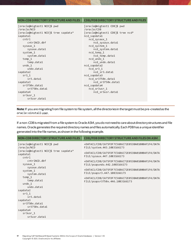| <b>NON-CDB DIRECTORY STRUCTURE AND FILES</b>                                                                                                                                                                                                                                                                                                                             | <b>CDB/PDB DIRECTORY STRUCTURE AND FILES</b>                                                                                                                                                                                                                                                                                                                                                               |
|--------------------------------------------------------------------------------------------------------------------------------------------------------------------------------------------------------------------------------------------------------------------------------------------------------------------------------------------------------------------------|------------------------------------------------------------------------------------------------------------------------------------------------------------------------------------------------------------------------------------------------------------------------------------------------------------------------------------------------------------------------------------------------------------|
| [oracle@migtest1 NCD]\$ pwd<br>/oracle/NCD<br>[oracle@migtest1 NCD]\$ tree sapdata*<br>sapdata1<br>cntr1<br>$cntrINCD$ .dbf<br>sysaux 1<br>sysaux.data1<br>system 1<br>system.data1<br>temp $1$<br>temp.data1<br>undo 1<br>undo.data1<br>sapdata2<br>sr3 <sub>1</sub><br>sr3.data1<br>sapdata3<br>sr3750x.data1<br>sr3750x.data1<br>sapdata4<br>sr3usr 1<br>sr3usr.data1 | [oracle@migtest1 CDB]\$ pwd<br>/oracle/CDB<br>[oracle@migtest1 CDB]\$ tree ncd*<br>ncd sapdata1<br>ncd_sysaux_1<br>ncd sysaux.data1<br>ncd system 1<br>ncd_system.data1<br>ncd temp 1<br>ncd_temp.data1<br>ncd undo 1<br>ncd undo.data1<br>ncd sapdata2<br>$ncd$ _ $sr3$ _1<br>ncd sr3.data1<br>ncd sapdata3<br>ncd sr3750x.data1<br>ncd sr3750x.data1<br>ncd sapdata4<br>ncd sr3usr 1<br>ncd sr3usr.data1 |
|                                                                                                                                                                                                                                                                                                                                                                          |                                                                                                                                                                                                                                                                                                                                                                                                            |

**Note**: If you are migrating from file system to file system, all the directories in the target must be pre-created as the oracle:oinstall user.

If a non-CDB is migrated from a file system to Oracle ASM, you do not need to care about directory structures and file names. Oracle generates the required directory names and files automatically. Each PDB has a unique identifier generated into the file names, as shown in the following example.

| NON-CDB DIRECTORY STRUCTURE AND FILES                      | <b>CDB/PDB DIRECTORY STRUCTURE AND FILES ON ASM</b>                                  |
|------------------------------------------------------------|--------------------------------------------------------------------------------------|
| [oracle@migtest1 NCD]\$ pwd<br>/oracle/NCD                 | +DATAC1/CDB/CA75FDF7C56B6C72E053BA01000AF1F4/DATA<br>FILE/system.443.1083166173      |
| [oracle@migtest1 NCD]\$ tree sapdata*<br>sapdata1<br>cntr1 | +DATAC1/CDB/CA75FDF7C56B6C72E053BA01000AF1F4/DATA<br>FILE/sysaux.447.1083166173      |
| $cntrINCD$ .dbf<br>sysaux 1                                | +DATAC1/CDB/CA75FDF7C56B6C72E053BA01000AF1F4/DATA<br>FILE/psapundo.442.1083166173    |
| sysaux.data1<br>system_1<br>system.data1                   | +DATAC1/CDB/CA75FDF7C56B6C72E053BA01000AF1F4/DATA<br>FILE/psapsr3.447.1083166173     |
| temp $1$<br>temp.data1<br>undo 1                           | +DATAC1/CDB/CA75FDF7C56B6C72E053BA01000AF1F4/DATA<br>FILE/psapsr3750x.446.1083166173 |
| undo.data1<br>sapdata2                                     |                                                                                      |
| sr3 <sub>1</sub><br>sr3.data1                              |                                                                                      |
| sapdata3                                                   |                                                                                      |
| sr3750x.data1<br>sr3750x.data1                             |                                                                                      |
| sapdata4                                                   |                                                                                      |
| sr3usr 1                                                   |                                                                                      |
| sr3usr.data1                                               |                                                                                      |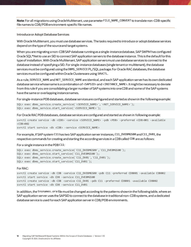**Note**: For all migrations using Oracle Multitenant, use parameter FILE\_NAME\_CONVERT to translate non-CDB-specific file names to CDB/PDB environment-specific file names.

#### **Introduceor Adopt Database Services**

With Oracle Multitenant, you mustuse database services. The tasks required to introduce or adopt database services depend on the type of the source and target systems.

When you are migrating a non-CDB SAP database running as a single-instance database, SAP SWPM has configured Oracle SQL\*Net to use an SID to connect SAP application servers to the database instance. This is the default for this type of installation. With Oracle Multitenant,SAP application servers must use database services to connect to the database instead of specifying a SID. For single-instance databases (single tenant or multitenant), the database services must be configured using the DBMS\_SERVICE PL/SQL package. For Oracle RAC databases, the database services must be configured within Oracle Clusterware using SRVCTL.

As a rule, SERVICE\_NAME and NET\_SERVICE\_NAME are identical, and each SAP application server has its own dedicated database service whose name is a combination of <SAPSID> and <INSTANCE\_NAME>. It might be necessary to deviate from this rule if you are consolidatinga larger number of SAP systems into one CDB and some of the SAP systems have the same or overlapping instance names.

For single-instance PDB databases, database services are configured and started as shown in the following example:

```
SQL> exec dbms service.create service(´<SERVICE NAME>´,´<NET SERVICE NAME>´);
SQL> exec dbms service.start service(´<SERVICE NAME>´);
```
For Oracle RAC PDB databases, database services are configured and started as shown in following example: svrctl create service -db <CDB> -service <SERVICE NAME> -pdb <PDB> -preferred <CDB>001 -available  $<$ CDB $>$ 002 svrctl start service -db <CDB> -service <SERVICE\_NAME>

For example, if SAP system C11 has two SAP application server instances, C11\_DVEBMGS00 and C11\_DV01, the respective commands for creating and starting the according services in a CDB called CDB are as follows:

#### For a single instance in the PDB C11:

```
SQL> exec dbms service.create service(´C11_DVEBMGS00´,´C11_DVEBMGS00´);
SQL> exec dbms service.start service(´C11 DVEBMGS00´);
SQL> exec dbms_service.create_service(´C11_DV01´,´C11_DV01´);
SQL> exec dbms service.start service(´C11 DV01´);
```
#### For RAC:

```
svrctl create service -db CDB -service C11_DVEBMGS00 -pdb C11 -preferred CDB001 -available CDB002
svrctl start service -db CDB -service C11_DVEBMGS00
svrctl create service -db CDB -service C11_DV01 -pdb C11 -preferred CDB001 -available CDB002
svrctl start service -db CDB -service C11_DV01
```
In addition, the tnsnames.ora file must be changed according to the patterns shown in the following table, where an SAP application server uses the SAPSID to connect to the database in traditional non-CDB systems, and a dedicated database service is used for each SAP application server in CDB/PDB environments.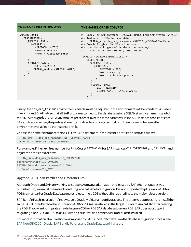| <b>TNSNAMES.ORA IN NON-CDB</b>                                                                                                                                                                                        | TNSNAMES.ORA IN CDB/PDB                                                                                                                                                                                                                                                                                                                                                                                                                                                                                                                                                                                                                                                                                                                                                                                     |
|-----------------------------------------------------------------------------------------------------------------------------------------------------------------------------------------------------------------------|-------------------------------------------------------------------------------------------------------------------------------------------------------------------------------------------------------------------------------------------------------------------------------------------------------------------------------------------------------------------------------------------------------------------------------------------------------------------------------------------------------------------------------------------------------------------------------------------------------------------------------------------------------------------------------------------------------------------------------------------------------------------------------------------------------------|
| $<$ SAPSID>.WORLD =<br>(DESCRIPTION =<br>(ADDRESS LIST =<br>$(ADDRESS =$<br>$(PROTOCOL = TCP)$<br>$(HOST = <>host$ )<br>$(PORT = <1$ istener port>)<br>$(CONNECT DATA =$<br>$(SID = $<br>$(GLOBAL \ NAME =  . WORLD)$ | # - Entry for SAP instance <instance name=""> from SAP system <sapsid><br/># - Instance profile has variable<br/>SETENV <math>xx = dbs</math> ora tnsname = <math>\langle</math>SAPSID&gt; <math>\langle</math>INSTANCENAME&gt; set<br/>#<br/># - Domain is given in file sqlnet.ora<br/># - Used for all types of database the same way:<br/>NON-CDB SI, NON-CDB RAC, CDB, CDB RAC<br/>#<br/><sapsid> <instance name="">.WORLD =<br/>(DESCRIPTION =<br/>(ADDRESS LIST =<br/><math>(ADDRESS =</math><br/><math>(PROTOCOL = TCP)</math><br/><math>(HOST = &lt;&gt;host</math>)<br/><math>(PORT = &lt;1</math>istener port&gt;)<br/><math>(CONNECT DATA =</math><br/><math>(SID = <sapsid></sapsid></math><br/><math>(GLOBAL NAME = <ssapsid> WORLD)</ssapsid></math></instance></sapsid></sapsid></instance> |

Finally, the dbs ora tnsname environment variable must be adjusted in the environments of the standard SAP users ora<sid> and <sid>adm so that all SAP programs connect to the database using a SQL\*Net service name instead of the SID. Although dbs\_ora\_tnsname takes precedence over the same parameter in the SAP instance profiles of each SAP application server, the profiles should be modified accordingly, so that no differences exist between the environment variable and the instance profile.

Choose the next free number for the SETENV\_<##> statement in the instance profile and set it as follows:

SETENV <##> = dbs ora tnsname=<NET SERVICE\_NAME> dbs/ora/tnsname=<NET\_SERVICE\_NAME>

For example, if the next free number for ## is 06, set SETENV\_06 for SAP instances C11\_DVEBMGS00 and C11\_DV01 and adjust the profiles as follows:

SETENV 06 = dbs ora tnsname=C11 DVEBMGS00 dbs/ora/tnsname=C11\_DVMGS00 SETENV\_06 = dbs\_ora\_tnsname=C11\_DV01 dbs/ora/tnsname=C11\_DV01

#### **UpgradeSAP Bundle Patches and Timezone Files**

Although Oracle and SAP are working to support AutoUpgrade, it was not released by SAP when this paper was published. So, you mustfollow traditional upgrade paths before migration. It is not supported to plug a non-CDB or PDB from an earlier Oracle Database major release into a CDB without first upgrading to the major release version.

SAP Bundle Patch installation already covers Orade Multitenant configurations. The preferred approach is to install the same SAP Bundle Patch in the source non-CDB or PDB as is installed in the target CDB or to run catsbp after creating the PDB. If you want to migrate an existing non-CDB or PDB SAP database to a new PDB, SAP does not support migrating a non-CDB or PDP to a CDB with an earlier version of the SAP Bundle Patch installed.

For more information about restrictions imposed by SAP Bundle Patch levels on the database migration process, see [SAP Note 3110260 -Oracle: SAP Bundle Patches and Oracle Database Migration.](https://launchpad.support.sap.com/#/notes/3110260)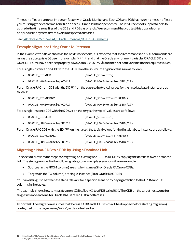Time zone files are another important factor with Oracle Multitenant. Each CDB and PDB has its own time zone file, so you must upgrade each time zonefile on each CDB and PDB independently. There is Oracle tool support to help to upgrade the time zone files of the CDB and PDBs as one job. We recommendthat you test this upgrade on a nonproduction system first to avoid unexpected obstacles.

See SAP Note 2072655 – [FAQ: Oracle Timezone/DST in SAP systems.](https://launchpad.support.sap.com/#/notes/2072655)

#### **Example Migrations Using Oracle Multitenant**

In the example workflows shown in the next two sections, it is expected that shell commands and SQL commands are run as the appropriate OS user (for example, oracle) and that the Oracle environment variables ORACLE\_SID and ORACLE\_HOME have been set properly. Always run . oraenv.sh and then set both variables to the required values.

For a single-instance non-CDB with the SID NCD on the *source*, the typical values are as follows:

- ORACLE\_SID=NCD (ORACLE\_SID=<SID>)
- ORACLE\_HOME=/oracle/NCD/19 (ORACLE\_HOME=/oracle/<SID>/19)

For an Oracle RAC non-CDB with the SID NCD on the *source*, the typical values for the first database instance are as follows:

- ORACLE\_SID=NCD001 (ORACLE\_SID=<SID>+<THREAD>)
- ORACLE\_HOME=/oracle/NCD/19 (ORACLE\_HOME=/oracle/<SID>/19)

For a single-instance CDB with the SID CDB on the *target*, the typical values are as follows:

- ORACLE SID=CDB (ORACLE SID=<SID>)
- ORACLE\_HOME=/oracle/CDB/19 (ORACLE\_HOME=/oracle/<SID>/19)

For an Oracle RAC CDB with the SID CDB on the *target*, the typical values for the first database instance are as follows:

| $\bullet$ | ORACLE SID=CDB001          | (ORACLE SID= <sid>+<thread>)</thread></sid> |
|-----------|----------------------------|---------------------------------------------|
| $\bullet$ | ORACLE HOME=/oracle/CDB/19 | (ORACLE_HOME=/oracle/ <sid>/19)</sid>       |

#### **Migrating a Non-CDB to a PDB by Using a Database Link**

This section provides the steps for migrating an existing non-CDB to a PDB by copying the database over a database link. The steps, provided in the following table, cover multiple scenarios with one example.

- Sources (in the FROM column) are single-instance (SI) or Oracle RAC non-CDBs.
- Targets (in the TO column) are single-instance (SI) or Oracle RAC PDBs.

You can distinguish between the steps relevant for a specific scenarioby paying attention to the FROM and TO columns in the tables.

The example shows howto migrate a non-CDB called NCD to a PDB called NCD.The CDB on the target hosts, one for single instance and one for Oracle RAC, is called CDB in both cases.

**Important**: The migration assumes that there is a CDB and PDB (which will be dropped before starting migration) configured on the target using SWPM, as described earlier.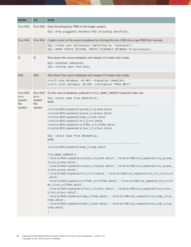| <b>FROM</b>                                   | <b>TO</b>                        | <b>STEP</b>                                                                                                                                                                                                                                                                                                                                                                                                                                                                                                                                                                                                                                                                                                                                                                                                                                                                                                                                                                                                                                                                                                                                                                                                                                                                                                                        |
|-----------------------------------------------|----------------------------------|------------------------------------------------------------------------------------------------------------------------------------------------------------------------------------------------------------------------------------------------------------------------------------------------------------------------------------------------------------------------------------------------------------------------------------------------------------------------------------------------------------------------------------------------------------------------------------------------------------------------------------------------------------------------------------------------------------------------------------------------------------------------------------------------------------------------------------------------------------------------------------------------------------------------------------------------------------------------------------------------------------------------------------------------------------------------------------------------------------------------------------------------------------------------------------------------------------------------------------------------------------------------------------------------------------------------------------|
| SI or RAC                                     |                                  | SI or RAC Drop the temporary PDB on the target system.<br>SQL> drop pluggable database NCD including datafiles;                                                                                                                                                                                                                                                                                                                                                                                                                                                                                                                                                                                                                                                                                                                                                                                                                                                                                                                                                                                                                                                                                                                                                                                                                    |
| SI or RAC                                     |                                  | SI or RAC Create a user on the source database for cloning the non-CDB into a new PDB from remote.<br>SQL> create user mycloneuser identified by " <password>";<br/>SQL&gt; GRANT CREATE SESSION, CREATE PLUGGABLE DATABASE TO mycloneuser;</password>                                                                                                                                                                                                                                                                                                                                                                                                                                                                                                                                                                                                                                                                                                                                                                                                                                                                                                                                                                                                                                                                             |
| <b>SI</b>                                     | <b>SI</b>                        | Shut down the source database and reopen it in read-only mode.<br>SQL> shutdown immediate;<br>SQL> startup open read only;                                                                                                                                                                                                                                                                                                                                                                                                                                                                                                                                                                                                                                                                                                                                                                                                                                                                                                                                                                                                                                                                                                                                                                                                         |
| <b>RAC</b>                                    | <b>RAC</b>                       | Shut down the source database and reopen it in read-only mode.<br>srvctl stop database -db NCD -stopoption immediate<br>srvctl start database -db NCD -startoption "READ ONLY"                                                                                                                                                                                                                                                                                                                                                                                                                                                                                                                                                                                                                                                                                                                                                                                                                                                                                                                                                                                                                                                                                                                                                     |
| SI or RAC<br>on a<br>shared<br>file<br>system | on a<br>shared<br>file<br>system | SI or RAC On the source database, prebuild a FILE_NAME_CONVERT clause for later use.<br>SQL> select name from v\$datafile;<br><b>NAME</b><br>/oracle/NCD/sapdata1/system_1/system.data1<br>/oracle/NCD/sapdata1/sysaux_1/sysaux.data1<br>/oracle/NCD/sapdata1/undo_1/undo.data1<br>/oracle/NCD/sapdata2/sr3_1/sr3.data1<br>/oracle/NCD/sapdata3/sr3750x_1/sr3750x.data1<br>/oracle/NCD/sapdata4/sr3usr_1/sr3usr.data1<br>SQL> select name from v\$tempfile;<br><b>NAME</b><br>/oracle/NCD/sapdata1/temp_1/temp.data1<br>FILE NAME CONVERT=(<br>'/oracle/NCD/sapdata1/system 1/system.data1','/oracle/CDB/ncd sapdata1/ncd system<br>1/ncd_system.data1',<br>'/oracle/NCD/sapdata1/sysaux_1/sysaux.data1','/oracle/CDB/ncd_sapdata1/ncd_sysaux_<br>1/ncd sysaux.data1',<br>'/oracle/NCD/sapdata2/sr3_1/sr3.data1','/oracle/CDB/ncd_sapdata2/ncd_sr3_1/ncd_sr3<br>.data1',<br>'/oracle/NCD/sapdata3/sr3750x 1/sr3750x.data1','/oracle/CDB/ncd sapdata3/ncd sr375<br>0x_1/ncd_sr3750x.data1',<br>'/oracle/NCD/sapdata4/sr3usr 1/sr3usr.data1','/oracle/CDB/ncd sapdata4/ncd sr3usr<br>1/ncd_sr3usr.data1',<br>'/oracle/NCD/sapdata1/temp 1/temp.data1','/oracle/CDB/ncd sapdata1/ncd temp 1/ncd<br>temp.data1',<br>'/oracle/NCD/sapdata1/undo_1/undo.data1','/oracle/CDB/ncd_sapdata1/ncd_undo_1/ncd_<br>undo.data1'<br>$\mathcal{C}$ |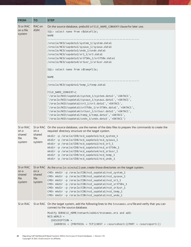| <b>FROM</b>                                   | <b>TO</b>                        | <b>STEP</b>                                                                                                                                                                                                                                                                                                                                                                                                                                                                                                                                                                                                                                                                                                                                                                                                     |
|-----------------------------------------------|----------------------------------|-----------------------------------------------------------------------------------------------------------------------------------------------------------------------------------------------------------------------------------------------------------------------------------------------------------------------------------------------------------------------------------------------------------------------------------------------------------------------------------------------------------------------------------------------------------------------------------------------------------------------------------------------------------------------------------------------------------------------------------------------------------------------------------------------------------------|
| SI or RAC<br>on a file<br>system              | RAC on<br><b>ASM</b>             | On the source database, prebuild a FILE_NAME_CONVERT clause for later use.<br>SQL> select name from v\$datafile;<br><b>NAME</b>                                                                                                                                                                                                                                                                                                                                                                                                                                                                                                                                                                                                                                                                                 |
|                                               |                                  | /oracle/NCD/sapdata1/system_1/system.data1<br>/oracle/NCD/sapdata1/sysaux_1/sysaux.data1<br>/oracle/NCD/sapdata1/undo_1/undo.data1<br>/oracle/NCD/sapdata2/sr3_1/sr3.data1<br>/oracle/NCD/sapdata3/sr3750x_1/sr3750x.data1<br>/oracle/NCD/sapdata4/sr3usr 1/sr3usr.data1<br>SQL> select name from v\$tempfile;<br><b>NAME</b><br>/oracle/NCD/sapdata1/temp_1/temp.data1<br>FILE_NAME_CONVERT=(<br>'/oracle/NCD/sapdata1/system_1/system.data1','+DATAC1',<br>'/oracle/NCD/sapdata1/sysaux 1/sysaux.data1','+DATAC1',<br>'/oracle/NCD/sapdata2/sr3_1/sr3.data1','+DATAC1',<br>'/oracle/NCD/sapdata3/sr3750x_1/sr3750x.data1','+DATAC1',<br>'/oracle/NCD/sapdata4/sr3usr_1/sr3usr.data1','+DATAC1',<br>'/oracle/NCD/sapdata1/temp_1/temp.data1','+DATAC1',<br>'/oracle/NCD/sapdata1/undo_1/undo.data1','+DATAC1') |
| SI or RAC<br>on a<br>shared<br>file<br>system | on a<br>shared<br>file<br>system | SI or RAC On the source database, use the names of the data files to prepare the commands to create the<br>required directory structure on the target system.<br>mkdir -p /oracle/CDB/ncd_sapdata1/ncd_system_1<br>mkdir -p /oracle/CDB/ncd_sapdata1/ncd_sysaux_1<br>mkdir -p /oracle/CDB/ncd_sapdata2/ncd_sr3_1<br>mkdir -p /oracle/CDB/ncd_sapdata3/ncd_sr3750x_1<br>mkdir -p /oracle/CDB/ncd sapdata4/ncd sr3usr 1<br>mkdir -p /oracle/CDB/ncd sapdata1/ncd temp 1<br>mkdir -p /oracle/CDB/ncd_sapdata1/ncd_undo_1                                                                                                                                                                                                                                                                                           |
| SI or RAC<br>on a<br>shared<br>file<br>system | on a<br>shared<br>file<br>system | SI or RAC As the oracle: oinstall user, create those directories on the target system.<br>CMD> mkdir -p /oracle/CDB/ncd_sapdata1/ncd_system_1<br>CMD> mkdir -p /oracle/CDB/ncd_sapdata1/ncd_sysaux_1<br>CMD> mkdir -p /oracle/CDB/ncd sapdata2/ncd sr3 1<br>CMD> mkdir -p /oracle/CDB/ncd_sapdata3/ncd_sr3750x_1<br>CMD> mkdir -p /oracle/CDB/ncd_sapdata4/ncd_sr3usr_1<br>CMD> mkdir -p /oracle/CDB/ncd_sapdata1/ncd_temp_1<br>CMD> mkdir -p /oracle/CDB/ncd_sapdata1/ncd_undo_1                                                                                                                                                                                                                                                                                                                               |
| SI or RAC                                     |                                  | SI or RAC On the target system, add the following lines to the tnsnames . ora file and verify that you can<br>connect to the source database.<br>Modify \$ORACLE_HOME/network/admin/tnsnames.ora and add:<br>$NCD.WORLD =$<br>(DESCRIPTION =<br>$(ADDRESS = (PROTOCOL = TCP)(HOST = $                                                                                                                                                                                                                                                                                                                                                                                                                                                                                                                           |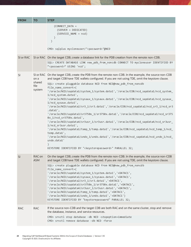| <b>FROM</b> | <b>TO</b>            | <b>STEP</b>                                                                                                                                                                                                                                                                                                                                                                                                                                                                                                                                                       |
|-------------|----------------------|-------------------------------------------------------------------------------------------------------------------------------------------------------------------------------------------------------------------------------------------------------------------------------------------------------------------------------------------------------------------------------------------------------------------------------------------------------------------------------------------------------------------------------------------------------------------|
|             |                      | (CONNECT_DATA =<br>$(SERVER = DEDICATED)$<br>(SERVICE_NAME = ncd)<br>$\mathcal{E}$                                                                                                                                                                                                                                                                                                                                                                                                                                                                                |
|             |                      | CMD> sqlplus mycloneuser/" <password>"@NCD</password>                                                                                                                                                                                                                                                                                                                                                                                                                                                                                                             |
| SI or RAC   |                      | SI or RAC On the target CDB, create a database link for the PDB creation from the remote non-CDB.<br>SQL> CREATE DATABASE LINK new pdb from noncdb CONNECT TO mycloneuser IDENTIFIED BY<br>" <password>" USING 'ncd';</password>                                                                                                                                                                                                                                                                                                                                  |
| <b>SI</b>   | on a<br>shared       | SI or RAC On the target CDB, create the PDB from the remote non-CDB. In the example, the source non-CDB<br>and target CDB have TDE wallets configured. If you are not using TDE, omit the keystore clause.<br>SQL> create pluggable database NCD from NCD@new pdb from noncdb                                                                                                                                                                                                                                                                                     |
|             | file<br>system       | file name convert=(<br>'/oracle/NCD/sapdata1/system 1/system.data1','/oracle/CDB/ncd sapdata1/ncd system<br>1/ncd_system.data1',<br>'/oracle/NCD/sapdata1/sysaux_1/sysaux.data1','/oracle/CDB/ncd_sapdata1/ncd_sysaux_                                                                                                                                                                                                                                                                                                                                            |
|             |                      | 1/ncd_sysaux.data1',<br>'/oracle/NCD/sapdata2/sr3_1/sr3.data1','/oracle/CDB/ncd_sapdata2/ncd_sr3_1/ncd_sr3<br>.data1',                                                                                                                                                                                                                                                                                                                                                                                                                                            |
|             |                      | '/oracle/NCD/sapdata3/sr3750x_1/sr3750x.data1','/oracle/CDB/ncd_sapdata3/ncd_sr375<br>0x_1/ncd_sr3750x.data1',<br>'/oracle/NCD/sapdata4/sr3usr_1/sr3usr.data1','/oracle/CDB/ncd_sapdata4/ncd_sr3usr_                                                                                                                                                                                                                                                                                                                                                              |
|             |                      | 1/ncd_sr3usr.data1',<br>'/oracle/NCD/sapdata1/temp_1/temp.data1','/oracle/CDB/ncd_sapdata1/ncd_temp_1/ncd_<br>temp.data1',                                                                                                                                                                                                                                                                                                                                                                                                                                        |
|             |                      | '/oracle/NCD/sapdata1/undo_1/undo.data1','/oracle/CDB/ncd_sapdata1/ncd_undo_1/ncd_<br>undo.data1'                                                                                                                                                                                                                                                                                                                                                                                                                                                                 |
|             |                      | KEYSTORE IDENTIFIED BY " <keystorepassword>" PARALLEL 32;</keystorepassword>                                                                                                                                                                                                                                                                                                                                                                                                                                                                                      |
| SI          | RAC on<br><b>ASM</b> | On the target CDB, create the PDB from the remote non-CDB. In the example, the source non-CDB<br>and target CDB have TDE wallets configured. If you are not using TDE, omit the keystore clause.                                                                                                                                                                                                                                                                                                                                                                  |
|             |                      | SQL> create pluggable database NCD from NCD@new pdb from noncdb<br>file name convert=(<br>'/oracle/NCD/sapdata1/system_1/system.data1','+DATAC1',<br>'/oracle/NCD/sapdata1/sysaux_1/sysaux.data1','+DATAC1',<br>'/oracle/NCD/sapdata2/sr3_1/sr3.data1','+DATAC1',<br>'/oracle/NCD/sapdata3/sr3750x 1/sr3750x.data1','+DATAC1',<br>'/oracle/NCD/sapdata4/sr3usr_1/sr3usr.data1','+DATAC1',<br>'/oracle/NCD/sapdata1/temp_1/temp.data1','+DATAC1',<br>'/oracle/NCD/sapdata1/undo_1/undo.data1','+DATAC1')<br>KEYSTORE IDENTIFIED BY "keystorepassword" PARALLEL 32; |
| <b>RAC</b>  | <b>RAC</b>           | If the source non-CDB and the target CDB are both RAC and on the same cluster, stop and remove<br>the database, instance, and service resources.                                                                                                                                                                                                                                                                                                                                                                                                                  |
|             |                      | CMD> srvctl stop database -db NCD -stopoption=immediate<br>CMD> srvctl remove database -db NCD -force                                                                                                                                                                                                                                                                                                                                                                                                                                                             |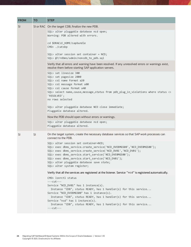| <b>FROM</b>   | <b>TO</b> | <b>STEP</b>                                                                                                                                                                                                                                                                                                                                                                  |
|---------------|-----------|------------------------------------------------------------------------------------------------------------------------------------------------------------------------------------------------------------------------------------------------------------------------------------------------------------------------------------------------------------------------------|
| <b>SI</b>     |           | SI or RAC   On the target CDB, finalize the new PDB.                                                                                                                                                                                                                                                                                                                         |
|               |           | SQL> alter pluggable database ncd open;<br>Warning: PDB altered with errors.                                                                                                                                                                                                                                                                                                 |
|               |           |                                                                                                                                                                                                                                                                                                                                                                              |
|               |           | cd \$ORACLE_HOME/sapbundle<br>CMD> ./catsbp                                                                                                                                                                                                                                                                                                                                  |
|               |           | $SQL$ alter session set container = $NCD$ ;<br>SQL> @?/rdbms/admin/noncdb to pdb.sql                                                                                                                                                                                                                                                                                         |
|               |           | Verify that all errors and warning have been resolved. If any unresolved errors or warnings exist,<br>resolve them before starting SAP application servers.                                                                                                                                                                                                                  |
|               |           | SQL> set linesize 300<br>SQL> set pagesize 2000<br>SQL> col name format a20<br>SQL> col message format a80                                                                                                                                                                                                                                                                   |
|               |           | SQL> col cause format a40<br>SQL> select name, cause, message, status from pdb_plug_in_violations where status <><br>'RESOLVED';<br>no rows selected                                                                                                                                                                                                                         |
|               |           | SQL> alter pluggable database NCD close immediate;<br>Pluggable database altered.                                                                                                                                                                                                                                                                                            |
|               |           | Now the PDB should open without errors or warnings.                                                                                                                                                                                                                                                                                                                          |
|               |           | SQL> alter pluggable database ncd open;<br>Pluggable database altered.                                                                                                                                                                                                                                                                                                       |
| <sup>SI</sup> | SI        | On the target system, create the necessary database services so that SAP work processes can<br>connect to the PDB.                                                                                                                                                                                                                                                           |
|               |           | SQL> alter session set container=NCD;<br>SQL> exec dbms_service.create_service('NCD_DVEBMGS00','NCD_DVEBMGS00');<br>SQL> exec dbms_service.create_service('NCD_DV01','NCD_DV01');<br>SQL> exec dbms_service.start_service('NCD_DVEBMGS00');<br>SQL> exec dbms_service.start_service('NCD_DV01');<br>SQL> alter pluggable database save state;<br>SQL> alter system register; |
|               |           | Verify that all the services are registered at the listener. Service "ncd" is registered automatically.                                                                                                                                                                                                                                                                      |
|               |           | CMD> lsnrctl status<br>$---cut---$                                                                                                                                                                                                                                                                                                                                           |
|               |           | Service "NCD_DV01" has 1 instance(s).<br>Instance "CDB", status READY, has 1 handler(s) for this service<br>Service "NCD DVEBMGS00" has 1 instance(s).                                                                                                                                                                                                                       |
|               |           | Instance "CDB", status READY, has 1 handler(s) for this service<br>Service "ncd" has 1 instance(s).<br>Instance "CDB", status READY, has 1 handler(s) for this service                                                                                                                                                                                                       |
|               |           | $---cut---$                                                                                                                                                                                                                                                                                                                                                                  |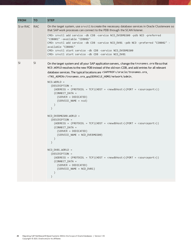```
FROM TO STEP
SI or RAC RAC On the target system, use srvctl to create the necessary database services in Oracle Clusterware so
                    that SAP work processes can connect to the PDB through the SCAN listener.
                    CMD> srvctl add service -db CDB -service NCD_DVEBMGS00 -pdb NCD -preferred 
                    "CDB001" -available "CDB002"
                    CMD> srvctl add service -db CDB -service NCD_DV01 -pdb NCD -preferred "CDB002" -
                    available "CDB001"
                    CMD> srvctl start service -db CDB -service NCD_DVEBMGS00
                    CMD> srvctl start service -db CDB -service NCD_DV01
SI SI On the target system and all your SAP application servers, change the tnsnames.ora file so that 
                    NCD.WORLD resolves to the new PDB instead of the old non-CDB, and add entries for all relevant 
                    database services. The typical locations are <SAPPROF>/oracle/tnsnames.ora, 
                    <TNS_ADMIN>/tnsnames.ora, and $ORACLE_HOME/network/admin.
                    NCD. WORLD = (DESCRIPTION =
                          (ADDRESS = (PROTOCOL = TCP)(HOST = <newdbhost>)(PORT = <sourceport>))
                          (CONNECT_DATA =
                            (SERVER = DEDICATED)
                            (SERVICE_NAME = ncd)
                         )
                        )
                    NCD DVEBMGS00.WORLD =
                        (DESCRIPTION =
                          (ADDRESS = (PROTOCOL = TCP)(HOST = <newdbhost>)(PORT = <sourceport>))
                          (CONNECT_DATA =
                            (SERVER = DEDICATED)
                            (SERVICE_NAME = NCD_DVEBMGS00)
                          )
                        )
                    NCD_DV01.WORLD =
                        (DESCRIPTION =
                          (ADDRESS = (PROTOCOL = TCP)(HOST = <newdbhost>)(PORT = <sourceport>))
                          (CONNECT_DATA =
                            (SERVER = DEDICATED)
                            (SERVICE_NAME = NCD_DV01)
                          )
                        )
```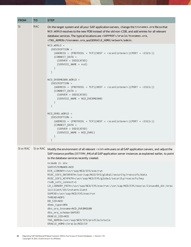| <b>FROM</b> | <b>TO</b>  | <b>STEP</b>                                                                                                                                                                                                                                                                                                                                                                                                                                                                                                                                                                                              |
|-------------|------------|----------------------------------------------------------------------------------------------------------------------------------------------------------------------------------------------------------------------------------------------------------------------------------------------------------------------------------------------------------------------------------------------------------------------------------------------------------------------------------------------------------------------------------------------------------------------------------------------------------|
| <b>SI</b>   | <b>RAC</b> | On the target system and all your SAP application servers, change the this names or a file so that<br>NCD. WORLD resolves to the new PDB instead of the old non-CDB, and add entries for all relevant<br>database services. The typical locations are <sapprof>/oracle/tnsnames.ora,<br/><tns_admin>/tnsnames.ora, and \$ORACLE_HOME/network/admin.</tns_admin></sapprof>                                                                                                                                                                                                                                |
|             |            | $NCD.WORLD =$<br>(DESCRIPTION =<br>$(ADDRESS = (PROTOCOL = TCP)(HOST = scanListener) (PORT = (1521))$<br>(CONNECT DATA =<br>$(SERVER = DEDICATED)$<br>(SERVICE_NAME = ncd)<br>NCD DVEBMGS00.WORLD =<br>(DESCRIPTION =<br>$(ADDRESS = (PROTOCOL = TCP)(HOST = scanListener*)(PORT = (1521))$<br>(CONNECT_DATA =<br>$(SERVER = DEDICATED)$<br>(SERVICE_NAME = NCD_DVEBMGS00)<br>$\mathcal{E}$<br>$NCD_DVO1.WORLD =$<br>(DESCRIPTION =<br>$(ADDRESS = (PROTOCOL = TCP)(HOST = scanListener*)(PORT = (1521))$<br>(CONNECT_DATA =<br>$(SERVER = DEDICATED)$<br>(SERVICE_NAME = NCD_DV01)<br>$\mathcal{E}$     |
|             |            | $\mathcal{L}$                                                                                                                                                                                                                                                                                                                                                                                                                                                                                                                                                                                            |
| SI or RAC   |            | SI or RAC Modify the environment of all relevant <sid>admusers on all SAP application servers, and adjust the<br/>SAP instance profiles (SETENV_##) of all SAP application server instances as explained earlier, to point<br/>to the database services recently created.</sid>                                                                                                                                                                                                                                                                                                                          |
|             |            | $ncdam$ 2> $env$<br>SAPSYSTEMNAME=NCD<br>DIR LIBRARY=/usr/sap/NCD/SYS/exe/run<br>RSEC_SSFS_DATAPATH=/usr/sap/NCD/SYS/global/security/rsecssfs/data<br>RSEC_SSFS_KEYPATH=/usr/sap/NCD/SYS/global/security/rsecssfs/key<br>rsdb_ssfs_connect=1<br>LD LIBRARY PATH=/usr/sap/NCD/SYS/exe/run:/usr/sap/NCD/SYS/exe/uc/linuxx86 64:/orac<br>le/client/19/instantclient<br>SAPEXE=/usr/sap/NCD/SYS/exe/run<br>THREAD=NOPS<br>DB_SID=NCD<br>dbms_type=ORA<br>dbs_ora_tnsname=NCD_DVEBMGS00<br>dbs_ora_schema=SAPSR3<br>ORACLE SID=NCD<br>TNS_ADMIN=/usr/sap/NCD/SYS/profile/oracle<br>ORACLE_HOME=/oracle/NCD/19 |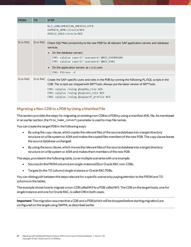| <b>FROM</b> | <b>TO</b> | <b>STEP</b>                                                                                                                                                                                                                                                                                                                                                                                          |
|-------------|-----------|------------------------------------------------------------------------------------------------------------------------------------------------------------------------------------------------------------------------------------------------------------------------------------------------------------------------------------------------------------------------------------------------------|
|             |           | NLS LANG=AMERICAN AMERICA.UTF8<br>SAPDATA_HOME=/oracle/NCD<br>ORACLE_BASE=/oracle/NCD                                                                                                                                                                                                                                                                                                                |
| SI or RAC   |           | SI or RAC Check SQL*Net connectivity to the new PDB for all relevant SAP application servers and database<br>services.<br>On the database servers:<br>CMD> sqlplus sapsr3/' <password>'@NCD_DVEBMGS00<br/>CMD&gt; sqlplus sapsr3/'<password>'@NCD_DV01<br/>• On the application servers as <math>\langle</math> sid &gt; adm:<br/><math>CMD&gt;</math> R3trans <math>-d</math></password></password> |
| SI or RAC   |           | SI or RAC Create the SAP-specific users and roles in the PDB by running the following PL/SQL scripts in the<br>CDB. The scripts are shipped with BR*Tools. Always use the latest version of BR*Tools.<br>CMD> sqlplus /nolog @sapdba_role NCD<br>CMD> sqlplus /nolog @sapconn_role NCD<br>CMD> sqlplus /nolog @sapuprof_profile NCD                                                                  |

#### **Migrating a Non-CDB to a PDB by Using a Manifest File**

This section provides the steps for migrating an existing non-CDB to a PDB by using a manifest XML file. As mentioned in an earlier section, the file\_name\_convert parameter is used to map file names.

You can create the target PDBin the followingways:

- By using the copy clause, which copies the relevant files of the source database into a target directory structure on a file system or ASM and makes the copied files members of the new PDB. The copy clause leaves the source database unchanged.
- By using the move clause, which movesthe relevant files of the source database into a target directory structure on a file system or ASM and makes them members of the new PDB.

The steps, provided in the following table, cover multiple scenarios with one example.

- Sources (in the FROM column) are single-instance(SI) or Oracle RAC non-CDBs.
- Targets (in the TO column) single-instance or Oracle RAC PDBs.

You can distinguish between the steps relevant for a specific scenario by paying attention to the FROM and TO columns in the tables.

The example shows how to migrate a non-CDB called NCD to a PDB called NCD. The CDB on the target hosts, one for single instance and one for Oracle RAC, is called CDB in both cases.

**Important**: The migration assumes that a CDB and a PDB (which will be dropped before starting migration) are configured on the target using SWPM, as described earlier.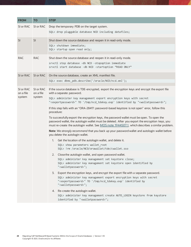| <b>FROM</b>            | <b>TO</b>                        | <b>STEP</b>                                                                                                                                                                                                                                                                                      |
|------------------------|----------------------------------|--------------------------------------------------------------------------------------------------------------------------------------------------------------------------------------------------------------------------------------------------------------------------------------------------|
| SI or RAC              | SI or RAC                        | Drop the temporary PDB on the target system.                                                                                                                                                                                                                                                     |
|                        |                                  | SQL> drop pluggable database NCD including datafiles;                                                                                                                                                                                                                                            |
| <b>SI</b>              | SI                               | Shut down the source database and reopen it in read-only mode.                                                                                                                                                                                                                                   |
|                        |                                  | SQL> shutdown immediate;<br>SQL> startup open read only;                                                                                                                                                                                                                                         |
| <b>RAC</b>             | <b>RAC</b>                       | Shut down the source database and reopen it in read-only mode.                                                                                                                                                                                                                                   |
|                        |                                  | srvctl stop database -db NCD -stopoption immediate<br>srvctl start database -db NCD -startoption "READ ONLY"                                                                                                                                                                                     |
| SI or RAC              | SI or RAC                        | On the source database, create an XML manifest file.                                                                                                                                                                                                                                             |
|                        |                                  | SQL> exec dbms_pdb.describe('/oracle/NCD/ncd.xml');                                                                                                                                                                                                                                              |
| SI or RAC<br>on a file | SI or RAC<br>on a file<br>system | If the source database is TDE-encrypted, export the encryption keys and encrypt the export file<br>with a separate password.                                                                                                                                                                     |
| system                 |                                  | SQL> administer key management export encryption keys with secret<br>" <exportpassword>" TO '/tmp/ncd_tdekey.exp' identified by "<walletpassword>";</walletpassword></exportpassword>                                                                                                            |
|                        |                                  | If this step fails with an "ORA-28417: password-based keystore is not open" error, follow this<br>procedure:                                                                                                                                                                                     |
|                        |                                  | To successfully export the encryption keys, the password wallet must be open. To open the<br>password wallet, the autologin wallet must be deleted. After you export the encryption keys, you<br>must re-create the autologin wallet. See MOS note 1944507.1, which describes a similar problem. |
|                        |                                  | Note: We strongly recommend that you back up your password wallet and autologin wallet before<br>you delete the autologin wallet.                                                                                                                                                                |
|                        |                                  | Get the location of the autologin wallet, and delete it.<br>1.                                                                                                                                                                                                                                   |
|                        |                                  | SQL> show parameters wallet root<br>SQL> !rm /oracle/NCD/orawallet/tde/cwallet.sso                                                                                                                                                                                                               |
|                        |                                  | 2. Close the autologin wallet, and open password wallet.                                                                                                                                                                                                                                         |
|                        |                                  | SQL> administer key management set keystore close;<br>SQL> administer key management set keystore open identified by<br>" <walletpassword>";</walletpassword>                                                                                                                                    |
|                        |                                  | 3. Export the encryption keys, and encrypt the export file with a separate password.                                                                                                                                                                                                             |
|                        |                                  | SQL> administer key management export encryption keys with secret<br>" <exportpassword>" TO '/tmp/ncd tdekey.exp' identified by<br/>"<walletpassword>";</walletpassword></exportpassword>                                                                                                        |
|                        |                                  | 4. Re-create the autologin wallet.                                                                                                                                                                                                                                                               |
|                        |                                  | SQL> administer key management create AUTO_LOGIN keystore from keystore<br>identified by " <walletpassword>";</walletpassword>                                                                                                                                                                   |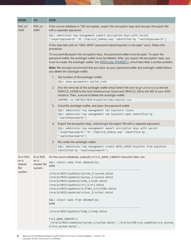| <b>FROM</b>          | <b>TO</b>                     | <b>STEP</b>                                                                                                                                                                                                                                                                                      |
|----------------------|-------------------------------|--------------------------------------------------------------------------------------------------------------------------------------------------------------------------------------------------------------------------------------------------------------------------------------------------|
| RAC on<br><b>ASM</b> | RAC on<br><b>ASM</b>          | If the source database is TDE-encrypted, export the encryption keys and encrypt the export file<br>with a separate password.                                                                                                                                                                     |
|                      |                               | SQL> administer key management export encryption keys with secret<br>" <exportpassword>" TO '/tmp/ncd_tdekey.exp' identified by "<walletpassword>";</walletpassword></exportpassword>                                                                                                            |
|                      |                               | If this step fails with an "ORA-28417: password-based keystore is not open" error, follow this<br>procedure:                                                                                                                                                                                     |
|                      |                               | To successfully export the encryption keys, the password wallet must be open. To open the<br>password wallet, the autologin wallet must be deleted. After you export the encryption keys, you<br>must re-create the autologin wallet. See MOS note 1944507.1, which describes a similar problem. |
|                      |                               | Note: We strongly recommend that you back up your password wallet and autologin wallet before<br>you delete the autologin wallet.                                                                                                                                                                |
|                      |                               | 1. Get location of the autologin wallet.                                                                                                                                                                                                                                                         |
|                      |                               | SQL> show parameters wallet root                                                                                                                                                                                                                                                                 |
|                      |                               | 2. (For the removal of the autologin wallet only) Switch the user to grid or oracle and set<br>ORACLE_HOME to the Grid Infrastructure home and ORACLE_SID to the SID of your ASM<br>instance. Then, asmcmd to delete the autologin wallet.                                                       |
|                      |                               | ASMCMD> rm +DATAC1/NCD/orawallet/tde/cwallet.sso                                                                                                                                                                                                                                                 |
|                      |                               | 3. Close the autologin wallet, and open the password wallet.                                                                                                                                                                                                                                     |
|                      |                               | SQL> administer key management set keystore close;                                                                                                                                                                                                                                               |
|                      |                               | SQL> administer key management set keystore open identified by<br>" <walletpassword>";</walletpassword>                                                                                                                                                                                          |
|                      |                               | 4. Export the encryption keys, and encrypt the export file with a separate password.                                                                                                                                                                                                             |
|                      |                               | SQL> administer key management export encryption keys with secret<br>" <exportpassword>" TO '/tmp/ncd_tdekey.exp' identified by<br/>"<walletpassword>";</walletpassword></exportpassword>                                                                                                        |
|                      |                               | 5. Re-create the autologin wallet.                                                                                                                                                                                                                                                               |
|                      |                               | SQL> administer key management create AUTO_LOGIN keystore from keystore<br>identified by " <walletpassword>";</walletpassword>                                                                                                                                                                   |
|                      |                               | SI or RAC SI or RAC On the source database, prebuild a FILE_NAME_CONVERT clause for later use.                                                                                                                                                                                                   |
| on a<br>shared       | on a<br>shared file<br>system | SQL> select name from v\$datafile;<br><b>NAME</b>                                                                                                                                                                                                                                                |
| file<br>system       |                               |                                                                                                                                                                                                                                                                                                  |
|                      |                               | /oracle/NCD/sapdata1/system 1/system.data1<br>/oracle/NCD/sapdata1/sysaux_1/sysaux.data1                                                                                                                                                                                                         |
|                      |                               | /oracle/NCD/sapdata1/undo_1/undo.data1                                                                                                                                                                                                                                                           |
|                      |                               | /oracle/NCD/sapdata2/sr3 1/sr3.data1                                                                                                                                                                                                                                                             |
|                      |                               | /oracle/NCD/sapdata3/sr3750x_1/sr3750x.data1<br>/oracle/NCD/sapdata4/sr3usr_1/sr3usr.data1                                                                                                                                                                                                       |
|                      |                               |                                                                                                                                                                                                                                                                                                  |
|                      |                               | SQL> select name from v\$tempfile;<br><b>NAME</b>                                                                                                                                                                                                                                                |
|                      |                               | ----------------------------<br>/oracle/NCD/sapdata1/temp_1/temp.data1                                                                                                                                                                                                                           |
|                      |                               | FILE_NAME_CONVERT=(<br>'/oracle/NCD/sapdata1/system_1/system.data1','/oracle/CDB/ncd_sapdata1/ncd_system_<br>1/ncd_system.data1',                                                                                                                                                                |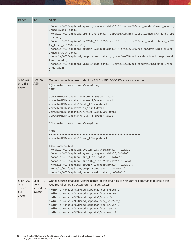| <b>FROM</b>                                   | <b>TO</b>                                  | <b>STEP</b>                                                                                                                                                                                                                                                                                                                                                                                                                                                                                                                                                                                                                                                                                                                                                                                                     |
|-----------------------------------------------|--------------------------------------------|-----------------------------------------------------------------------------------------------------------------------------------------------------------------------------------------------------------------------------------------------------------------------------------------------------------------------------------------------------------------------------------------------------------------------------------------------------------------------------------------------------------------------------------------------------------------------------------------------------------------------------------------------------------------------------------------------------------------------------------------------------------------------------------------------------------------|
|                                               |                                            | '/oracle/NCD/sapdata1/sysaux_1/sysaux.data1','/oracle/CDB/ncd_sapdata1/ncd_sysaux_<br>1/ncd_sysaux.data1',<br>'/oracle/NCD/sapdata2/sr3_1/sr3.data1','/oracle/CDB/ncd_sapdata2/ncd_sr3_1/ncd_sr3<br>.data1',<br>'/oracle/NCD/sapdata3/sr3750x_1/sr3750x.data1','/oracle/CDB/ncd_sapdata3/ncd_sr375<br>0x 1/ncd sr3750x.data1',<br>'/oracle/NCD/sapdata4/sr3usr_1/sr3usr.data1','/oracle/CDB/ncd_sapdata4/ncd_sr3usr_<br>1/ncd_sr3usr.data1',<br>'/oracle/NCD/sapdata1/temp 1/temp.data1','/oracle/CDB/ncd sapdata1/ncd temp 1/ncd<br>temp.data1',<br>'/oracle/NCD/sapdata1/undo_1/undo.data1','/oracle/CDB/ncd_sapdata1/ncd_undo_1/ncd_<br>undo.data1'                                                                                                                                                          |
| SI or RAC<br>on a file<br>system              | RAC on<br><b>ASM</b>                       | On the source database, prebuild a FILE NAME CONVERT clause for later use.<br>SQL> select name from v\$datafile;<br><b>NAME</b>                                                                                                                                                                                                                                                                                                                                                                                                                                                                                                                                                                                                                                                                                 |
|                                               |                                            | /oracle/NCD/sapdata1/system 1/system.data1<br>/oracle/NCD/sapdata1/sysaux_1/sysaux.data1<br>/oracle/NCD/sapdata1/undo_1/undo.data1<br>/oracle/NCD/sapdata2/sr3_1/sr3.data1<br>/oracle/NCD/sapdata3/sr3750x_1/sr3750x.data1<br>/oracle/NCD/sapdata4/sr3usr_1/sr3usr.data1<br>SQL> select name from v\$tempfile;<br><b>NAME</b><br>/oracle/NCD/sapdata1/temp_1/temp.data1<br>FILE NAME CONVERT=(<br>'/oracle/NCD/sapdata1/system_1/system.data1','+DATAC1',<br>'/oracle/NCD/sapdata1/sysaux_1/sysaux.data1','+DATAC1',<br>'/oracle/NCD/sapdata2/sr3_1/sr3.data1','+DATAC1',<br>'/oracle/NCD/sapdata3/sr3750x_1/sr3750x.data1','+DATAC1',<br>'/oracle/NCD/sapdata4/sr3usr_1/sr3usr.data1','+DATAC1',<br>'/oracle/NCD/sapdata1/temp_1/temp.data1','+DATAC1',<br>'/oracle/NCD/sapdata1/undo 1/undo.data1','+DATAC1') |
| SI or RAC<br>on a<br>shared<br>file<br>system | SI or RAC<br>on a<br>shared file<br>system | On the source database, use the names of the data files to <i>prepare</i> the commands to create the<br>required directory structure on the target system.<br>mkdir -p /oracle/CDB/ncd sapdata1/ncd system 1<br>mkdir -p /oracle/CDB/ncd_sapdata1/ncd_sysaux_1<br>mkdir -p /oracle/CDB/ncd sapdata2/ncd sr3 1<br>mkdir -p /oracle/CDB/ncd_sapdata3/ncd_sr3750x_1<br>mkdir -p /oracle/CDB/ncd_sapdata4/ncd_sr3usr_1<br>mkdir -p /oracle/CDB/ncd_sapdata1/ncd_temp_1<br>mkdir -p /oracle/CDB/ncd_sapdata1/ncd_undo_1                                                                                                                                                                                                                                                                                              |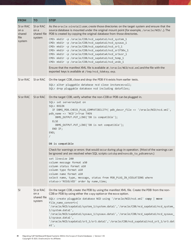| <b>FROM</b>                                   | <b>TO</b>                                  | <b>STEP</b>                                                                                                                                                                                                                                                                                                                                                                                                         |
|-----------------------------------------------|--------------------------------------------|---------------------------------------------------------------------------------------------------------------------------------------------------------------------------------------------------------------------------------------------------------------------------------------------------------------------------------------------------------------------------------------------------------------------|
| SI or RAC<br>on a<br>shared<br>file<br>system | SI or RAC<br>on a<br>shared file<br>system | As the oracle: oinstall user, create those directories on the target system and ensure that the<br>source database is mounted under the original mount point (for example, /oracle/NCD/). The<br>PDB is created by copying the original database from those directories.                                                                                                                                            |
|                                               |                                            | CMD> mkdir -p /oracle/CDB/ncd_sapdata1/ncd_system_1<br>CMD> mkdir -p /oracle/CDB/ncd_sapdata1/ncd_sysaux_1<br>CMD> mkdir -p /oracle/CDB/ncd_sapdata2/ncd_sr3_1<br>CMD> mkdir -p /oracle/CDB/ncd_sapdata3/ncd_sr3750x_1<br>CMD> mkdir -p /oracle/CDB/ncd_sapdata4/ncd_sr3usr_1<br>CMD> mkdir -p /oracle/CDB/ncd sapdata1/ncd temp 1<br>CMD> mkdir -p /oracle/CDB/ncd sapdata1/ncd undo 1                             |
|                                               |                                            | Ensure that the manifest XML file is available at /oracle/NCD/ncd.xml and the file with the<br>exported keys is available at /tmp/ncd_tdekey.exp.                                                                                                                                                                                                                                                                   |
| SI or RAC                                     | SI or RAC                                  | On the target CDB, close and drop the PDB if it exists from earlier tests.<br>SQL> alter pluggable database ncd close instances=all;<br>SQL> drop pluggable database ncd including datafiles;                                                                                                                                                                                                                       |
| SI or RAC                                     | SI or RAC                                  | On the target CDB, verify whether the non-CDB or PDB can be plugged in.                                                                                                                                                                                                                                                                                                                                             |
|                                               |                                            | SQL> set serveroutput on<br>SQL> BEGIN<br>IF DBMS_PDB.CHECK_PLUG_COMPATIBILITY( pdb_descr_file => '/oracle/NCD/ncd.xml',<br>pdb_name => 'NCD')=True THEN<br>DBMS_OUTPUT.PUT_LINE('DB is compatible');<br><b>ELSE</b><br>DBMS_OUTPUT.PUT_LINE('DB is not compatible');<br>END IF;<br>END;<br>$\sqrt{2}$                                                                                                              |
|                                               |                                            | DB is compatible                                                                                                                                                                                                                                                                                                                                                                                                    |
|                                               |                                            | Check for warnings or errors that would occur during plug-in operation. (Most of the warnings can<br>be ignored and are resolved when SQL scripts catsbp and noncdb_to_pdbare run.)                                                                                                                                                                                                                                 |
|                                               |                                            | set linesize 200<br>column message format a50<br>column status format a10<br>column type format a10<br>column name format a10<br>select name, type, message, status from PDB_PLUG_IN_VIOLATIONS where<br>status<>'RESOLVED' order by name, time;                                                                                                                                                                    |
| <sup>SI</sup>                                 | SI or RAC<br>on a<br>shared file<br>system | On the target CDB, create the PDB by using the manifest XML file. Create the PDB from the non-<br>CDB or PDB by using either the copy option or the move option.                                                                                                                                                                                                                                                    |
|                                               |                                            | SQL> create pluggable database NCD using '/oracle/NCD/ncd.xml' copy   move<br>file_name_convert=(<br>'/oracle/NCD/sapdata1/system_1/system.data1','/oracle/CDB/ncd_sapdata1/ncd_system_<br>1/system.data1',<br>'/oracle/NCD/sapdata1/sysaux_1/sysaux.data1','/oracle/CDB/ncd_sapdata1/ncd_sysaux_<br>1/sysaux.data1',<br>'/oracle/NCD/sapdata2/sr3_1/sr3.data1','/oracle/CDB/ncd_sapdata2/ncd_sr3_1/sr3.dat<br>a1', |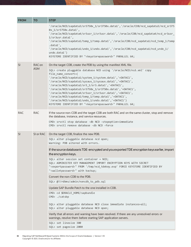| <b>FROM</b> | <b>TO</b>            | <b>STEP</b>                                                                                                                                                                                                                                                                                                                                                                                                                                                                                                                                                                                                                                                                                                                                                                                                                                                                                                                                                                                                                                                                            |
|-------------|----------------------|----------------------------------------------------------------------------------------------------------------------------------------------------------------------------------------------------------------------------------------------------------------------------------------------------------------------------------------------------------------------------------------------------------------------------------------------------------------------------------------------------------------------------------------------------------------------------------------------------------------------------------------------------------------------------------------------------------------------------------------------------------------------------------------------------------------------------------------------------------------------------------------------------------------------------------------------------------------------------------------------------------------------------------------------------------------------------------------|
|             |                      | '/oracle/NCD/sapdata3/sr3750x_1/sr3750x.data1','/oracle/CDB/ncd_sapdata3/ncd_sr375<br>0x 1/sr3750x.data1',<br>'/oracle/NCD/sapdata4/sr3usr_1/sr3usr.data1','/oracle/CDB/ncd_sapdata4/ncd_sr3usr_<br>1/sr3usr.data1',<br>'/oracle/NCD/sapdata1/temp_1/temp.data1','/oracle/CDB/ncd_sapdata1/ncd_temp_1/temp<br>.data',<br>'/oracle/NCD/sapdata1/undo_1/undo.data1','/oracle/CDB/ncd_sapdata1/ncd_undo_1/<br>undo.data')<br>KEYSTORE IDENTIFIED BY " <keystorepassword>" PARALLEL 64;</keystorepassword>                                                                                                                                                                                                                                                                                                                                                                                                                                                                                                                                                                                 |
| SI          | RAC on<br><b>ASM</b> | On the target CDB, create the PDB by using the manifest XML file.<br>SQL> create pluggable database NCD using '/oracle/NCD/ncd.xml' copy<br>file_name_convert=(<br>'/oracle/NCD/sapdata1/system_1/system.data1','+DATAC1',<br>'/oracle/NCD/sapdata1/sysaux_1/sysaux.data1','+DATAC1',<br>'/oracle/NCD/sapdata2/sr3_1/sr3.data1','+DATAC1',<br>'/oracle/NCD/sapdata3/sr3750x_1/sr3750x.data1','+DATAC1',<br>'/oracle/NCD/sapdata4/sr3usr_1/sr3usr.data1','+DATAC1',<br>'/oracle/NCD/sapdata1/temp_1/temp.data1','+DATAC1',<br>'/oracle/NCD/sapdata1/undo_1/undo.data1','+DATAC1')<br>KEYSTORE IDENTIFIED BY " <keystorepassword>" PARALLEL 64;</keystorepassword>                                                                                                                                                                                                                                                                                                                                                                                                                       |
| <b>RAC</b>  | RAC                  | If the source non-CDB and the target CDB are both RAC and on the same cluster, stop and remove<br>the database, instance, and service resources.<br>CMD> srvctl stop database -db NCD -stopoption=immediate<br>CMD> srvctl remove database -db NCD -force                                                                                                                                                                                                                                                                                                                                                                                                                                                                                                                                                                                                                                                                                                                                                                                                                              |
| SI          | SI or RAC            | On the target CDB, finalize the new PDB.<br>SQL> alter pluggable database ncd open;<br>Warning: PDB altered with errors.<br>If the source database is TDE-encrypted and you exported TDE encryption keys earlier, import<br>the encryption keys.<br>$SQL$ alter session set container = $NCD$ ;<br>SQL> ADMINISTER KEY MANAGEMENT IMPORT ENCRYPTION KEYS WITH SECRET<br>" <exportpassword>" FROM '/tmp/ncd_tdekey.exp' FORCE KEYSTORE IDENTIFIED BY<br/>"<walletpassword>" with backup;<br/>Convert the non-CDB to the PDB.<br/>SQL&gt; @?/rdbms/admin/noncdb_to_pdb.sql<br/>Update SAP Bundle Patch to the one installed in CDB.<br/>CMD&gt; cd \$ORACLE_HOME/sapbundle<br/>CMD&gt; ./catsbp<br/>SQL&gt; alter pluggable database NCD close immediate instances=all;<br/>SQL&gt; alter pluggable database NCD open;<br/>Verify that all errors and warning have been resolved. If there are any unresolved errors or<br/>warnings, resolve them before starting SAP application servers.<br/>SQL&gt; set linesize 300<br/>SQL&gt; set pagesize 2000</walletpassword></exportpassword> |

**32** Migrating SAP NetWeaver® Based Systems Within the Scope of Oracle Databases | Version 1.10 Copyright © 2021, Oracle and/or its affiliates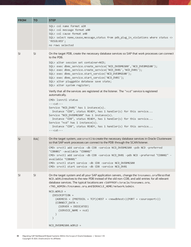| <b>FROM</b> | <b>TO</b>     | <b>STEP</b>                                                                                                                                                                                                                                                                                                                                                                                                                                                                                                                                                                                                                                                                                                                                                                                                                                                                                                                                                                                                |
|-------------|---------------|------------------------------------------------------------------------------------------------------------------------------------------------------------------------------------------------------------------------------------------------------------------------------------------------------------------------------------------------------------------------------------------------------------------------------------------------------------------------------------------------------------------------------------------------------------------------------------------------------------------------------------------------------------------------------------------------------------------------------------------------------------------------------------------------------------------------------------------------------------------------------------------------------------------------------------------------------------------------------------------------------------|
|             |               | SQL> col name format a20<br>SQL> col message format a80<br>SQL> col cause format a40<br>SQL> select name, cause, message, status from pdb_plug_in_violations where status <><br>'RESOLVED';<br>no rows selected                                                                                                                                                                                                                                                                                                                                                                                                                                                                                                                                                                                                                                                                                                                                                                                            |
| <b>SI</b>   | <sup>SI</sup> | On the target PDB, create the necessary database services so SAP that work processes can connect<br>to the PDB.<br>SQL> alter session set container=NCD;<br>SQL> exec dbms_service.create_service('NCD_DVEBMGS00','NCD_DVEBMGS00');<br>SQL> exec dbms_service.create_service('NCD_DV01','NCD_DV01');<br>SQL> exec dbms_service.start_service('NCD_DVEBMGS00');<br>SQL> exec dbms_service.start_service('NCD_DV01');<br>SQL> alter pluggable database save state;<br>SQL> alter system register;<br>Verify that all the services are registered at the listener. The "ncd" service is registered<br>automatically.<br>CMD> lsnrctl status<br>$---cut---$<br>Service "NCD_DV01" has 1 instance(s).<br>Instance "CDB", status READY, has 1 handler(s) for this service<br>Service "NCD_DVEBMGS00" has 1 instance(s).<br>Instance "CDB", status READY, has 1 handler(s) for this service<br>Service "ncd" has 1 instance(s).<br>Instance "CDB", status READY, has 1 handler(s) for this service<br>$---cut---$ |
| <b>SI</b>   | <b>RAC</b>    | On the target system, use srvct1 to create the necessary database services in Oracle Clusterware<br>so that SAP work processes can connect to the PDB through the SCAN listener.<br>CMD> srvctl add service -db CDB -service NCD_DVEBMGS00 -pdb NCD -preferred<br>"CDB001" -available "CDB002"<br>CMD> srvctl add service -db CDB -service NCD_DV01 -pdb NCD -preferred "CDB002" -<br>available "CDB001"<br>CMD> srvctl start service -db CDB -service NCD_DVEBMGS00<br>CMD> srvctl start service -db CDB -service NCD_DV01                                                                                                                                                                                                                                                                                                                                                                                                                                                                                |
| <b>SI</b>   | <sup>SI</sup> | On the target system and all your SAP application servers, change the tnsnames.ora fileso that<br>NCD. WORLD resolves to the new PDB instead of the old non-CDB, and add entries for all relevant<br>database services. The typical locations are <sapprof>/oracle/tnsnames.ora,<br/><tns_admin>/tnsnames.ora, and \$ORACLE_HOME/network/admin.<br/><math>NCD. WORLD =</math><br/>(DESCRIPTION =<br/><math>(ADDRESS = (PROTOCOL = TCP)(HOST = <newdbhost>) (PORT = <sourceptor))< math=""><br/>(CONNECT_DATA =<br/><math>(SERVER = DEDICATED)</math><br/>(SERVICE_NAME = ncd)<br/><math>\mathcal{E}</math><br/>NCD_DVEBMGS00.WORLD =</sourceptor))<></newdbhost></math></tns_admin></sapprof>                                                                                                                                                                                                                                                                                                              |

**33** Migrating SAP NetWeaver® Based Systems Within the Scope of Oracle Databases | Version 1.10 Copyright © 2021, Oracle and/or its affiliates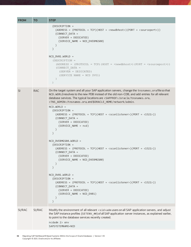| <b>FROM</b> | <b>TO</b>  | <b>STEP</b>                                                                                                                                                                                                                                                                                                                                                            |
|-------------|------------|------------------------------------------------------------------------------------------------------------------------------------------------------------------------------------------------------------------------------------------------------------------------------------------------------------------------------------------------------------------------|
|             |            | (DESCRIPTION =<br>$(ADDRESS = (PROTOCOL = TCP)(HOST = ) (PORT = (CONNECT_DATA =(SERVER = DEDICATED)(SERVICE_NAME = NCD_DVEBMGS00)\mathcal{E}NCD_DVO1.WORLD =(DESCRIPTION =(ADDRESS = (PROTOCOL = TCP) (HOST = \langle newdbhost \rangle) (PORT = \langle sourceport \rangle))(CONNECT DATA =(SERVER = DEDICATED)(SERVICE NAME = NCD DVO1))\mathcal{E}$                 |
| <b>SI</b>   | <b>RAC</b> | On the target system and all your SAP application servers, change the tnsnames.ora file so that<br>NCD. WORLD resolves to the new PDB instead of the old non-CDB, and add entries for all relevant<br>database services. The typical locations are <sapprof>/oracle/tnsnames.ora,<br/><tns_admin>/tnsnames.ora, and \$ORACLE_HOME/network/admin.</tns_admin></sapprof> |
|             |            | $NCD. WORLD =$<br>(DESCRIPTION =<br>$(ADDRESS = (PROTOCOL = TCP)(HOST = scanListener*)(PORT = (1521))$<br>(CONNECT_DATA =<br>$(SERVER = DEDICATED)$<br>(SERVICE_NAME = ncd)<br>$\mathcal{L}$<br>$\mathcal{E}$                                                                                                                                                          |
|             |            | NCD_DVEBMGS00.WORLD =<br>(DESCRIPTION =<br>$(ADDRESS = (PROTOCOL = TCP)(HOST = scanListener*)(PORT = (1521))$<br>(CONNECT_DATA =<br>$(SERVER = DEDICATED)$<br>(SERVICE_NAME = NCD_DVEBMGS00)                                                                                                                                                                           |
|             |            | NCD DV01.WORLD =<br>(DESCRIPTION =<br>$(ADDRESS = (PROTOCOL = TCP)(HOST = scanListener) (PORT = (1521))$<br>(CONNECT_DATA =<br>$(SERVER = DEDICATED)$<br>(SERVICE_NAME = NCD_DV01)<br>$\mathcal{E}$                                                                                                                                                                    |
| SI/RAC      | SI/RAC     | Modify the environment of all relevant <sid>admusers on all SAP application servers, and adjust<br/>the SAP instance profiles (SETENV_##) of all SAP application server instances, as explained earlier,<br/>to point to the database services recently created.<br/><math>ncdam</math> 2&gt; <math>env</math><br/>SAPSYSTEMNAME=NCD</sid>                             |

**34** Migrating SAP NetWeaver® Based Systems Within the Scope of Oracle Databases | Version 1.10 Copyright © 2021, Oracle and/or its affiliates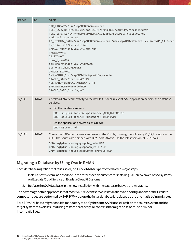| <b>FROM</b> | <b>TO</b> | <b>STEP</b>                                                                                                                                                                                                                                                                                                                                                                                                                                                                                                                                                                                                                                              |
|-------------|-----------|----------------------------------------------------------------------------------------------------------------------------------------------------------------------------------------------------------------------------------------------------------------------------------------------------------------------------------------------------------------------------------------------------------------------------------------------------------------------------------------------------------------------------------------------------------------------------------------------------------------------------------------------------------|
|             |           | DIR_LIBRARY=/usr/sap/NCD/SYS/exe/run<br>RSEC_SSFS_DATAPATH=/usr/sap/NCD/SYS/global/security/rsecssfs/data<br>RSEC_SSFS_KEYPATH=/usr/sap/NCD/SYS/global/security/rsecssfs/key<br>rsdb_ssfs_connect=1<br>LD_LIBRARY_PATH=/usr/sap/NCD/SYS/exe/run:/usr/sap/NCD/SYS/exe/uc/linuxx86_64:/orac<br>le/client/19/instantclient<br>SAPEXE=/usr/sap/NCD/SYS/exe/run<br>THREAD=NOPS<br>DB SID=NCD<br>dbms_type=ORA<br>dbs_ora_tnsname=NCD_DVEBMGS00<br>dbs_ora_schema=SAPSR3<br>ORACLE SID=NCD<br>TNS_ADMIN=/usr/sap/NCD/SYS/profile/oracle<br>ORACLE HOME=/oracle/NCD/19<br>NLS_LANG=AMERICAN_AMERICA.UTF8<br>SAPDATA_HOME=/oracle/NCD<br>ORACLE_BASE=/oracle/NCD |
| SI/RAC      | SI/RAC    | Check SQL*Net connectivity to the new PDB for all relevant SAP application servers and database<br>services.<br>On the database servers:<br>$\bullet$<br>CMD> sqlplus sapsr3/' <password>'@NCD_DVEBMGS00<br/>CMD&gt; sqlplus sapsr3/'<password>'@NCD_DV01<br/>• On the application servers as <math>\langle</math> sid &gt; adm:<br/>CMD&gt; R3trans -d</password></password>                                                                                                                                                                                                                                                                            |
| SI/RAC      | SI/RAC    | Create the SAP-specific users and roles in the PDB by running the following PL/SQL scripts in the<br>CDB. The scripts are shipped with BR*Tools. Always use the latest version of BR*Tools.<br>CMD> sqlplus /nolog @sapdba_role NCD<br>CMD> sqlplus /nolog @sapconn_role NCD<br>CMD> sqlplus /nolog @sapuprof_profile NCD                                                                                                                                                                                                                                                                                                                                |

#### <span id="page-34-0"></span>**Migrating a Database by Using Oracle RMAN**

Each database migration that relies solely on Oracle RMAN is performed in two major steps:

- 1. Install a new system, as described in the referenced documents for installing SAP NetWeaver-based systems on Exadata Cloud Service or Exadata Cloud@Customer.
- 2. Replace the SAP database in the new installation with the database that you are migrating.

The advantage of this approach is that most SAP-relevant software installations and configurations of the Exadata compute nodes are performed by SAP SWPM before the initial database is replaced by the one that is being migrated.

For all RMAN-based migrations, it is mandatory to apply the same SAP Bundle Patch on the source system and the target system to avoid issues during restore or recovery, or conflicts that might arise because of minor incompatibilities.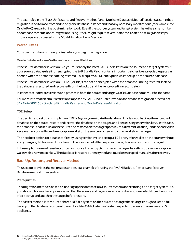The examples in the "Back [Up, Restore, and Recover Method](#page-35-0)" and "[Duplicate Database Method](#page-54-0)" sections assume that migration is performed from and to only one database instance and that any necessary modifications (for example, for Oracle RAC) are part of the post-migration work. Even if the source system and target system have the same number of database compute nodes, migrations using RMAN might require several database-related post-migration steps. Those steps are discussed in the "[Post-Migration](#page-73-0) Tasks" section.

#### **Prerequisites**

Consider the following prerequisites before you begin the migration.

**Oracle Database Home Software Versions and Patches**

If the source database is version 19c, you must apply the latest SAP Bundle Patch on the source and target systems. If your source database is still unencrypted, the SAP Bundle Patch contains important patches to encrypt tablespaces as needed whenthe databaseis being restored. This requires a TDE encryption wallet set up on the source database.

If the source database is version 12.1, 12.2, or 18c, it cannot be encrypted when the database is being restored. Instead, the database is restored and recovered from the backup and then encrypted in a second step.

In either case, software versions and patches in both the source and target Oracle Database home must be the same.

For more information about restrictions imposed by SAP Bundle Patch levels on the database migration process, see [SAP Note 3110260 -Oracle: SAP Bundle Patches and Oracle Database Migration.](https://launchpad.support.sap.com/#/notes/3110260)

#### **TDE Setup**

The best time to set up and implement TDE is *before* you migrate the database. This lets you back up the encrypted database on the source,restore and recover the database on the target, and keep existing encryption keys. In this case, the database is backed up on the source and restored on the target (possibly to a different location), and the encryption keys are transported from the encryption wallet on the source to a new encryption wallet on the target.

The next best option for databases already using version 19c is to set up a TDE encryption wallet on the source without encrypting any tablespaces. This allows TDE encryption of all tablespaces during database restore on the target.

If these options are not feasible, you can introduce TDE encryptiononly on the target by setting up a new encryption wallet with a new master key. The database is restored unencrypted and must be encrypted manually after recovery.

#### <span id="page-35-0"></span>**Back Up, Restore, and Recover Method**

This section provides the major steps and several examples for using the RMAN Back Up, Restore, and Recover Database method for migration.

#### **Prerequisites**

This migration method is based on backing up the database on a source system and restoring it on a target system. So, you should choose a backup destination that the source and target can access or that you can detach from the source after backup and attach to the target before restore.

The easiest method is to mount a shared NFS file system on the source and targetthatis large enough to keep a full backup of the database. You could use an Exadata ASM Cluster File System exported to source or an external ZFS appliance.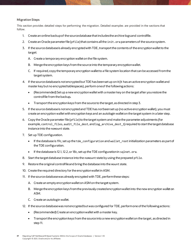# **Migration Steps**

This section provides detailed steps for performing the migration. Detailed examples are provided in the sections that follow.

- 1. Create an online backup of the source database that includes the archive logs and controlfile.
- 2. Create an Oracle parameter file (pfile) that contains all the init. or a parameters of the source system.
- 3. If the source database is already encrypted with TDE, transport the contents of the encryption wallet to the target:
	- A. Create a temporary encryption wallet on the file system.
	- B. Merge the encryption keys from the source into the temporary encryption wallet.
	- C. If required, copy the temporary encryption wallet to a file system location that can be accessed from the target system.
- 4. If the source database is notencrypted butTDE has been set up on it (it has an active encryption wallet and master key but no encrypted tablespaces), perform oneof the following actions:
	- (Recommended) Set up a new encryption wallet with a master key on the target after you restore the controlfile from the backup**.**
	- Transport the encryption keys from the source to the target, as directed in step 3.
- 5. If the source database is not encrypted and TDE has *not*been set up (no active encryption wallet), you must create an encryption wallet with encryption keys and an autologin wallet on the target system in a later step.
- 6. Copy the Oracle parameter file (pfile) to the target system and make the parameter adjustments (for example, control files, audit file dest, and log archive dest 1) required to start the target database instance into the nomount state.
- 7. Set up TDE configuration.
	- If the database is 19c, set up the tde configuration and wallet root initialization parameters as part of the TDE configuration.
	- If the database is 12.1, 12.2, or 18c, set up the TDE configuration in sqlnet.ora.
- 8. Start the target database instance into the nomount state by using the prepared pfile.
- 9. Restore the original controlfileand bring the database into the mount state.
- 10. Create the required directory for the encryption wallet in ASM.
- 11. If the source database was already encrypted with TDE, perform these steps:
	- A. Create an empty encryption wallet on ASM on the target system.
	- B. Merge the encryption keys from the previously created encryption wallet into the new encryption walleton ASM.
	- C. Create an autologin wallet.
- 12. If the source database was not encrypted but was configured for TDE, perform one of the following actions:
	- (Recommended) Create an encryption wallet with a master key.
	- Transport the encryptionkeys from the source into a new encryption wallet on the target, as directed in step 11.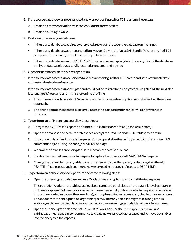- 13. If the source database was not encryptedand was *not*configured forTDE, perform these steps:
	- A. Create an empty encryption wallet on ASM on the target system.
	- B. Create an autologin wallet.
- 14. Restore and recover your database.
	- If the source database was already encrypted, restore and recover the database on the target.
	- If the source databasewas unencrypted but was on 19cwith the latest SAP Bundle Patches and had TDE set up, use the as encrypted clause during database restore.
	- If the source database was on 12.1, 12.2, or 18c and was unencrypted, defer the encryption of the database until your database is successfully restored, recovered, and opened.
- 15. Open the database with the resetlogs option
- 16. If the source database was not encryptedand was *not*configured for TDE, create and set a new master key and restart the database instance.

If the source database was unencrypted and could not be restored and encrypted during step 14, the next step is to encrypt it. You can perform this step online or offline.

- $\circ$  The offline approach (see step 17) can be optimized to complete encryption much faster than the online approach.
- o The online approach (see step 18) lets you access the database much earlier while encryption is in progress.
- 17. To perform an offline encryption, follow these steps:
	- A. Encrypt the SYSTEM tablespace and all the UNDO tablespaces offline (in the mount state).
	- B. Open the database and set all the tablespaces *except* the SYSTEM and UNDO tablespaces offline.
	- C. Encrypt each data file of those tablespaces. You can parallelize this task by scheduling the required DDL commands as jobs using the dbms\_scheduler package.
	- D. When all the data files are encrypted, set all the tablespaces back online.
	- E. Create an encrypted temporary tablespace to replace the unencrypted PSAPTEMP tablespace.
	- F. Change the default temporary tablespace to the new encrypted temporary tablespace, drop the old PSAPTEMP tablespace, and rename the new encrypted temporary tablespace to PSAPTEMP.
- 18. To perform an online encryption, perform one of the following steps:
	- Open the unencrypted database and use Oracle online encryption to encrypt all the tablespaces.

This operation works on the tablespace level and cannot be parallelized on the data-file level (as it can in offline encryption). Online encryption can be done either serially (tablespace by tablespace) or in parallel (more than one tablespace at the same time), although each tablespace is encrypted by only one process. This means that the encryption of large tablespaces with many data files might take a long time. In addition, each unencrypted data file is encrypted into a new encrypted data file with a different name.

• Open the unencrypted database, set up SAP BR\*Tools, and use the tablespace creation and tablespace reorganization commands to create new encrypted tablespaces and to move your tables into the encrypted tablespaces.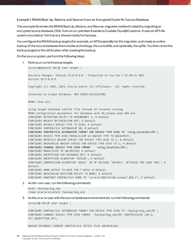**Example 1: RMAN Back Up, Restore, and Recover from an Encrypted Oracle 19c Source Database**

This example illustrates the RMAN Back Up, Restore, and Recover migration methodin detail by migrating an encrypted source database, ODA, from an on-premises Exadata to Exadata Cloud@Customer. It uses an NFS file system mounted at /backup as a shared media for backups.

You configure the RMAN backup targets (for example, on NFS) especially for the migration, and create an online backup of the source database that includes archive logs, the controlfile, and optionally, the spfile. You then revert the backup targets to the old location after creating the backup.

On the source system, perform the following steps:

1. Note your current backup targets.

[oracle@myhost1 dbs]\$ rman target / Recovery Manager: Release 19.0.0.0.0 - Production on Tue Jan 5 15:30:32 2021 Version 19.9.0.0.0 Copyright (c) 1982, 2019, Oracle and/or its affiliates. All rights reserved. connected to target database: ODA (DBID=3151516788) RMAN> show all; using target database control file instead of recovery catalog RMAN configuration parameters for database with db unique name ODA are: CONFIGURE RETENTION POLICY TO REDUNDANCY 1; # default CONFIGURE BACKUP OPTIMIZATION OFF; # default CONFIGURE DEFAULT DEVICE TYPE TO DISK; # default CONFIGURE CONTROLFILE AUTOBACKUP ON; # default **CONFIGURE CONTROLFILE AUTOBACKUP FORMAT FOR DEVICE TYPE DISK TO '<orig\_location>/%F';** CONFIGURE DEVICE TYPE DISK PARALLELISM 16 BACKUP TYPE TO BACKUPSET; CONFIGURE DATAFILE BACKUP COPIES FOR DEVICE TYPE DISK TO 1; # default CONFIGURE ARCHIVELOG BACKUP COPIES FOR DEVICE TYPE DISK TO 1; # default **CONFIGURE CHANNEL DEVICE TYPE DISK FORMAT '<orig\_location>/%U';** CONFIGURE MAXSETSIZE TO UNLIMITED; # default CONFIGURE ENCRYPTION FOR DATABASE OFF; # default CONFIGURE ENCRYPTION ALGORITHM 'AES128'; # default CONFIGURE COMPRESSION ALGORITHM 'BASIC' AS OF RELEASE 'DEFAULT' OPTIMIZE FOR LOAD TRUE ; # default CONFIGURE RMAN OUTPUT TO KEEP FOR 7 DAYS; # default CONFIGURE ARCHIVELOG DELETION POLICY TO NONE; # default CONFIGURE SNAPSHOT CONTROLFILE NAME TO '/oracle/ODA/19/dbs/snapcf\_ODA.f'; # default

2. As the root user, run the following commands:

mkdir /backup/mig\_oda chown oracle:oinstall /backup/mig\_oda

3. As the oracleuser with the source database environment set, run the following commands:

[oracle@ dbs]\$ rman target /

CONFIGURE CONTROLFILE AUTOBACKUP FORMAT FOR DEVICE TYPE DISK TO '/backup/mig\_ oda/%F'; CONFIGURE CHANNEL DEVICE TYPE DISK FORMAT '/backup/mig\_oda/%U' MAXPIECESIZE 128 G; SET ENCRYPTION OFF;

BACKUP DATABASE CURRENT CONTFOLFILE SPFILE PLUS ARCHIVELOG;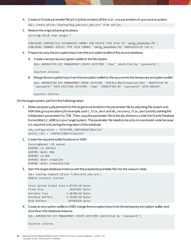- 4. Create an Oracle parameter file (pfile) that contains all the init.ora parameters of your source system. SQL> create pfile='/backup/mig\_oda/init\_oda.ora' from spfile;
- 5. Restore the original backup locations.

[oracle@ dbs]\$ rman target /

CONFIGURE CONTROLFILE AUTOBACKUP FORMAT FOR DEVICE TYPE DISK TO '**<orig\_location>**/%F'; CONFIGURE CHANNEL DEVICE TYPE DISK FORMAT '**<orig\_location>**/%U' MAXPIECESIZE 128 G;

## 6. Prepare to copy the encryption keys from the encryption wallet of the source database.

A. Create a temporary encryption wallet on the file system.

SQL> ADMINISTER KEY MANAGEMENT CREATE KEYSTORE '/tmp/' identified by "<password>";

keystore altered.

B. Merge the encryption keys from the encryption wallet on the source into the temporary encryption wallet.

SQL> ADMINISTER KEY MANAGEMENT MERGE KEYSTORE '+DATAC1/ODA/orawallet/tde/' IDENTIFIED BY "<password>" INTO EXISTING KEYSTORE '/tmp/' IDENTIFIED BY "<password>" WITH BACKUP;

keystore altered.

On the target system, perform the following steps:

1. Make necessary adjustments for the target environment in the parameterfile by adjusting file system and ASM disk group locations (for example, audit file dest and db recovery file dest) and by adding the initialization parameters for TDE. Then, copy the parameter file to the dbs directory under the Oracle Database home (ORACLE\_HOME) on your target system. The parameter file needs to be only on one cluster node because it is required only during the migration of the database.

tde configuration = 'KEYSTORE CONFIGURATION=FILE' wallet\_root = '+DATAC2/ODA/orawallet'

2. Create the required wallet locations on ASM.

[oracle@node1 ~]\$ asmcmd ASMCMD> cd +DATAC2 ASMCMD> mkdir ODA ASMCMD> cd ODA ASMCMD> mkdir orawallet ASMCMD> mkdir orawallet/tde

3. Start the target database instance with the prepared parameter file into the nomount state.

```
SQL> startup nomount pfile='?/dbs/init_oda.ora';
ORACLE instance started.
Total System Global Area 6.8719E+10 bytes
Fixed Size 26611816 bytes
Variable Size 3.3018E+10 bytes
Database Buffers 3.5568E+10 bytes
```
Redo Buffers 107601920 bytes

4. Create an encryption wallet on ASM, merge the encryption keys from the temporary encryption wallet, and shut down the database instance.

SQL> ADMINISTER KEY MANAGEMENT CREATE KEYSTORE identified by "<password>";

keystore altered.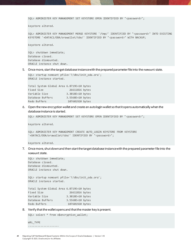SQL> ADMINISTER KEY MANAGEMENT SET KEYSTORE OPEN IDENTIFIED BY "<password>";

keystore altered.

SQL> ADMINISTER KEY MANAGEMENT MERGE KEYSTORE '/tmp/' IDENTIFIED BY "<password>" INTO EXISTING KEYSTORE '+DATAC1/ODA/orawallet/tde/' IDENTIFIED BY "<password>" WITH BACKUP;

keystore altered.

SQL> shutdown immediate; Database closed. Database dismounted. ORACLE instance shut down.

5. Once more, startthe target database instance with the prepared parameter file into the nomount state.

```
SQL> startup nomount pfile='?/dbs/init_oda.ora';
ORACLE instance started.
```

| Total System Global Area 6.8719E+10 bytes |                  |  |
|-------------------------------------------|------------------|--|
| Fixed Size                                | 26611816 bytes   |  |
| Variable Size                             | 3.3018E+10 bytes |  |
| Database Buffers                          | 3.5568E+10 bytes |  |
| Redo Buffers                              | 107601920 bytes  |  |

6. Open the new encryption wallet and create an autologin wallet so that it opens automatically when the database instance is started.

SQL> ADMINISTER KEY MANAGEMENT SET KEYSTORE OPEN IDENTIFIED BY "<password>";

keystore altered.

SQL> ADMINISTER KEY MANAGEMENT CREATE AUTO\_LOGIN KEYSTORE FROM KEYSTORE '+DATAC1/ODA/orawallet/tde/' IDENTIFIED BY "<password>";

keystore altered.

7. Once more, shutdown and then startthe target database instance with the prepared parameter file into the nomount state.

SQL> shutdown immediate; Database closed. Database dismounted. ORACLE instance shut down.

SQL> startup nomount pfile='?/dbs/init\_oda.ora'; ORACLE instance started.

| Total System Global Area 6.8719E+10 bytes |                  |  |
|-------------------------------------------|------------------|--|
| Fixed Size                                | 26611816 bytes   |  |
| Variable Size                             | 3.3018E+10 bytes |  |
| Database Buffers                          | 3.5568E+10 bytes |  |
| Redo Buffers                              | 107601920 bytes  |  |

8. Verify that the wallet opens and that the master key is present.

SQL> select \* from v\$encryption wallet;

WRL\_TYPE --------------------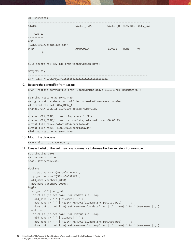|                                                      | WRL PARAMETER                                                |                                          |        |             |                |  |  |  |
|------------------------------------------------------|--------------------------------------------------------------|------------------------------------------|--------|-------------|----------------|--|--|--|
|                                                      | <b>STATUS</b>                                                | WALLET_TYPE WALLET_OR KEYSTORE FULLY_BAC |        |             |                |  |  |  |
|                                                      | CON_ID                                                       |                                          |        |             |                |  |  |  |
|                                                      | <b>ASM</b><br>+DATAC1/ODA/orawallet/tde/<br><b>OPEN</b><br>0 | <b>AUTOLOGIN</b>                         | SINGLE | <b>NONE</b> | N <sub>O</sub> |  |  |  |
|                                                      | SQL> select max(key_id) from v\$encryption_keys;             |                                          |        |             |                |  |  |  |
|                                                      | MAX(KEY ID)                                                  |                                          |        |             |                |  |  |  |
| Ae/pik4KoU/ov/VbX9QoMEkAAAAAAAAAAAAAAAAAAAAAAAAAAAAA |                                                              |                                          |        |             |                |  |  |  |

### 9. Restore the controlfile from backup.

RMAN> restore controlfile from '/backup/mig\_oda/c-3151516788-20201009-00';

Starting restore at 09-OCT-20 using target database controlfile instead of recovery catalog allocated channel: ORA\_DISK\_1 channel ORA\_DISK\_1: SID=2109 device type=DISK

```
channel ORA_DISK_1: restoring control file
channel ORA_DISK_1: restore complete, elapsed time: 00:00:03
output file name=+DATAC1/ODA/cntrloda.dbf
output file name=+RECOC1/ODA/cntrloda.dbf
Finished restore at 09-OCT-20
```
10. Mount the database.

RMAN> alter database mount;

11. Create the list of the set newname commands to be used in the next step. For example:

```
set linesize 1000
set serveroutput on
spool setnewname.sql
declare
   src_pat varchar2(50):='+DATAC1';
   tgt_pat varchar2(50):='+DATAC2';
   old_name varchar2(2000);
  new_name varchar2(2000);
begin
   src_pat:='^'||src_pat;
   for c1 in (select name from v$datafile) loop
    old name := ''''||c1.name||'''';
    new_name := ''''||REGEXP_REPLACE(c1.name,src_pat,tgt_pat)||'''';
    dbms_output.put_line('set newname for datafile '||old_name||' to '||new_name||';');
   end loop;
   for c1 in (select name from v$tempfile) loop
     old_name := ''''||c1.name||'''';
    new_name := ''''||REGEXP_REPLACE(c1.name,src_pat,tgt_pat)||'''';
     dbms_output.put_line('set newname for tempfile '||old_name||' to '||new_name||';');
```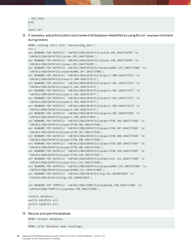```
 end loop; 
end;
/
spool off
```
12. If necessary, adjustthe locations and names of all database-related files by using the set newname command during restore.

```
RMAN> catalog start with '/backup/mig_oda/';
run {
set NEWNAME FOR DATAFILE '+DATAC1/ODA/DATAFILE/system.295.1042756999' to 
'+DATAC2/ODA/DATAFILE/system.295.1042756999';
set NEWNAME FOR DATAFILE '+DATAC1/ODA/DATAFILE/sysaux.296.1042756999' to 
'+DATAC2/ODA/DATAFILE/sysaux.296.1042756999';
set NEWNAME FOR DATAFILE '+DATAC1/ODA/DATAFILE/psapundo001.297.1042757001' to 
'+DATAC2/ODA/DATAFILE/psapundo001.297.1042757001';
set NEWNAME FOR DATAFILE '+DATAC1/ODA/DATAFILE/psapsr3.300.1042757673' to 
'+DATAC2/ODA/DATAFILE/psapsr3.300.1042757673';
set NEWNAME FOR DATAFILE '+DATAC1/ODA/DATAFILE/psapsr3.301.1042757675' to 
'+DATAC2/ODA/DATAFILE/psapsr3.301.1042757675';
set NEWNAME FOR DATAFILE '+DATAC1/ODA/DATAFILE/psapsr3.302.1042757677' to 
'+DATAC2/ODA/DATAFILE/psapsr3.302.1042757677';
set NEWNAME FOR DATAFILE '+DATAC1/ODA/DATAFILE/psapsr3.303.1042757677' to 
'+DATAC2/ODA/DATAFILE/psapsr3.303.1042757677';
set NEWNAME FOR DATAFILE '+DATAC1/ODA/DATAFILE/psapsr3.304.1042757679' to
'+DATAC2/ODA/DATAFILE/psapsr3.304.1042757679';
set NEWNAME FOR DATAFILE '+DATAC1/ODA/DATAFILE/psapsr3.305.1042757681' to 
'+DATAC2/ODA/DATAFILE/psapsr3.305.1042757681';
set NEWNAME FOR DATAFILE '+DATAC1/ODA/DATAFILE/psapsr3750.306.1042757681' to 
'+DATAC2/ODA/DATAFILE/psapsr3750.306.1042757681';
set NEWNAME FOR DATAFILE '+DATAC1/ODA/DATAFILE/psapsr3750.307.1042757683' to 
'+DATAC2/ODA/DATAFILE/psapsr3750.307.1042757683';
set NEWNAME FOR DATAFILE '+DATAC1/ODA/DATAFILE/psapsr3750.308.1042757685' to 
'+DATAC2/ODA/DATAFILE/psapsr3750.308.1042757685';
set NEWNAME FOR DATAFILE '+DATAC1/ODA/DATAFILE/psapsr3750.309.1042757687' to 
'+DATAC2/ODA/DATAFILE/psapsr3750.309.1042757687';
set NEWNAME FOR DATAFILE '+DATAC1/ODA/DATAFILE/psapsr3750.310.1042757687' to 
'+DATAC2/ODA/DATAFILE/psapsr3750.310.1042757687';
set NEWNAME FOR DATAFILE '+DATAC1/ODA/DATAFILE/psapsr3usr.311.1042757689' to 
'+DATAC2/ODA/DATAFILE/psapsr3usr.311.1042757689';
set NEWNAME FOR DATAFILE '+DATAC1/ODA/DATAFILE/psapundo002.312.1042757689' to 
'+DATAC2/ODA/DATAFILE/psapundo002.312.1042757689';
set NEWNAME FOR DATAFILE '+DATAC1/ODA/DATAFILE/big.341.1049019829' to 
'+DATAC2/ODA/DATAFILE/big.341.1049019829';
set NEWNAME FOR TEMPFILE '+DATAC1/ODA/TEMPFILE/psaptemp.298.1042757001' to 
'+DATAC2/ODA/TEMPFILE/psaptemp.298.1042757001';
restore database;
```

```
switch datafile all;
switch tempfile all;
}
```
## 13. Recover and open the database.

RMAN> recover database;

RMAN> alter database open resetlogs;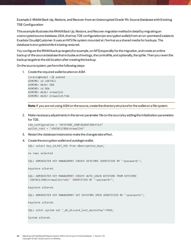**Example 2: RMAN Back Up, Restore, and Recover from an Unencrypted Oracle 19c Source Database with Existing TDE Configuration**

This example illustrates the RMAN Back Up, Restore, and Recover migration methodin detail by migrating an unencrypted source database, ODA, that has TDE configuration (an encryption wallet) from an on-premises Exadata to Exadata Cloud@Customer. It uses an NFS file system mounted at /backup as a shared media for backups. The database is encrypted while it is being restored.

You configure the RMAN backup targets (for example, on NFS) especially for the migration, and create an online backup of the source database that includes archive logs, the controlfile, and optionally, the spfile. Then you revert the backup targets to the old location after creating the backup.

On the source system, perform the following steps:

1. Create the required wallet location on ASM.

[oracle@node1 ~]\$ asmcmd ASMCMD> cd +DATAC1 ASMCMD> mkdir ODA ASMCMD> cd ODA ASMCMD> mkdir orawallet ASMCMD> mkdir orawallet/tde

**Note**: If you are not using ASM on the source, create the directory structure for the wallet on a file system.

2. Make necessary adjustments in the server parameter file on the source by adding the initialization parameters for TDE.

```
tde configuration = 'KEYSTORE CONFIGURATION=FILE'
wallet_root = '+DATAC1/ODA/orawallet'
```
- 3. Restart the database instances to make the changes take effect.
- 4. Create the encryption wallet and autologin wallet.

SQL> select key\_id,KEY\_USE from v\$encryption\_keys;

no rows selected

SQL> ADMINISTER KEY MANAGEMENT CREATE KEYSTORE IDENTIFIED BY "<password>";

keystore altered.

SQL> ADMINISTER KEY MANAGEMENT CREATE AUTO\_LOGIN KEYSTORE FROM KEYSTORE '+DATAC1/ODA/orawallet/tde/' IDENTIFIED BY "<password>";

keystore altered.

SQL> ADMINISTER KEY MANAGEMENT SET KEYSTORE OPEN IDENTIFIED BY "<password>";

keystore altered.

SQL> alter system set "\_db\_discard\_lost\_masterkey"=TRUE;

System altered.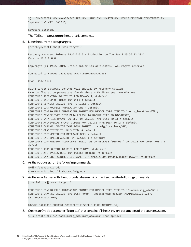SQL> ADMINISTER KEY MANAGEMENT SET KEY USING TAG 'MASTERKEY' FORCE KEYSTORE IDENTIFIED BY "<password>" WITH BACKUP;

keystore altered.

The TDE configuration on the source is complete.

5. Note the current backup targets.

[oracle@myhost1 dbs]\$ rman target /

Recovery Manager: Release 19.0.0.0.0 - Production on Tue Jan 5 15:30:32 2021 Version 19.9.0.0.0

Copyright (c) 1982, 2019, Oracle and/or its affiliates. All rights reserved.

connected to target database: ODA (DBID=3151516788)

RMAN> show all;

using target database control file instead of recovery catalog RMAN configuration parameters for database with db unique name ODA are: CONFIGURE RETENTION POLICY TO REDUNDANCY 1; # default CONFIGURE BACKUP OPTIMIZATION OFF; # default CONFIGURE DEFAULT DEVICE TYPE TO DISK; # default CONFIGURE CONTROLFILE AUTOBACKUP ON; # default **CONFIGURE CONTROLFILE AUTOBACKUP FORMAT FOR DEVICE TYPE DISK TO '<orig\_location>/%F';** CONFIGURE DEVICE TYPE DISK PARALLELISM 16 BACKUP TYPE TO BACKUPSET; CONFIGURE DATAFILE BACKUP COPIES FOR DEVICE TYPE DISK TO 1; # default CONFIGURE ARCHIVELOG BACKUP COPIES FOR DEVICE TYPE DISK TO 1; # default **CONFIGURE CHANNEL DEVICE TYPE DISK FORMAT '<orig\_location>/%U';** CONFIGURE MAXSETSIZE TO UNLIMITED; # default CONFIGURE ENCRYPTION FOR DATABASE OFF; # default CONFIGURE ENCRYPTION ALGORITHM 'AES128'; # default CONFIGURE COMPRESSION ALGORITHM 'BASIC' AS OF RELEASE 'DEFAULT' OPTIMIZE FOR LOAD TRUE ; # default CONFIGURE RMAN OUTPUT TO KEEP FOR 7 DAYS; # default CONFIGURE ARCHIVELOG DELETION POLICY TO NONE; # default CONFIGURE SNAPSHOT CONTROLFILE NAME TO '/oracle/ODA/19/dbs/snapcf\_ODA.f'; # default

6. As the root user, run the following commands:

mkdir /backup/mig\_oda chown oracle:oinstall /backup/mig\_oda

7. As the oracleuser with the source database environment set, run the following commands:

[oracle@ dbs]\$ rman target /

CONFIGURE CONTROLFILE AUTOBACKUP FORMAT FOR DEVICE TYPE DISK TO '/backup/mig\_ oda/%F'; CONFIGURE CHANNEL DEVICE TYPE DISK FORMAT '/backup/mig\_oda/%U' MAXPIECESIZE 128 G; SET ENCRYPTION OFF;

BACKUP DATABASE CURRENT CONTFOLFILE SPFILE PLUS ARCHIVELOG;

8. Create an Oracle parameter file (pfile) that contains all the init.ora parameters of the source system.

SQL> create pfile='/backup/mig\_oda/init\_oda.ora' from spfile;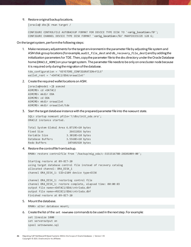### 9. Restore original backup locations.

[oracle@ dbs]\$ rman target /

CONFIGURE CONTROLFILE AUTOBACKUP FORMAT FOR DEVICE TYPE DISK TO '**<orig\_location>**/%F'; CONFIGURE CHANNEL DEVICE TYPE DISK FORMAT '**<orig\_location>**/%U' MAXPIECESIZE 128 G;

On the target system, perform the following steps:

1. Make necessary adjustments for the target environment in the parameterfile by adjusting file system and ASM disk group locations (for example, audit\_file\_dest and db\_recovery\_file\_dest) and by adding the initialization parameters for TDE. Then, copy the parameter file to the dbs directory under the Oracle Database home (ORACLE\_HOME) on your target system. The parameter file needs to be only on one cluster node because it is required only during the migration of the database.

```
tde_configuration = 'KEYSTORE_CONFIGURATION=FILE'
wallet root = '+DATAC2/ODA/orawallet'
```
2. Create the required wallet locations on ASM.

```
[oracle@node1 ~]$ asmcmd
ASMCMD> cd +DATAC2
ASMCMD> mkdir ODA
ASMCMD> cd ODA
ASMCMD> mkdir orawallet
ASMCMD> mkdir orawallet/tde
```
3. Start the target database instance with the prepared parameter file into the nomount state.

```
SQL> startup nomount pfile='?/dbs/init_oda.ora';
ORACLE instance started.
```

| Total System Global Area 6.8719E+10 bytes |                  |  |
|-------------------------------------------|------------------|--|
| Fixed Size                                | 26611816 bytes   |  |
| Variable Size                             | 3.3018E+10 bytes |  |
| Database Buffers                          | 3.5568E+10 bytes |  |
| Redo Buffers                              | 107601920 bytes  |  |

4. Restore the controlfile from backup.

RMAN> restore controlfile from '/backup/mig\_oda/c-3151516788-20201009-00';

Starting restore at 09-OCT-20 using target database control file instead of recovery catalog allocated channel: ORA\_DISK\_1 channel ORA\_DISK\_1: SID=2109 device type=DISK

channel ORA\_DISK\_1: restoring control file channel ORA\_DISK\_1: restore complete, elapsed time: 00:00:03 output file name=+DATAC1/ODA/cntrloda.dbf output file name=+RECOC1/ODA/cntrloda.dbf Finished restore at 09-OCT-20

5. Mount the database.

RMAN> alter database mount;

6. Create the list of the set newname commands to be used in the next step. For example:

```
set linesize 1000
set serveroutput on
spool setnewname.sql
```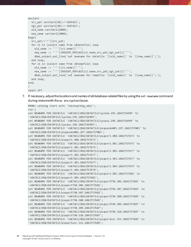```
declare
  src pat varchar2(50):='+DATAC1';
   tgt_pat varchar2(50):='+DATAC2';
  old name varchar2(2000);
  new name varchar2(2000);
begin
   src_pat:='^'||src_pat;
   for c1 in (select name from v$datafile) loop
    old name := ''''||c1.name||'''';
    new name := ''''||REGEXP REPLACE(c1.name,src pat,tgt pat)||'''';
     dbms_output.put_line('set newname for datafile '||old_name||' to '||new_name||';');
   end loop;
   for c1 in (select name from v$tempfile) loop
    old name := ''''||c1.name||'''';
    new name := ''''||REGEXP REPLACE(c1.name,src pat,tgt pat)||'''';
    dbms output.put line('set newname for tempfile '||old name||' to '||new name||';');
   end loop; 
end;
/
spool off
```
7. If necessary, adjust the locations and names of all database-related files by using the set newname command during restore with the as encrypted clause.

```
RMAN> catalog start with '/backup/mig_oda/';
run {
set NEWNAME FOR DATAFILE '+DATAC1/ODA/DATAFILE/system.295.1042756999' to 
'+DATAC2/ODA/DATAFILE/system.295.1042756999';
set NEWNAME FOR DATAFILE '+DATAC1/ODA/DATAFILE/sysaux.296.1042756999' to 
'+DATAC2/ODA/DATAFILE/sysaux.296.1042756999';
set NEWNAME FOR DATAFILE '+DATAC1/ODA/DATAFILE/psapundo001.297.1042757001' to 
'+DATAC2/ODA/DATAFILE/psapundo001.297.1042757001';
set NEWNAME FOR DATAFILE '+DATAC1/ODA/DATAFILE/psapsr3.300.1042757673' to 
'+DATAC2/ODA/DATAFILE/psapsr3.300.1042757673';
set NEWNAME FOR DATAFILE '+DATAC1/ODA/DATAFILE/psapsr3.301.1042757675' to 
'+DATAC2/ODA/DATAFILE/psapsr3.301.1042757675';
set NEWNAME FOR DATAFILE '+DATAC1/ODA/DATAFILE/psapsr3.302.1042757677' to 
'+DATAC2/ODA/DATAFILE/psapsr3.302.1042757677';
set NEWNAME FOR DATAFILE '+DATAC1/ODA/DATAFILE/psapsr3.303.1042757677' to 
'+DATAC2/ODA/DATAFILE/psapsr3.303.1042757677';
set NEWNAME FOR DATAFILE '+DATAC1/ODA/DATAFILE/psapsr3.304.1042757679' to 
'+DATAC2/ODA/DATAFILE/psapsr3.304.1042757679';
set NEWNAME FOR DATAFILE '+DATAC1/ODA/DATAFILE/psapsr3.305.1042757681' to 
'+DATAC2/ODA/DATAFILE/psapsr3.305.1042757681';
set NEWNAME FOR DATAFILE '+DATAC1/ODA/DATAFILE/psapsr3750.306.1042757681' to 
'+DATAC2/ODA/DATAFILE/psapsr3750.306.1042757681';
set NEWNAME FOR DATAFILE '+DATAC1/ODA/DATAFILE/psapsr3750.307.1042757683' to 
'+DATAC2/ODA/DATAFILE/psapsr3750.307.1042757683';
set NEWNAME FOR DATAFILE '+DATAC1/ODA/DATAFILE/psapsr3750.308.1042757685' to 
'+DATAC2/ODA/DATAFILE/psapsr3750.308.1042757685';
set NEWNAME FOR DATAFILE '+DATAC1/ODA/DATAFILE/psapsr3750.309.1042757687' to 
'+DATAC2/ODA/DATAFILE/psapsr3750.309.1042757687';
set NEWNAME FOR DATAFILE '+DATAC1/ODA/DATAFILE/psapsr3750.310.1042757687' to 
'+DATAC2/ODA/DATAFILE/psapsr3750.310.1042757687';
set NEWNAME FOR DATAFILE '+DATAC1/ODA/DATAFILE/psapsr3usr.311.1042757689' to 
'+DATAC2/ODA/DATAFILE/psapsr3usr.311.1042757689';
```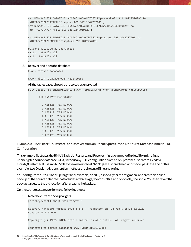```
set NEWNAME FOR DATAFILE '+DATAC1/ODA/DATAFILE/psapundo002.312.1042757689' to 
'+DATAC2/ODA/DATAFILE/psapundo002.312.1042757689';
set NEWNAME FOR DATAFILE '+DATAC1/ODA/DATAFILE/big.341.1049019829' to 
'+DATAC2/ODA/DATAFILE/big.341.1049019829';
```

```
set NEWNAME FOR TEMPFILE '+DATAC1/ODA/TEMPFILE/psaptemp.298.1042757001' to 
'+DATAC2/ODA/TEMPFILE/psaptemp.298.1042757001';
```

```
restore database as encrypted;
switch datafile all;
switch tempfile all;
}
```
8. Recover and open the database.

```
RMAN> recover database;
```
RMAN> alter database open resetlogs;

### All the tablespaces should be reported as encrypted.

```
SOL> select TS#, ENCRYPTIONALG, ENCRYPTEDTS, STATUS from v$encrypted tablespaces;
```
 TS# ENCRYPT ENC STATUS ---------- ------- --- ---------- 0 AES128 YES NORMAL 1 AES128 YES NORMAL 2 AES128 YES NORMAL 4 AES128 YES NORMAL 5 AES128 YES NORMAL 6 AES128 YES NORMAL 7 AES128 YES NORMAL 8 AES128 YES NORMAL 9 AES128 YES NORMAL

**Example 3: RMAN Back Up, Restore, and Recover from an Unencrypted Oracle 19c Source Database with No TDE Configuration**

This example illustrates the RMAN Back Up, Restore, and Recover migration methodin detail by migrating an unencrypted source database, ODA, without any TDE configurationfrom an on-premises Exadata to Exadata Cloud@Customer. It uses an NFS file system mounted at /backup as a shared media for backups. At the end of this example, two Oraclenative encryption methods are shown: offline and online.

You configure the RMAN backup targets (for example, on NFS) especially for the migration, and create an online backup of the source database that includes archive logs, the controlfile, and optionally, the spfile. You then revert the backup targets to the old location after creating the backup.

On the source system, perform the following steps:

1. Note the current backup targets.

```
[oracle@myhost1 dbs]$ rman target /
Recovery Manager: Release 19.0.0.0.0 - Production on Tue Jan 5 15:30:32 2021
Version 19.9.0.0.0
Copyright (c) 1982, 2019, Oracle and/or its affiliates. All rights reserved.
connected to target database: ODA (DBID=3151516788)
```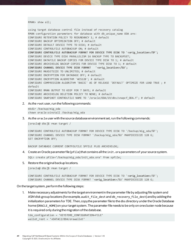RMAN> show all;

using target database control file instead of recovery catalog RMAN configuration parameters for database with db unique name ODA are: CONFIGURE RETENTION POLICY TO REDUNDANCY 1; # default CONFIGURE BACKUP OPTIMIZATION OFF; # default CONFIGURE DEFAULT DEVICE TYPE TO DISK; # default CONFIGURE CONTROLFILE AUTOBACKUP ON; # default **CONFIGURE CONTROLFILE AUTOBACKUP FORMAT FOR DEVICE TYPE DISK TO '<orig\_location>/%F';** CONFIGURE DEVICE TYPE DISK PARALLELISM 16 BACKUP TYPE TO BACKUPSET; CONFIGURE DATAFILE BACKUP COPIES FOR DEVICE TYPE DISK TO 1; # default CONFIGURE ARCHIVELOG BACKUP COPIES FOR DEVICE TYPE DISK TO 1; # default **CONFIGURE CHANNEL DEVICE TYPE DISK FORMAT '<orig\_location>/%U';** CONFIGURE MAXSETSIZE TO UNLIMITED; # default CONFIGURE ENCRYPTION FOR DATABASE OFF; # default CONFIGURE ENCRYPTION ALGORITHM 'AES128'; # default CONFIGURE COMPRESSION ALGORITHM 'BASIC' AS OF RELEASE 'DEFAULT' OPTIMIZE FOR LOAD TRUE ; # default CONFIGURE RMAN OUTPUT TO KEEP FOR 7 DAYS; # default CONFIGURE ARCHIVELOG DELETION POLICY TO NONE; # default CONFIGURE SNAPSHOT CONTROLFILE NAME TO '/oracle/ODA/19/dbs/snapcf\_ODA.f'; # default

2. As the root user, run the following commands:

mkdir /backup/mig\_oda chown oracle:oinstall /backup/mig\_oda

3. As the oracleuser with the source database environment set, run the following commands:

[oracle@ dbs]\$ rman target /

CONFIGURE CONTROLFILE AUTOBACKUP FORMAT FOR DEVICE TYPE DISK TO '/backup/mig\_ oda/%F'; CONFIGURE CHANNEL DEVICE TYPE DISK FORMAT '/backup/mig\_oda/%U' MAXPIECESIZE 128 G; SET ENCRYPTION OFF;

BACKUP DATABASE CURRENT CONTFOLFILE SPFILE PLUS ARCHIVELOG;

4. Create an Oracle parameter file (pfile) that contains all the init.ora parameters of your source system.

SQL> create pfile='/backup/mig\_oda/init\_oda.ora' from spfile;

5. Restore the original backup locations.

[oracle@ dbs]\$ rman target /

CONFIGURE CONTROLFILE AUTOBACKUP FORMAT FOR DEVICE TYPE DISK TO '**<orig\_location>**/%F'; CONFIGURE CHANNEL DEVICE TYPE DISK FORMAT '**<orig\_location>**/%U' MAXPIECESIZE 128 G;

On the target system, perform the following steps:

1. Make necessary adjustments for the target environment in the parameterfile by adjusting file system and ASM disk group locations (for example, audit\_file\_dest and db\_recovery\_file\_dest) and by adding the initialization parameters for TDE. Then, copy the parameter file to the dbs directory under the Oracle Database home (ORACLE\_HOME) on your target system. The parameter file needs to be only on one cluster node because it is required only during the migration of the database.

```
tde configuration = 'KEYSTORE CONFIGURATION=FILE'
wallet_root = '+DATAC2/ODA/orawallet'
```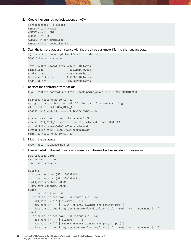2. Create the required wallet locations on ASM.

```
[oracle@node1 ~]$ asmcmd
ASMCMD> cd +DATAC2
ASMCMD> mkdir ODA
ASMCMD> cd ODA
ASMCMD> mkdir orawallet
ASMCMD> mkdir orawallet/tde
```
3. Start the target database instance with the prepared parameter file into the nomount state.

```
SQL> startup nomount pfile='?/dbs/init_oda.ora';
ORACLE instance started.
```

```
Total System Global Area 6.8719E+10 bytes
Fixed Size 26611816 bytes
Variable Size 3.3018E+10 bytes
Database Buffers 3.5568E+10 bytes
Redo Buffers 107601920 bytes
```
### 4. Restore the controlfile from backup.

RMAN> restore controlfile from '/backup/mig\_oda/c-3151516788-20201009-00';

Starting restore at 09-OCT-20 using target database control file instead of recovery catalog allocated channel: ORA DISK 1 channel ORA\_DISK\_1: SID=2109 device type=DISK

```
channel ORA DISK 1: restoring control file
channel ORA_DISK_1: restore complete, elapsed time: 00:00:03
output file name=+DATAC1/ODA/cntrloda.dbf
output file name=+RECOC1/ODA/cntrloda.dbf
Finished restore at 09-OCT-20
```
5. Mount the database.

RMAN> alter database mount;

6. Create the list of the set newname commands to be used in the next step. For example:

```
set linesize 1000
set serveroutput on
spool setnewname.sql
declare
  src pat varchar2(50):='+DATAC1';
   tgt_pat varchar2(50):='+DATAC2';
  old name varchar2(2000);
  new name varchar2(2000);
begin
  src_pat:='^'||src_pat;
   for c1 in (select name from v$datafile) loop
   old name := ''''||c1.name||'''';
   new name := ''''||REGEXP REPLACE(c1.name,src pat,tgt pat)||'''';
    dbms_output.put_line('set newname for datafile '||old_name||' to '||new_name||';');
   end loop;
   for c1 in (select name from v$tempfile) loop
    old name := ''''||c1.name||'''';
    new_name := ''''||REGEXP_REPLACE(c1.name,src_pat,tgt_pat)||'''';
     dbms_output.put_line('set newname for tempfile '||old_name||' to '||new_name||';');
```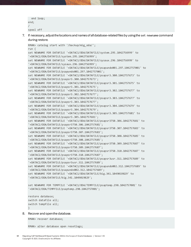```
 end loop; 
end;
/
spool off
```
7. If necessary, adjustthe locations and names of all database-related files by using the set newname command during restore.

```
RMAN> catalog start with '/backup/mig_oda/';
run {
set NEWNAME FOR DATAFILE '+DATAC1/ODA/DATAFILE/system.295.1042756999' to 
'+DATAC2/ODA/DATAFILE/system.295.1042756999';
set NEWNAME FOR DATAFILE '+DATAC1/ODA/DATAFILE/sysaux.296.1042756999' to 
'+DATAC2/ODA/DATAFILE/sysaux.296.1042756999';
set NEWNAME FOR DATAFILE '+DATAC1/ODA/DATAFILE/psapundo001.297.1042757001' to 
'+DATAC2/ODA/DATAFILE/psapundo001.297.1042757001';
set NEWNAME FOR DATAFILE '+DATAC1/ODA/DATAFILE/psapsr3.300.1042757673' to 
'+DATAC2/ODA/DATAFILE/psapsr3.300.1042757673';
set NEWNAME FOR DATAFILE '+DATAC1/ODA/DATAFILE/psapsr3.301.1042757675' to 
'+DATAC2/ODA/DATAFILE/psapsr3.301.1042757675';
set NEWNAME FOR DATAFILE '+DATAC1/ODA/DATAFILE/psapsr3.302.1042757677' to 
'+DATAC2/ODA/DATAFILE/psapsr3.302.1042757677';
set NEWNAME FOR DATAFILE '+DATAC1/ODA/DATAFILE/psapsr3.303.1042757677' to 
'+DATAC2/ODA/DATAFILE/psapsr3.303.1042757677';
set NEWNAME FOR DATAFILE '+DATAC1/ODA/DATAFILE/psapsr3.304.1042757679' to 
'+DATAC2/ODA/DATAFILE/psapsr3.304.1042757679';
set NEWNAME FOR DATAFILE '+DATAC1/ODA/DATAFILE/psapsr3.305.1042757681' to 
'+DATAC2/ODA/DATAFILE/psapsr3.305.1042757681';
set NEWNAME FOR DATAFILE '+DATAC1/ODA/DATAFILE/psapsr3750.306.1042757681' to 
'+DATAC2/ODA/DATAFILE/psapsr3750.306.1042757681';
set NEWNAME FOR DATAFILE '+DATAC1/ODA/DATAFILE/psapsr3750.307.1042757683' to 
'+DATAC2/ODA/DATAFILE/psapsr3750.307.1042757683';
set NEWNAME FOR DATAFILE '+DATAC1/ODA/DATAFILE/psapsr3750.308.1042757685' to 
'+DATAC2/ODA/DATAFILE/psapsr3750.308.1042757685';
set NEWNAME FOR DATAFILE '+DATAC1/ODA/DATAFILE/psapsr3750.309.1042757687' to 
'+DATAC2/ODA/DATAFILE/psapsr3750.309.1042757687';
set NEWNAME FOR DATAFILE '+DATAC1/ODA/DATAFILE/psapsr3750.310.1042757687' to 
'+DATAC2/ODA/DATAFILE/psapsr3750.310.1042757687';
set NEWNAME FOR DATAFILE '+DATAC1/ODA/DATAFILE/psapsr3usr.311.1042757689' to 
'+DATAC2/ODA/DATAFILE/psapsr3usr.311.1042757689';
set NEWNAME FOR DATAFILE '+DATAC1/ODA/DATAFILE/psapundo002.312.1042757689' to 
'+DATAC2/ODA/DATAFILE/psapundo002.312.1042757689';
set NEWNAME FOR DATAFILE '+DATAC1/ODA/DATAFILE/big.341.1049019829' to 
'+DATAC2/ODA/DATAFILE/big.341.1049019829';
set NEWNAME FOR TEMPFILE '+DATAC1/ODA/TEMPFILE/psaptemp.298.1042757001' to 
'+DATAC2/ODA/TEMPFILE/psaptemp.298.1042757001';
restore database;
```

```
switch datafile all;
switch tempfile all;
}
```
8. Recover and open the database.

```
RMAN> recover database;
```
RMAN> alter database open resetlogs;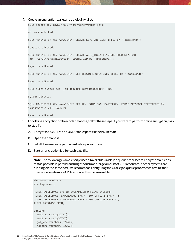### 9. Create an encryption wallet and autologin wallet.

SQL> select key\_id,KEY\_USE from v\$encryption\_keys;

no rows selected

SQL> ADMINISTER KEY MANAGEMENT CREATE KEYSTORE IDENTIFIED BY "<password>";

keystore altered.

SQL> ADMINISTER KEY MANAGEMENT CREATE AUTO\_LOGIN KEYSTORE FROM KEYSTORE '+DATAC1/ODA/orawallet/tde/' IDENTIFIED BY "<password>";

keystore altered.

SQL> ADMINISTER KEY MANAGEMENT SET KEYSTORE OPEN IDENTIFIED BY "<password>";

keystore altered.

SQL> alter system set "\_db\_discard\_lost\_masterkey"=TRUE;

System altered.

SQL> ADMINISTER KEY MANAGEMENT SET KEY USING TAG 'MASTERKEY' FORCE KEYSTORE IDENTIFIED BY "<password>" WITH BACKUP;

keystore altered.

- 10. For offline encryption of the whole database,follow these steps. If you want to perform online encryption, skip to step 11.
	- A. Encrypt the SYSTEM and UNDO tablespaces in the mount state.
	- B. Open the database.
	- C. Set all the remaining permanent tablespaces offline.
	- D. Start an encryption job for each data file.

**Note**: The following example script uses all available Oracle job queue processes to encrypt data files as fast as possible in parallel and might consume a large amount of CPU resources. If other systems are running on the same host, we recommend configuringthe Oracle job queue processes to a value that does not allocate more CPU resources than is reasonable.

```
shutdown immediate;
startup mount;
ALTER TABLESPACE SYSTEM ENCRYPTION OFFLINE ENCRYPT;
ALTER TABLESPACE PSAPUNDO001 ENCRYPTION OFFLINE ENCRYPT;
ALTER TABLESPACE PSAPUNDO002 ENCRYPTION OFFLINE ENCRYPT;
ALTER DATABASE OPEN;
declare
   cmd1 varchar2(32767);
   cmd2 varchar2(32767);
  job cmdvarchar2(32767);
  jobname varchar2(32767);
```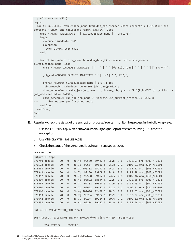```
 prefix varchar2(512);
begin
   for t1 in (SELECT tablespace_name from dba_tablespaces where contents<>'TEMPORARY' and 
contents<>'UNDO' and tablespace_name<>'SYSTEM') loop
     cmd1:='ALTER TABLESPACE '|| t1.tablespace_name ||' OFFLINE';
     begin
       execute immediate cmd1;
       exception
         when others then null;
     end;
     for f1 in (select file_name from dba_data_files where tablespace_name = 
t1.tablespace_name) loop
       cmd2:='ALTER DATABASE DATAFILE '||''''||''''||f1.file_name||''''||''''||' ENCRYPT';
       job_cmd:='BEGIN EXECUTE IMMEDIATE '''||cmd2||'''; END;';
       prefix:=substr(t1.tablespace_name||'ENC',1,18);
      jobname:=dbms scheduler.generate job name(prefix);
      dbms scheduler.create job(job name => jobname,job type => 'PLSQL BLOCK',job action =>
job cmd,enabled => FALSE);
      dbms scheduler.run job(job name => jobname,use current session => FALSE);
         dbms output.put line(job cmd);
    end loop;
   end loop;
end;
/
```
- E. Regularly check the status of the encryption process. You can monitor the process in the following ways:
	- $\circ$  Use the OS utility top, which shows numerous job queue processes consuming CPU time for encryption
	- o Use V\$ENCRYPTED\_TABLESPACES
	- o Check the status of the generated jobs in DBA\_SCHEDULER\_JOBS

## For example:

|               | Output of top: |    |          |              |       |                  |                  |     |                         |
|---------------|----------------|----|----------|--------------|-------|------------------|------------------|-----|-------------------------|
|               | 376750 oracle  | 20 | 0        | 26.4g 99580  |       | 89440 S 26.8 0.1 |                  |     | 0:02.93 ora j007 MFG001 |
| 376512 oracle |                | 20 | 0        | 26.7g        | 99684 | 89536 S          | $25.8$ 0.1       |     | 0:03.01 ora j004 MFG001 |
| 376488 oracle |                | 20 | 0        | 26.7g 106832 |       | 95292 S          | 24.8             | 0.1 | 0:03.12 ora 1000 MFG001 |
| 378349 oracle |                | 20 | 0        | 26.7g        | 99120 | 89060 R          | 24.8 0.1         |     | 0:02.78 ora 1008 MFG001 |
| 378357 oracle |                | 20 | 0        | 26.7g        | 99588 | 89432 R          | $24.5 \quad 0.1$ |     | 0:02.46 ora j00b MFG001 |
| 376499 oracle |                | 20 | 0        | 26.4g        | 98892 | 88844 R          | $22.5$ 0.1       |     | 0:02.85 ora_j003_MFG001 |
| 376495 oracle |                | 20 | 0        | 26.7g        | 99832 | 89664 S          | $21.9$ 0.1       |     | 0:02.93 ora_j002_MFG001 |
| 376490 oracle |                | 20 | 0        | 26.7g        | 99612 | 89472 S          | $21.2 \quad 0.1$ |     | 0:02.58 ora j001 MFG001 |
| 378360 oracle |                | 20 | 0        | 26.4g 102676 |       | 92488 S          | 20.3             | 0.1 | 0:02.53 ora j00c MFG001 |
| 378353 oracle |                | 20 | 0        | 26.7g        | 99784 | 89632 S          | 19.9             | 0.1 | 0:02.27 ora_j009_MFG001 |
| 376642 oracle |                | 20 | 0        | 26.7g 99244  |       | 89164 S          | 19.6             | 0.1 | 0:02.82 ora_j006_MFG001 |
| 376558 oracle |                | 20 | $\theta$ | 26.4g 99284  |       | 89132 S          | 18.0             | 0.1 | 0:02.46 ora j005 MFG001 |

Out of of V\$ENCRYPTED TABLESPACES:

SQL> select TS#,STATUS,ENCRYPTIONALG from V\$ENCRYPTED\_TABLESPACES;

TS# STATUS ENCRYPT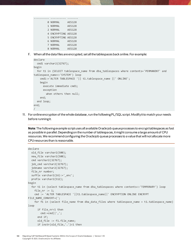| 0 NORMAL            | AES128 |
|---------------------|--------|
| 1 NORMAI            | AES128 |
| 2 NORMAL            | AES128 |
| 4 ENCRYPTING AES128 |        |
| 5 ENCRYPTING AES128 |        |
| 6 NORMAL            | AES128 |
| 7 NORMAL            | AES128 |
| 8 NORMAL            | AES128 |

F. When all the data files are encrypted, set all the tablespaces back online. For example:

```
declare
   cmd1 varchar2(32767);
begin
  for t1 in (SELECT tablespace name from dba tablespaces where contents='PERMANENT' and
tablespace_name<>'SYSTEM') loop
     cmd1:='ALTER TABLESPACE '|| t1.tablespace_name ||' ONLINE';
     begin
       execute immediate cmd1;
       exception
         when others then null;
     end;
   end loop;
end;
/
```
11. For online encryption of the whole database, run the following PL/SQL script. Modify it to match your needs before running it.

**Note**:The following example script uses all available Oracle job queue processes to encrypt tablespaces as fast as possible in parallel. Depending on the number of tablespaces, it might consume a large amount of CPU resources. We recommend configuring the Oracle job queue processes to a value that will not allocate more CPU resources than is reasonable.

```
declare
   old_file varchar2(500);
  new file varchar2(500);
   cmd varchar2(32767);
   job_cmd varchar2(32767);
   jobname varchar2(32767);
   file_nr number;
  suffix varchar2(16):='enc';
   prefix varchar2(512);
begin
   for t1 in (select tablespace_name from dba_tablespaces where contents<>'TEMPORARY') loop
    file_nr := 1;cmd := 'ALTER TABLESPACE '||t1.tablespace name||' ENCRYPTION ONLINE ENCRYPT
FILE_NAME_CONVERT=(';
     for f1 in (select file_name from dba_data_files where tablespace_name = t1.tablespace_name) 
loop
       if file_nr>1 then
        cmd:=cmd||',';
       end if;
       old_file := f1.file_name;
       if instr(old_file,'.')>1 then
```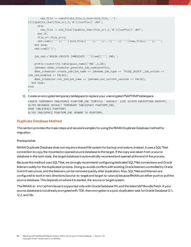```
 new_file := substr(old_file,1,instr(old_file,'.')-
1)||lpad(to_char(file_nr),3,'0')||suffix||'.dbf';
       else
        new file := old file||lpad(to char(file nr),3,'0')||suffix||'.dbf';
       end if;
       file_nr:=file_nr+1;
       cmd:=cmd||''''||''''||old_file||''''||''''||','||''''||''''||new_file||''''||'''';
     end loop;
    cmd:=cmd||')';
     job_cmd:='BEGIN EXECUTE IMMEDIATE '''||cmd||'''; END;';
     prefix:=substr(t1.tablespace_name||'ENC',1,18);
    jobname:=dbms scheduler.generate job name(prefix);
    dbms scheduler.create job(job name => jobname,job type => 'PLSQL BLOCK',job action =>
job cmd,enabled => FALSE);
    dbms scheduler.run job(job name => jobname,use current session => FALSE);
   end loop;
end;
/
```
12. Create an encrypted temporary tablespace to replace your unencrypted PSAPTEMP tablespace.

```
CREATE TEMPORARY TABLESPACE PSAPTEMP_ENC TEMPFILE '+DATAC2' SIZE 32767M ENCRYPTION ENCRYPT;
ALTER DATABASE DEFAULT TEMPORARY TABLESPACE PSAPTEMP_ENC;
DROP TABLESPACE PSAPTEMP;
ALTER TABLESPACE PSAPTEMP_ENC RENAME TO PSAPTEMP;
```
# **Duplicate Database Method**

This section provides the major steps and several examples for using the RMAN Duplicate Database method for migration.

# **Prerequisites**

RMAN Duplicate Database does not require a shared file system for backup and restore. Instead, it uses a SQL\*Net connection to copy the mounted or opened source database to the target. If the copy was taken from a source database in the open state, the target database is automatically recovered and opened at the end of the process.

Because this method uses SQL\*Net, we strongly recommend configuringdedicated SQL\*Net connections and Oracle listeners solely for the duplication process. Doingso avoids conflicts with existing Oracle listeners controlled by Oracle Grid Infrastructure, and the listeners can be removed quickly after duplication.Also, SQL\*Net and listeners are configured to work in two directions (source-to-target and target-to-source) because RMAN can either push or pull the source database. This depends on where it is started, the source or target system.

The RMAN as encrypted clause is supported only with Oracle Database 19c and the latest SAP Bundle Patch. If your source database is not already encrypted with TDE, then encryption is a post-duplication task for Oracle Database 12.1, 12.2, and 18c.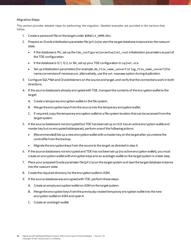# **Migration Steps**

This section provides detailed steps for performing the migration. Detailed examples are provided in the sections that follow.

- 1. Create a password file on the target under \$ORACLE\_HOME/dbs.
- 2. Prepare an Oracle initialization parameter file (pfile) to start the target database instance into the nomount state.
	- If the database is 19c, set up the tde configuration and wallet root initialization parameters as part of the TDE configuration.
	- If the database is 12.1, 12.2,or 18c, setup your TDE configuration in sqlnet.ora.
	- Set up initialization parameters (for example, db file name convert or log file name convert) for name conversions if necessary or, alternatively, use the set newname option during duplication.
- 3. Configure SQL\*Net and Oracle listeners on the source and target, and verify that the connections work in both directions.
- 4. If the source database is already encrypted with TDE,transport the contents of the encryption wallet to the target:
	- A. Create a temporary encryption wallet on the file system.
	- B. Merge the encryption keys from the source into the temporary encryption wallet.
	- C. If required, copy the temporary encryption wallet to a file system location that can be accessed from the target system.
- 5. If the source database is notencrypted butTDE has been set up on it(it has an active encryption wallet and master key but no encrypted tablespaces), perform one of the following actions:
	- (Recommended) Set up a new encryption wallet with a master key on the target after you restore the controlfile from the backup**.**
	- Migrate the encryption keys from the source to the target, as directed in step 4.
- 6. If the source database is not encrypted and TDE has *not*been set up (no active encryption wallet), you must create an encryption wallet with encryption keys and an autologin wallet on the target system in a later step.
- 7. Place your prepared Oracle parameter file (pfile) on the target system and start the target database instance into the nomount state.
- 8. Create the required directory for the encryption wallet in ASM.
- 9. If the source database was encrypted with TDE, perform these steps:
	- A. Create an empty encryption wallet on ASM on the target system.
	- B. Merge the encryption keys from the previously created temporary encryption wallet into the new encryption wallet on ASM and open it.
	- C. Create an autologin wallet.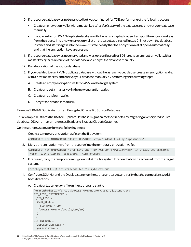- 10. If the source database was not encrypted but was configured for TDE, perform one of the following actions:
	- Create an encryption wallet with a master key *after duplication*of the database and encrypt your database manually.
	- If you want to run RMAN duplicate database with the as encrypted clause, transport the encryption keys from the source into a new encryption wallet on the target, as directed in step 9. Shutdown the database instance and startit again into the nomount state. Verify thatthe encryption wallet opens automatically and that the encryption keys are present.
- 11. If the source database was not encrypted and was *not*configured for TDE, create an encryption wallet with a master key *after duplication* of the database and encrypt the database manually.
- 12. Run duplication of the source database.
- 13. If you decided to run RMAN duplicate database without the as encrypted clause, create an encryption wallet with a new master key and encrypt your database manually by performing the following steps:
	- A. Create an empty encryption wallet on ASM on the target system.
	- B. Create and set a master key in the new encryption wallet.
	- C. Create an autologin wallet.
	- D. Encrypt the database manually.

**Example 1: RMAN Duplicate from an Encrypted Oracle 19c Source Database**

This example illustrates the RMAN Duplicate Database migration method in detail by migrating an encrypted source database, ODA, from an on-premises Exadata to Exadata Cloud@Customer.

On the source system, perform the following steps:

- 1. Create a temporary encryption wallet on the file system. ADMINISTER KEY MANAGEMENT CREATE KEYSTORE '/tmp/' identified by "<password>";
- 2. Merge the encryption keys from the source into the temporary encryption wallet. ADMINISTER KEY MANAGEMENT MERGE KEYSTORE '+DATAC1/ODA/orawallet/tde/' INTO EXISTING KEYSTORE '/tmp/' IDENTIFIED BY "<password>" WITH BACKUP;
- 3. If required, copy the temporary encryption wallet to a file system location that can be accessed from the target system.

[oracle@myhost1 ~]\$ scp /tmp/ewallet.p12 myhost2:/tmp

- 4. Configure SQL\*Net and the Oracle Listener on the source and target, and verify that the connections work in both directions.
	- A. Create a listener.ora file on the source and start it.

```
[oracle@myhost1 ~]$ cat $ORACLE_HOME/network/admin/listener.ora
SID LIST LISTENERORG =
 (SID LIST =(SID</del>_E) = (SID_NAME = ODA)
    (ORACLE_HOME = /oracle/ODA/19)
   )
 \left( \right)LISTENERORG =
 (DESCRIPTION_LIST =
   (DESCRIPTION =
```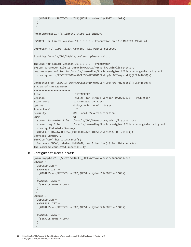```
(ADDRESS = (PROTOCOL = TCP)(HOST = myhost1)(PORT = 1600)) )
 )
[oracle@myhost1 ~]$ lsnrctl start LISTENERORG
LSNRCTL for Linux: Version 19.0.0.0.0 - Production on 11-JAN-2021 19:47:44
Copyright (c) 1991, 2020, Oracle. All rights reserved.
Starting /oracle/ODA/19/bin/tnslsnr: please wait...
TNSLSNR for Linux: Version 19.0.0.0.0 - Production
System parameter file is /oracle/ODA/19/network/admin/listener.ora
Log messages written to /oracle/base/diag/tnslsnr/migtest1/listenerorg/alert/log.xml
Listening on: (DESCRIPTION=(ADDRESS=(PROTOCOL=tcp)(HOST=myhost1)(PORT=1600)))
Connecting to (DESCRIPTION=(ADDRESS=(PROTOCOL=TCP)(HOST=myhost1)(PORT=1600)))
STATUS of the LISTENER
------------------------
Alias LISTENERORG
Version TNSLSNR for Linux: Version 19.0.0.0.0 - Production
Start Date 11-JAN-2021 19:47:44
Uptime 0 days 0 hr. 0 min. 0 sec
Trace Level off
Security ON: Local OS Authentication
SNMP OFF
Listener Parameter File /oracle/ODA/19/network/admin/listener.ora
Listener Log File /oracle/base/diag/tnslsnr/migtest1/listenerorg/alert/log.xml
Listening Endpoints Summary...
   (DESCRIPTION=(ADDRESS=(PROTOCOL=tcp)(HOST=myhost1)(PORT=1600)))
Services Summary...
Service "ODA" has 1 instance(s).
   Instance "ODA", status UNKNOWN, has 1 handler(s) for this service...
The command completed successfully
```
### B. Configure a tnsnames.ora file.

```
[oracle@myhost1 ~]$ cat $ORACLE_HOME/network/admin/tnsnames.ora
ORGODA =
 (DESCRIPTION =
   (ADDRESS_LIST =
    (ADDRESS = (PROTOCOL = TCP)(HOST = myhost1)(PORT = 1600))
  ) (CONNECT_DATA =
    (SERVICE_NAME = ODA)
   )
)
DUPODA =
 (DESCRIPTION =
   (ADDRESS_LIST =
   (ADDRESS = (PROTOCOL = TCP)(HOST = myhost2)(PORT = 1600))\lambda (CONNECT_DATA =
    (SERVICE_NAME = ODA)
   )
)
```

```
58 Migrating SAP NetWeaver® Based Systems Within the Scope of Oracle Databases | Version 1.10
      Copyright © 2021, Oracle and/or its affiliates
```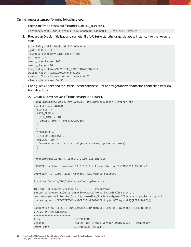On the target system, perform the following steps:

1. Create an Oracle password file under \$ORACLE\_HOME/dbs.

[oracle@myhost2 dbs]\$ orapwd file=orapwODA password=\_\_Oracle123 force=y

2. Prepare an Oracle initialization parameter file (pfile) to startthe target database instance into the nomount state.

```
[oracle@myhost2 dbs]$ cat initODA.ora
_kolfuseslf=TRUE
_disable_directory_link_check=TRUE
db_name='ODA'
memory max target=10G
memory_target=8G
tde_configuration='KEYSTORE_CONFIGURATION=FILE'
wallet root='+DATAC1/ODA/orawallet'
control_files='+DATAC1/ODA/cntrlODA.dbf'
cluster_database='FALSE'
```
- 3. Configure SQL\*Net and the Oracle Listener on the source and target and verify that the connections work in both directions.
	- A. Create a listener.ora file on the target and start it.

```
[oracle@myhost2 dbs]$ cat $ORACLE_HOME/network/admin/listener.ora
SID_LIST_LISTENERDUP =
 (SID LIST =(SID DESC =
   (SID_NAME = ODA)
   (ORACLE_HOME = /oracle/ODA/19)
  )
)LISTENERDUP =
 (DESCRIPTION_LIST =
   (DESCRIPTION =
   (ADDRESS = (PROTOCOL = TCP)(HOST = myhost2)(PORT = 1600))
  )
 )
[oracle@myhost2 dbs]$ lsnrctl start LISTENERDUP
LSNRCTL for Linux: Version 19.0.0.0.0 - Production on 11-JAN-2021 19:50:43
Copyright (c) 1991, 2020, Oracle. All rights reserved.
Starting /oracle/ODA/19/bin/tnslsnr: please wait...
TNSLSNR for Linux: Version 19.0.0.0.0 - Production
System parameter file is /oracle/ODA/19/network/admin/listener.ora
Log messages written to /oracle/base/diag/tnslsnr/migtest2/listenerdup/alert/log.xml
Listening on: (DESCRIPTION=(ADDRESS=(PROTOCOL=tcp)(HOST=myhost2)(PORT=1600)))
Connecting to (DESCRIPTION=(ADDRESS=(PROTOCOL=TCP)(HOST=myhost2)(PORT=1600)))
STATUS of the LISTENER
------------------------
Alias LISTENERDUP
Version TNSLSNR for Linux: Version 19.0.0.0.0 - Production
Start Date 11-JAN-2021 19:50:43
```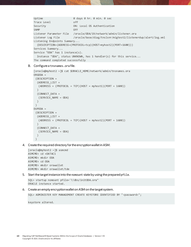```
Uptime 0 days 0 hr. 0 min. 0 sec
Trace Level off
Security ON: Local OS Authentication
SNMP OFF
Listener Parameter File /oracle/ODA/19/network/admin/listener.ora
Listener Log File /oracle/base/diag/tnslsnr/migtest2/listenerdup/alert/log.xml
Listening Endpoints Summary...
   (DESCRIPTION=(ADDRESS=(PROTOCOL=tcp)(HOST=myhost2)(PORT=1600)))
Services Summary...
Service "ODA" has 1 instance(s).
   Instance "ODA", status UNKNOWN, has 1 handler(s) for this service...
The command completed successfully
```
# B. Configure a tnsnames.ora file.

```
[oracle@myhost2 ~]$ cat $ORACLE_HOME/network/admin/tnsnames.ora
ORGODA =
 (DESCRIPTION =
   (ADDRESS_LIST =
   (ADDRESS = (PROTOCOL = TCP)(HOST = myhost1)(PORT = 1600))\lambda (CONNECT_DATA =
    (SERVICE_NAME = ODA)
   )
 )
DUPODA =(DESCRIPTION =
   (ADDRESS_LIST =
   (ADDRESS = (PROTOCOL = TCP)(HOST = myhost2)(PORT = 1600))\lambda (CONNECT_DATA =
    (SERVICE_NAME = ODA)
   )
)
```
4. Create the required directory for the encryption wallet in ASM.

[oracle@myhost2 ~]\$ asmcmd ASMCMD> cd +DATAC1 ASMCMD> mkdir ODA ASMCMD> cd ODA ASMCMD> mkdir orawallet ASMCMD> mkdir orawallet/tde

5. Start the target instance into the nomount state by using the prepared pfile.

```
SQL> startup nomount pfile='?/dbs/initODA.ora"
ORACLE instance started.
```
6. Create an empty encryption wallet on ASM on the target system.

SQL> ADMINISTER KEY MANAGEMENT CREATE KEYSTORE IDENTIFIED BY "<password>";

keystore altered.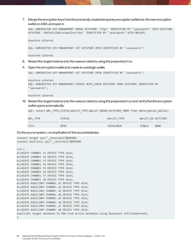7. Merge the encryption keys from the previously created temporary encryption wallet into the new encryption wallet on ASM, and open it.

```
SQL> ADMINISTER KEY MANAGEMENT MERGE KEYSTORE '/tmp/' IDENTIFIED BY "<password>" INTO EXISTING 
KEYSTORE '+DATAC1/ODA/orawallet/tde/' IDENTIFIED BY "<password>" WITH BACKUP;
```
keystore altered.

SQL> ADMINISTER KEY MANAGEMENT SET KEYSTORE OPEN IDENTIFIED BY "<password>";

keystore altered.

- 8. Restart the target instance into the nomount state by using the prepared pfile.
- 9. Open the encryption wallet and create an autologin wallet.

```
SOL> ADMINISTER KEY MANAGEMENT SET KEYSTORE OPEN IDENTIFIED BY "<password>";
```

```
keystore altered.
```

```
SQL> ADMINISTER KEY MANAGEMENT CREATE AUTO_LOGIN KEYSTORE FROM KEYSTORE IDENTIFIED BY 
"<password>";
```
keystore altered.

10. Restart the target instance into the nomount state by using the prepared pfile and verify that the encryption wallet opens automatically.

```
SOL> select WRL TYPE, STATUS, WALLET TYPE, WALLET ORDER, KEYSTORE MODE from v$encryption wallet;
```

| WRL TYPE | <b>STATUS</b> | WALLET TYPE | WALLET OR KEYSTORE |             |
|----------|---------------|-------------|--------------------|-------------|
|          |               |             |                    |             |
| FILE     | OP EN         | AUTOLOGIN   | SINGLE             | <b>NONE</b> |

On the source system, run duplication of the source database.

```
connect target sys/"__Oracle123"@ORGODA
connect auxiliary sys/"__Oracle123"@DUPODA
run {
ALLOCATE CHANNEL t1 DEVICE TYPE disk;
ALLOCATE CHANNEL t2 DEVICE TYPE disk;
ALLOCATE CHANNEL t3 DEVICE TYPE disk;
ALLOCATE CHANNEL t4 DEVICE TYPE disk;
ALLOCATE CHANNEL t5 DEVICE TYPE disk;
ALLOCATE CHANNEL t6 DEVICE TYPE disk;
ALLOCATE CHANNEL t7 DEVICE TYPE disk;
ALLOCATE CHANNEL t8 DEVICE TYPE disk;
ALLOCATE AUXILIARY CHANNEL a1 DEVICE TYPE disk;
ALLOCATE AUXILIARY CHANNEL a2 DEVICE TYPE disk;
ALLOCATE AUXILIARY CHANNEL a3 DEVICE TYPE disk;
ALLOCATE AUXILIARY CHANNEL a4 DEVICE TYPE disk;
ALLOCATE AUXILIARY CHANNEL a5 DEVICE TYPE disk;
ALLOCATE AUXILIARY CHANNEL a6 DEVICE TYPE disk;
ALLOCATE AUXILIARY CHANNEL a7 DEVICE TYPE disk;
ALLOCATE AUXILIARY CHANNEL a8 DEVICE TYPE disk;
duplicate target database to ODA from active database using backupset nofilenamecheck;
}
```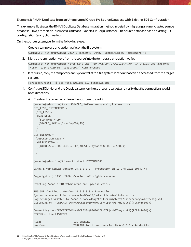**Example 2: RMAN Duplicate from an Unencrypted Oracle 19c Source Database with Existing TDE Configuration**

This example illustrates the RMAN Duplicate Database migration method in detail by migrating an unencrypted source database, ODA, from an on-premises Exadata to Exadata Cloud@Customer.The source database has an existing TDE configuration (encryption wallet).

On the source system, perform the following steps:

- 1. Create a temporary encryption wallet on the file system. ADMINISTER KEY MANAGEMENT CREATE KEYSTORE '/tmp/' identified by "<password>";
- 2. Merge the encryption keys from the source into the temporary encryption wallet. ADMINISTER KEY MANAGEMENT MERGE KEYSTORE '+DATAC1/ODA/orawallet/tde/' INTO EXISTING KEYSTORE '/tmp/' IDENTIFIED BY "<password>" WITH BACKUP;
- 3. If required, copy the temporary encryption wallet to a file system location that can be accessed from the target system.

[oracle@myhost1 ~]\$ scp /tmp/ewallet.p12 myhost2:/tmp

- 4. Configure SQL\*Net and the Oracle Listener on the source and target, and verify that the connections work in both directions.
	- A. Create a listener.ora file on the source and start it.

```
[oracle@myhost1 ~]$ cat $ORACLE_HOME/network/admin/listener.ora
SID_LIST_LISTENERORG =
 (SID LIST =
  (SID DESC =
   (SID_NAME = ODA)
    (ORACLE_HOME = /oracle/ODA/19)
   )
\left( \right)LISTENERORG =
 (DESCRIPTION_LIST =
   (DESCRIPTION =
   (ADDRESS = (PROTOCOL = TCP)(HOST = myhost1)(PORT = 1600)) )
 \left( \right)[oracle@myhost1 ~]$ lsnrctl start LISTENERORG
LSNRCTL for Linux: Version 19.0.0.0.0 - Production on 11-JAN-2021 19:47:44
Copyright (c) 1991, 2020, Oracle. All rights reserved.
Starting /oracle/ODA/19/bin/tnslsnr: please wait...
TNSLSNR for Linux: Version 19.0.0.0.0 - Production
System parameter file is /oracle/ODA/19/network/admin/listener.ora
Log messages written to /oracle/base/diag/tnslsnr/migtest1/listenerorg/alert/log.xml
Listening on: (DESCRIPTION=(ADDRESS=(PROTOCOL=tcp)(HOST=myhost1)(PORT=1600)))
Connecting to (DESCRIPTION=(ADDRESS=(PROTOCOL=TCP)(HOST=myhost1)(PORT=1600)))
STATUS of the LISTENER
------------------------
Alias LISTENERORG
Version TNSLSNR for Linux: Version 19.0.0.0.0 - Production
```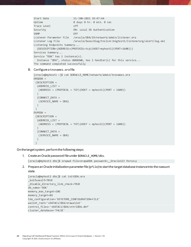```
Start Date 11-JAN-2021 19:47:44
Uptime 0 days 0 hr. 0 min. 0 sec
Trace Level off
Security ON: Local OS Authentication
SNMP OFF
Listener Parameter File /oracle/ODA/19/network/admin/listener.ora
Listener Log File /oracle/base/diag/tnslsnr/migtest1/listenerorg/alert/log.xml
Listening Endpoints Summary...
   (DESCRIPTION=(ADDRESS=(PROTOCOL=tcp)(HOST=myhost1)(PORT=1600)))
Services Summary...
Service "ODA" has 1 instance(s).
  Instance "ODA", status UNKNOWN, has 1 handler(s) for this service...
The command completed successfully
```
B. Configure a tnsnames.ora file.

```
[oracle@myhost1 ~]$ cat $ORACLE_HOME/network/admin/tnsnames.ora
ORGODA =
 (DESCRIPTION =
   (ADDRESS_LIST =
   (ADDRESS = (PROTOCOL = TCP)(HOST = myhost1)(PORT = 1600))\lambda (CONNECT_DATA =
    (SERVICE_NAME = ODA)
   )
 )
DUPODA =
 (DESCRIPTION =
   (ADDRESS_LIST =
   (ADDRESS = (PROTOCOL = TCP)(HOST = myhost2)(PORT = 1600))\lambda (CONNECT_DATA =
    (SERVICE_NAME = ODA)
   )
)
```
On the target system, perform the following steps:

1. Create an Oracle password file under \$ORACLE\_HOME/dbs.

[oracle@myhost2 dbs]\$ orapwd file=orapwODA password=\_\_Oracle123 force=y

2. Prepare an Oracle initialization parameter file (pfile) to startthe target database instance into the nomount state.

```
[oracle@myhost2 dbs]$ cat initODA.ora
_kolfuseslf=TRUE
_disable_directory_link_check=TRUE
db_name='ODA'
memory_max_target=10G
memory_target=8G
tde_configuration='KEYSTORE_CONFIGURATION=FILE'
wallet root='+DATAC1/ODA/orawallet'
control_files='+DATAC1/ODA/cntrlODA.dbf'
cluster_database='FALSE'
```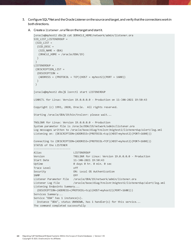- 3. Configure SQL\*Net and the Oracle Listener on the source and target, and verify that the connections work in both directions.
	- A. Create a listener.ora file on the target and start it.

```
[oracle@myhost2 dbs]$ cat $ORACLE_HOME/network/admin/listener.ora
SID LIST LISTENERDUP =
 (SID LIST =
  (SID</del>_E) = (SID_NAME = ODA)
    (ORACLE_HOME = /oracle/ODA/19)
   )
 )
LISTENERDUP =
 (DESCRIPTION_LIST =
   (DESCRIPTION =
   (ADDRESS = (PROTOCOL = TCP)(HOST = myhost2)(PORT = 1600)) )
 )
[oracle@myhost2 dbs]$ lsnrctl start LISTENERDUP
LSNRCTL for Linux: Version 19.0.0.0.0 - Production on 11-JAN-2021 19:50:43
Copyright (c) 1991, 2020, Oracle. All rights reserved.
Starting /oracle/ODA/19/bin/tnslsnr: please wait...
TNSLSNR for Linux: Version 19.0.0.0.0 - Production
System parameter file is /oracle/ODA/19/network/admin/listener.ora
Log messages written to /oracle/base/diag/tnslsnr/migtest2/listenerdup/alert/log.xml
Listening on: (DESCRIPTION=(ADDRESS=(PROTOCOL=tcp)(HOST=myhost2)(PORT=1600)))
Connecting to (DESCRIPTION=(ADDRESS=(PROTOCOL=TCP)(HOST=myhost2)(PORT=1600)))
STATUS of the LISTENER
------------------------
Alias LISTENERDUP
Version TNSLSNR for Linux: Version 19.0.0.0.0 - Production
Start Date 11-JAN-2021 19:50:43
Uptime 0 days 0 hr. 0 min. 0 sec
Trace Level off
Security ON: Local OS Authentication
SNMP OFF
Listener Parameter File /oracle/ODA/19/network/admin/listener.ora
Listener Log File //oracle/base/diag/tnslsnr/migtest2/listenerdup/alert/log.xml
Listening Endpoints Summary...
   (DESCRIPTION=(ADDRESS=(PROTOCOL=tcp)(HOST=myhost2)(PORT=1600)))
Services Summary...
Service "ODA" has 1 instance(s).
  Instance "ODA", status UNKNOWN, has 1 handler(s) for this service...
The command completed successfully
```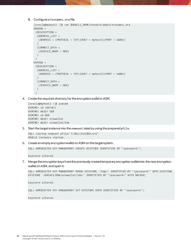### B. Configure a tnsnames.ora file.

```
[oracle@myhost2 ~]$ cat $ORACLE_HOME/network/admin/tnsnames.ora
ORGODA =
 (DESCRIPTION =
   (ADDRESS_LIST =
   (ADDRESS = (PROTOCOL = TCP)(HOST = myhost1)(PORT = 1600))\lambda (CONNECT_DATA =
    (SERVICE_NAME = ODA)
   )
 \left( \right)DUPODA =
 (DESCRIPTION =
   (ADDRESS_LIST =
   (ADDRESS = (PROTOCOL = TCP)(HOST = myhost2)(PORT = 1600))\lambda (CONNECT_DATA =
    (SERVICE_NAME = ODA)
   )
 )
```
4. Create the required directory for the encryption wallet in ASM.

```
[oracle@myhost2 ~]$ asmcmd
ASMCMD> cd +DATAC1
ASMCMD> mkdir ODA
ASMCMD> cd ODA
ASMCMD> mkdir orawallet
ASMCMD> mkdir orawallet/tde
```
5. Start the target instance into the nomount state by using the prepared pfile.

```
SQL> startup nomount pfile='?/dbs/initODA.ora"
ORACLE instance started.
```
6. Create an empty encryption wallet on ASM on the target system.

SQL> ADMINISTER KEY MANAGEMENT CREATE KEYSTORE IDENTIFIED BY "<password>";

keystore altered.

7. Merge the encryption keys from the previously created temporary encryption wallet into the new encryption wallet on ASM, and open it.

```
SQL> ADMINISTER KEY MANAGEMENT MERGE KEYSTORE '/tmp/' IDENTIFIED BY "<password>" INTO EXISTING 
KEYSTORE '+DATAC1/ODA/orawallet/tde/' IDENTIFIED BY "<password>" WITH BACKUP;
```
keystore altered.

SQL> ADMINISTER KEY MANAGEMENT SET KEYSTORE OPEN IDENTIFIED BY "<password>";

keystore altered.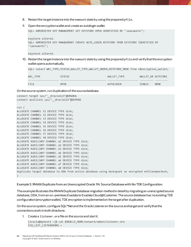- 8. Restart the target instance into the nomount state by using the prepared pfile.
- 9. Open the encryption wallet and create an autologin wallet.

```
SQL> ADMINISTER KEY MANAGEMENT SET KEYSTORE OPEN IDENTIFIED BY "<password>";
```

```
keystore altered.
SQL> ADMINISTER KEY MANAGEMENT CREATE AUTO_LOGIN KEYSTORE FROM KEYSTORE IDENTIFIED BY 
"<password>";
```
keystore altered.

10. Restart the target instance into the nomount state by using the prepared pfile and verify thatthe encryption wallet opens automatically.

|          | SQL> select WRL TYPE, STATUS, WALLET TYPE, WALLET ORDER, KEYSTORE MODE from v\$encryption wallet; |             |                    |             |
|----------|---------------------------------------------------------------------------------------------------|-------------|--------------------|-------------|
| WRL TYPE | <b>STATUS</b>                                                                                     | WALLET TYPE | WALLET OR KEYSTORE |             |
| FILE     | <b>OPEN</b>                                                                                       | AUTOLOGIN   | SINGLE             | <b>NONE</b> |

On the source system, run duplication of the source database.

```
connect target sys/" Oracle123"@ORGODA
connect auxiliary sys/"__Oracle123"@DUPODA
run {
ALLOCATE CHANNEL t1 DEVICE TYPE disk;
ALLOCATE CHANNEL t2 DEVICE TYPE disk;
ALLOCATE CHANNEL t3 DEVICE TYPE disk;
ALLOCATE CHANNEL t4 DEVICE TYPE disk;
ALLOCATE CHANNEL t5 DEVICE TYPE disk;
ALLOCATE CHANNEL t6 DEVICE TYPE disk;
ALLOCATE CHANNEL t7 DEVICE TYPE disk;
ALLOCATE CHANNEL t8 DEVICE TYPE disk;
ALLOCATE AUXILIARY CHANNEL a1 DEVICE TYPE disk;
ALLOCATE AUXILIARY CHANNEL a2 DEVICE TYPE disk;
ALLOCATE AUXILIARY CHANNEL a3 DEVICE TYPE disk;
ALLOCATE AUXILIARY CHANNEL a4 DEVICE TYPE disk;
ALLOCATE AUXILIARY CHANNEL a5 DEVICE TYPE disk;
ALLOCATE AUXILIARY CHANNEL a6 DEVICE TYPE disk;
ALLOCATE AUXILIARY CHANNEL a7 DEVICE TYPE disk;
ALLOCATE AUXILIARY CHANNEL a8 DEVICE TYPE disk;
duplicate target database to ODA from active database using backupset as encrypted nofilenamecheck;
}
```
## **Example 3: RMAN Duplicate from an Unencrypted Oracle 19c Source Database with No TDE Configuration**

This example illustrates the RMAN Duplicate Database migration method in detail by migrating an unencrypted source database, ODA, from an on-premises Exadata to Exadata Cloud@Customer. The source database has noexisting TDE configuration (encryption wallet). TDE encryption is implemented on the target after duplication.

On the source system, configure SQL\*Net and the Oracle Listener on the source and target and verify that the connections work in both directions:

1. Create a listener.ora file on the source and start it.

```
[oracle@myhost1 ~]$ cat $ORACLE_HOME/network/admin/listener.ora
SID LIST LISTENERORG =
```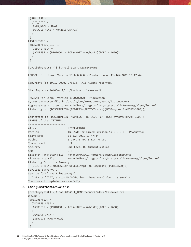```
(SID LIST =(SID DESC =
    (SID_NAME = ODA)
    (ORACLE_HOME = /oracle/ODA/19)
   )
 )
LISTENERORG =
 (DESCRIPTION_LIST =
   (DESCRIPTION =
   (ADDRESS = (PROTOCOL = TCP)(HOST = myhost1)(PORT = 1600)) )
 )
[oracle@myhost1 ~]$ lsnrctl start LISTENERORG
LSNRCTL for Linux: Version 19.0.0.0.0 - Production on 11-JAN-2021 19:47:44
Copyright (c) 1991, 2020, Oracle. All rights reserved.
Starting /oracle/ODA/19/bin/tnslsnr: please wait...
TNSLSNR for Linux: Version 19.0.0.0.0 - Production
System parameter file is /oracle/ODA/19/network/admin/listener.ora
Log messages written to /oracle/base/diag/tnslsnr/migtest1/listenerorg/alert/log.xml
Listening on: (DESCRIPTION=(ADDRESS=(PROTOCOL=tcp)(HOST=myhost1)(PORT=1600)))
Connecting to (DESCRIPTION=(ADDRESS=(PROTOCOL=TCP)(HOST=myhost1)(PORT=1600)))
STATUS of the LISTENER
------------------------
Alias LISTENERORG
Version TNSLSNR for Linux: Version 19.0.0.0.0 - Production
Start Date 11-JAN-2021 19:47:44
Uptime 0 days 0 hr. 0 min. 0 sec
Trace Level off
Security ON: Local OS Authentication
SNMP OFF
Listener Parameter File /oracle/ODA/19/network/admin/listener.ora
Listener Log File /oracle/base/diag/tnslsnr/migtest1/listenerorg/alert/log.xml
Listening Endpoints Summary...
   (DESCRIPTION=(ADDRESS=(PROTOCOL=tcp)(HOST=myhost1)(PORT=1600)))
Services Summary...
Service "ODA" has 1 instance(s).
   Instance "ODA", status UNKNOWN, has 1 handler(s) for this service...
The command completed successfully
```

```
2. Configure a tnsnames.ora file.
```

```
[oracle@myhost1 ~]$ cat $ORACLE_HOME/network/admin/tnsnames.ora
ORGODA =
 (DESCRIPTION =
   (ADDRESS_LIST =
   (ADDRESS = (PROTOCOL = TCP)(HOST = myhost1)(PORT = 1600))\left( \right) (CONNECT_DATA =
    (SERVICE_NAME = ODA)
   )
)
```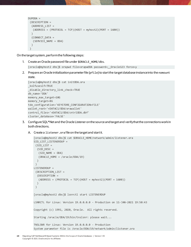```
DUPODA =(DESCRIPTION =
   (ADDRESS_LIST =
   (ADDRESS = (PROTOCOL = TCP)(HOST = myhost2)(PORT = 1600))\lambda (CONNECT_DATA =
    (SERVICE_NAME = ODA)
   )
 )
```
On the target system, perform the following steps:

1. Create an Oracle password file under \$ORACLE\_HOME/dbs.

[oracle@myhost2 dbs]\$ orapwd file=orapwODA password=\_\_Oracle123 force=y

2. Prepare an Oracle initialization parameter file (pfile) to startthe target database instance into the nomount state.

```
[oracle@myhost2 dbs]$ cat initODA.ora
_kolfuseslf=TRUE
_disable_directory_link_check=TRUE
db_name='ODA'
memory max target=10G
memory_target=8G
tde_configuration='KEYSTORE_CONFIGURATION=FILE'
wallet root='+DATAC1/ODA/orawallet'
control_files='+DATAC1/ODA/cntrlODA.dbf'
cluster_database='FALSE'
```
- 3. Configure SQL\*Net and the Oracle Listener on the source and target and verify that the connections work in both directions.
	- A. Create a listener.ora file on the target and start it.

```
[oracle@myhost2 dbs]$ cat $ORACLE_HOME/network/admin/listener.ora
SID LIST LISTENERDUP =
 (SID_LIST =(SID</del>_E) = (SID_NAME = ODA)
    (ORACLE_HOME = /oracle/ODA/19)
   )
 )
LISTENERDUP =
 (DESCRIPTION_LIST =
   (DESCRIPTION =
    (ADDRESS = (PROTOCOL = TCP)(HOST = myhost2)(PORT = 1600))
   )
 )
[oracle@myhost2 dbs]$ lsnrctl start LISTENERDUP
LSNRCTL for Linux: Version 19.0.0.0.0 - Production on 11-JAN-2021 19:50:43
Copyright (c) 1991, 2020, Oracle. All rights reserved.
Starting /oracle/ODA/19/bin/tnslsnr: please wait...
TNSLSNR for Linux: Version 19.0.0.0.0 - Production
System parameter file is /oracle/ODA/19/network/admin/listener.ora
```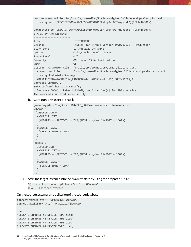Log messages written to /oracle/base/diag/tnslsnr/migtest2/listenerdup/alert/log.xml Listening on: (DESCRIPTION=(ADDRESS=(PROTOCOL=tcp)(HOST=myhost2)(PORT=1600)))

Connecting to (DESCRIPTION=(ADDRESS=(PROTOCOL=TCP)(HOST=myhost2)(PORT=1600))) STATUS of the LISTENER ------------------------ Alias LISTENERDUP Version TNSLSNR for Linux: Version 19.0.0.0.0 - Production Start Date 11-JAN-2021 19:50:43 Uptime 0 days 0 hr. 0 min. 0 sec Trace Level off Security ON: Local OS Authentication SNMP OFF Listener Parameter File /oracle/ODA/19/network/admin/listener.ora Listener Log File /oracle/base/diag/tnslsnr/migtest2/listenerdup/alert/log.xml Listening Endpoints Summary... (DESCRIPTION=(ADDRESS=(PROTOCOL=tcp)(HOST=myhost2)(PORT=1600))) Services Summary... Service "ODA" has 1 instance(s). Instance "ODA", status UNKNOWN, has 1 handler(s) for this service... The command completed successfully

### B. Configure a tnsnames.ora file.

```
[oracle@myhost2 ~]$ cat $ORACLE_HOME/network/admin/tnsnames.ora
ORGODA =(DESCRIPTION =
   (ADDRESS_LIST =
   (ADDRESS = (PROTOCOL = TCP)(HOST = myhost1)(PORT = 1600))\lambda (CONNECT_DATA =
    (SERVICE_NAME = ODA)
   )
 )DUPODA =
 (DESCRIPTION =
   (ADDRESS_LIST =
    (ADDRESS = (PROTOCOL = TCP)(HOST = myhost2)(PORT = 1600))
  \lambda (CONNECT_DATA =
    (SERVICE_NAME = ODA)
   )
 \left( \right)
```
4. Start the target instance into the nomount state by using the prepared pfile.

SQL> startup nomount pfile='?/dbs/initODA.ora" ORACLE instance started.

On the source system, run duplication of the source database.

```
connect target sys/"__Oracle123"@ORGODA
connect auxiliary sys/"__Oracle123"@DUPODA
run {
ALLOCATE CHANNEL t1 DEVICE TYPE disk;
ALLOCATE CHANNEL t2 DEVICE TYPE disk;
ALLOCATE CHANNEL t3 DEVICE TYPE disk;
ALLOCATE CHANNEL t4 DEVICE TYPE disk;
```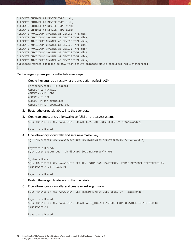```
ALLOCATE CHANNEL t5 DEVICE TYPE disk;
ALLOCATE CHANNEL t6 DEVICE TYPE disk;
ALLOCATE CHANNEL t7 DEVICE TYPE disk;
ALLOCATE CHANNEL t8 DEVICE TYPE disk;
ALLOCATE AUXILIARY CHANNEL a1 DEVICE TYPE disk;
ALLOCATE AUXILIARY CHANNEL a2 DEVICE TYPE disk;
ALLOCATE AUXILIARY CHANNEL a3 DEVICE TYPE disk;
ALLOCATE AUXILIARY CHANNEL a4 DEVICE TYPE disk;
ALLOCATE AUXILIARY CHANNEL a5 DEVICE TYPE disk;
ALLOCATE AUXILIARY CHANNEL a6 DEVICE TYPE disk;
ALLOCATE AUXILIARY CHANNEL a7 DEVICE TYPE disk;
ALLOCATE AUXILIARY CHANNEL a8 DEVICE TYPE disk;
duplicate target database to ODA from active database using backupset nofilenamecheck;
}
```
On the target system, perform the following steps:

1. Create the required directory for the encryption wallet in ASM.

```
[oracle@myhost2 ~]$ asmcmd
ASMCMD> cd +DATAC1
ASMCMD> mkdir ODA
ASMCMD> cd ODA
ASMCMD> mkdir orawallet
ASMCMD> mkdir orawallet/tde
```
- 2. Restart the target database into the open state.
- 3. Create an empty encryption wallet on ASM on the target system.

SQL> ADMINISTER KEY MANAGEMENT CREATE KEYSTORE IDENTIFIED BY "<password>";

keystore altered.

4. Open the encryption wallet and set a new master key.

SQL> ADMINISTER KEY MANAGEMENT SET KEYSTORE OPEN IDENTIFIED BY "<password>";

```
keystore altered.
SQL> alter system set "_db_discard_lost_masterkey"=TRUE;
```
System altered. SQL> ADMINISTER KEY MANAGEMENT SET KEY USING TAG 'MASTERKEY' FORCE KEYSTORE IDENTIFIED BY "<password>" WITH BACKUP;

keystore altered.

- 5. Restart the target database into the open state.
- 6. Open the encryption wallet and create an autologin wallet.

SQL> ADMINISTER KEY MANAGEMENT SET KEYSTORE OPEN IDENTIFIED BY "<password>";

```
keystore altered.
SQL> ADMINISTER KEY MANAGEMENT CREATE AUTO_LOGIN KEYSTORE FROM KEYSTORE IDENTIFIED BY 
"<password>";
```
keystore altered.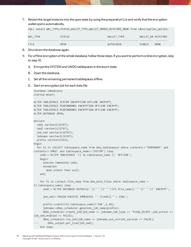7. Restart the target instance into the open state by using the prepared pfile and verify thatthe encryption wallet opens automatically.

SQL> select WRL TYPE, STATUS, WALLET\_TYPE, WALLET\_ORDER, KEYSTORE\_MODE from v\$encryption\_wallet;

| WRL TYPE | <b>STATUS</b> | WALLET TYPE | WALLET OR KEYSTORE |             |
|----------|---------------|-------------|--------------------|-------------|
|          |               |             |                    |             |
| FILE     | <b>OPEN</b>   | AUTOLOGIN   | <b>SINGLE</b>      | <b>NONE</b> |

- 8. Shut down the database again.
- 9. For offline encryption of the whole database, follow these steps. If you want to perform online encryption, skip to step 10.
	- A. Encrypt the SYSTEM and UNDO tablespaces in the mount state.
	- B. Open the database.
	- C. Set all the remaining permanent tablespaces offline.
	- D. Start an encryption job for each data file.

```
shutdown immediate;
startup mount;
ALTER TABLESPACE SYSTEM ENCRYPTION OFFLINE ENCRYPT;
ALTER TABLESPACE PSAPUNDO001 ENCRYPTION OFFLINE ENCRYPT;
ALTER TABLESPACE PSAPUNDO002 ENCRYPTION OFFLINE ENCRYPT;
ALTER DATABASE OPEN;
declare
   cmd1 varchar2(32767);
   cmd2 varchar2(32767);
  job cmd varchar2(32767);
   jobname varchar2(32767);
   prefix varchar2(512);
begin
   for t1 in (SELECT tablespace_name from dba_tablespaces where contents<>'TEMPORARY' and 
contents<>'UNDO' and tablespace_name<>'SYSTEM') loop
     cmd1:='ALTER TABLESPACE '|| t1.tablespace_name ||' OFFLINE';
     begin
       execute immediate cmd1;
       exception
         when others then null;
     end;
     for f1 in (select file_name from dba_data_files where tablespace_name = 
t1.tablespace_name) loop
       cmd2:='ALTER DATABASE DATAFILE '||''''||''''||f1.file_name||''''||''''||' ENCRYPT';
       job_cmd:='BEGIN EXECUTE IMMEDIATE '''||cmd2||'''; END;';
       prefix:=substr(t1.tablespace_name||'ENC',1,18);
      jobname:=dbms scheduler.generate job name(prefix);
       dbms_scheduler.create_job(job_name => jobname,job_type => 'PLSQL_BLOCK',job_action => 
job cmd,enabled => FALSE);
      dbms_scheduler.run_job(job_name => jobname,use_current_session => FALSE);
         dbms_output.put_line(job_cmd);
     end loop;
```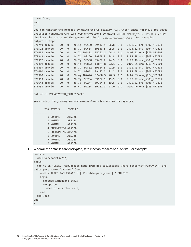```
 end loop;
end;
```
/

You can monitor the process by using the OS utility top, which shows numerous job queue processes consuming CPU time for encryption; by using V\$ENCRYPTED TABLESPACES; or by checking the status of the generated jobs in DBA SCHEDULER JOBS. For example: Output of top:

| 376750 oracle | 20 | 0  | 26.4g 99580  | 89440 S 26.8 0.1             |  | 0:02.93 ora j007 MFG001 |
|---------------|----|----|--------------|------------------------------|--|-------------------------|
| 376512 oracle | 20 | 0  | 26.7g 99684  | 89536 S 25.8 0.1             |  | 0:03.01 ora j004 MFG001 |
| 376488 oracle | 20 | 0  | 26.7g 106832 | 95292 S 24.8 0.1             |  | 0:03.12 ora_j000_MFG001 |
| 378349 oracle | 20 | 0  | 26.7g 99120  | 89060 R 24.8 0.1             |  | 0:02.78 ora_j008_MFG001 |
| 378357 oracle | 20 | 0  | 26.7g 99588  | 89432 R 24.5 0.1             |  | 0:02.46 ora j00b MFG001 |
| 376499 oracle | 20 | 0  | 26.4g 98892  | 88844 R 22.5 0.1             |  | 0:02.85 ora j003 MFG001 |
| 376495 oracle | 20 | 0  | 26.7g 99832  | 89664 S 21.9 0.1             |  | 0:02.93 ora_j002 MFG001 |
| 376490 oracle | 20 | 0  | 26.7g 99612  | 89472 S 21.2 0.1             |  | 0:02.58 ora_j001_MFG001 |
| 378360 oracle | 20 | 0  | 26.4g 102676 | 92488 S 20.3 0.1             |  | 0:02.53 ora_j00c_MFG001 |
| 378353 oracle | 20 | 0  | 26.7g 99784  | 89632 S 19.9 0.1             |  | 0:02.27 ora j009 MFG001 |
| 376642 oracle | 20 | 0  | 26.7g 99244  | 89164 S 19.6 0.1             |  | 0:02.82 ora j006 MFG001 |
| 376558 oracle | 20 | Q. |              | 26.4g 99284 89132 S 18.0 0.1 |  | 0:02.46 ora j005 MFG001 |

Out of of V\$ENCRYPTED TABLESPACES:

SQL> select TS#, STATUS, ENCRYPTIONALG from V\$ENCRYPTED TABLESPACES;

```
 TS# STATUS ENCRYPT
---------- ---------- -------
0 NORMAL AES128
1 NORMAL AES128
       2 NORMAL AES128
        4 ENCRYPTING AES128
        5 ENCRYPTING AES128
        6 NORMAL AES128
        7 NORMAL AES128
        8 NORMAL AES128
```
E. When all the data files are encrypted, set all the tablespaces back online. For example:

```
declare
   cmd1 varchar2(32767);
begin
   for t1 in (SELECT tablespace_name from dba_tablespaces where contents='PERMANENT' and 
tablespace_name<>'SYSTEM') loop
     cmd1:='ALTER TABLESPACE '|| t1.tablespace_name ||' ONLINE';
     begin
       execute immediate cmd1;
       exception
         when others then null;
     end;
   end loop;
end;
/
```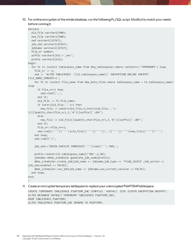10. For online encryption of the whole database, run the following PL/SQL script. Modify it to match your needs before running it.

```
declare
   old_file varchar2(500);
  new file varchar2(500);
   cmd varchar2(32767);
  job cmd varchar2(32767);
   jobname varchar2(32767);
  file_nr number;
  suffix varchar2(16):=' enc';
   prefix varchar2(512);
begin
  for t1 in (select tablespace name from dba tablespaces where contents<>'TEMPORARY') loop
    file nr := 1;
     cmd := 'ALTER TABLESPACE '||t1.tablespace_name||' ENCRYPTION ONLINE ENCRYPT 
FILE_NAME_CONVERT=(';
    for f1 in (select file name from dba data files where tablespace name = t1.tablespace name)
loop
      if file nr>1 then
         cmd:=cmd||',';
       end if;
      old file := f1.file name;
       if instr(old_file,'.')>1 then
        new file := substr(old file,1,instr(old file,'.')-
1)||lpad(to_char(file_nr),3,'0')||suffix||'.dbf';
       else
        new file := old file||lpad(to char(file nr),3,'0')||suffix||'.dbf';
       end if;
      file nr:=file nr+1;
       cmd:=cmd||''''||''''||old_file||''''||''''||','||''''||''''||new_file||''''||'''';
     end loop;
     cmd:=cmd||')';
     job_cmd:='BEGIN EXECUTE IMMEDIATE '''||cmd||'''; END;';
     prefix:=substr(t1.tablespace_name||'ENC',1,18);
     jobname:=dbms_scheduler.generate_job_name(prefix);
     dbms_scheduler.create_job(job_name => jobname,job_type => 'PLSQL_BLOCK',job_action => 
job cmd, enabled \Rightarrow FALSE);
     dbms_scheduler.run_job(job_name => jobname,use_current_session => FALSE);
   end loop;
end;
/
```
11. Create an encrypted temporary tablespace to replace your unencrypted PSAPTEMP tablespace.

```
CREATE TEMPORARY TABLESPACE PSAPTEMP_ENC TEMPFILE '+DATAC2' SIZE 32767M ENCRYPTION ENCRYPT;
ALTER DATABASE DEFAULT TEMPORARY TABLESPACE PSAPTEMP_ENC;
DROP TABLESPACE PSAPTEMP;
ALTER TABLESPACE PSAPTEMP_ENC RENAME TO PSAPTEMP;
```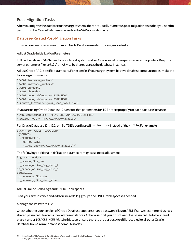## **Post-Migration Tasks**

After you migrate the database to the target system, there are usually numerous post-migration tasks that you need to performon the Oracle Database side and on the SAP application side.

## **Database-Related Post-Migration Tasks**

This section describes some common Oracle Database–related post-migration tasks.

#### **Adjust Oracle Initialization Parameters**

Follow the relevant SAP Notes for your target system and set Oracle initialization parameters appropriately. Keep the server parameter file (spfile) on ASM to be shared across the database instances.

Adjust Oracle RAC–specific parameters. For example, if your target system has two database compute nodes, make the following adjustments:

```
ODA001.instance number=1
ODA002.instance_number=2
ODA001.thread=1
ODA002.thread=2
ODA001.undo_tablespace='PSAPUNDO1'
ODA002.undo_tablespace='PSAPUNDO2'
*.remote_listener='<your_scan_name>:1521'
```
If you are using Oracle Database 19c, ensure that parameters for TDE are set properly for each database instance.

```
*.tde_configuration = 'KEYSTORE_CONFIGURATION=FILE'
*.wallet_root = '+DATAC1/ODA/orawallet'
```
For Oracle Database 12.1, 12.2, or 18c, TDE is configured in sqlnet.ora instead of the spfile. For example:

```
ENCRYPTION_WALLET_LOCATION=
 (SOURCE=
   (METHOD=FILE)
    (METHOD_DATA=
     (DIRECTORY=+DATAC1/ODA/orawallet)))
```
#### The following additional initialization parameters might also need adjustment:

log\_archive\_dest db\_create\_file\_dest db create online log dest 1 db\_create\_online\_log\_dest\_2 compatible db\_recovery\_file\_dest db\_recovery\_file\_dest\_size

## **Adjust Online Redo Logs and UNDO Tablespaces**

Start your first instance and add online redo log groups and UNDO tablespaces as needed.

#### **Manage the Password File**

Check whether your version of Oracle Database supports shared password files on ASM. If so, we recommend usinga shared password file across the database instances. Otherwise, or if you do not want the password file to be shared, place it under \$ORACLE\_HOME/dbs. In this case, ensure thatthe proper password file is copied to all other Oracle Database homes on all database compute nodes.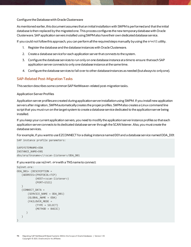## **Configure the Database with Oracle Clusterware**

As mentioned earlier, this document assumes that an initial installation with SWPM is performed and that the initial database is then replaced by the migrated one. This process configures the new temporary database with Oracle Clusterware. SAP application servers installed using SWPMalso have their own dedicated database service.

If you could not follow this approach, you can perform all the required steps manually by using the srvctl utility.

- 1. Register the database and the database instances with Oracle Clusterware.
- 2. Create a database service for each application server that connects to the system.
- 3. Configure the database services to run only on one database instance at a time to ensure that each SAP application server connects to only one database instance at the same time.
- 4. Configure the database services to fail over to other database instances as needed (but always to only one).

## **SAP-Related Post-Migration Tasks**

This section describes some commonSAP NetWeaver–related post-migration tasks.

#### **Application Server Profiles**

Application server profiles are created during application server installation using SWPM. If you install new application servers after migration, SWPM automatically creates the proper profiles. SWPM also creates a Linux command line scriptthat you mustrun on the target system to create a database service dedicated to the application server being installed.

If you keep your current application servers, you need to modify the application server instance profiles so that each application server connects to its dedicated database server through the SCAN listener. Also, you must create the database services.

For example, if you want to use EZCONNECT for a dialog instance named D01 and a database service namedODA\_D01:

SAP instance profile parameters:

```
SAPSYSTEMNAME=ODA
INSTANCE_NAME=D01
dbs/ora/tnsname=//<scan-listener>/ODA_D01
```
#### If you want to use sqlnet.ora with a TNS name to connect:

```
Sqlnet.ora:
ODA_D01= (DESCRIPTION =
    (ADDRESS=(PROTOCOL=TCP)
              (HOST=<scan-listener>)
              (PORT=1521)
    )
    (CONNECT_DATA =
        (SERVICE_NAME = ODA_D01)
        (GLOBAL_NAME = ODA)
        (FAILOVER_MODE =
              (TYPE = SELECT)
              (METHOD = BASIC)
       )
    )
)
```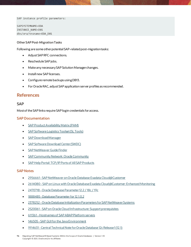SAP instance profile parameters:

SAPSYSTEMNAME=ODA INSTANCE\_NAME=D01 dbs/ora/tnsname=ODA\_D01

#### **Other SAP Post-Migration Tasks**

Following are some other potential SAP-related post-migration tasks:

- AdjustSAP RFC connections.
- Reschedule SAP jobs.
- Make any necessary SAP Solution Manager changes.
- Install new SAP licenses.
- Configure remote backups using DB13.
- For Oracle RAC, adjust SAP application server profiles as recommended.

# **References**

## **SAP**

Most of the SAP links require SAP login credentials for access.

## **SAP Documentation**

- [SAP Product Availability Matrix \(PAM\)](https://apps.support.sap.com/sap/support/pam)
- [SAP Software Logistics Toolset \(SL Tools\)](https://support.sap.com/en/tools/software-logistics-tools.html)
- [SAP Download Manager](https://support.sap.com/content/dam/support/en_us/library/ssp/my-support/help-for-sap-support-applications/online_help-download_manager.html)
- **[SAP Software Download Center \(SWDC\)](https://support.sap.com/swdc)**
- [SAP NetWeaver Guide Finder](https://cp.hana.ondemand.com/dps/d/preview/ec5624d5073d4c949b42bf284742748d/1.0/en-US/frameset.htm?576f5c1808de4d1abecbd6e503c9ba42.html)
- SAP Community Network: Oracle Community
- [SAP Help Portal: TCP/IP Ports of All SAP Products](https://help.sap.com/viewer/ports)

## **SAP Notes**

- 2956661 SAP NetWeaver on Oracle Database Exadata Cloud@Customer
- 2614080 SAP on Linux with Oracle Database Exadata Cloud@Customer: Enhanced Monitoring
- 2470718 [-Oracle Database Parameter 12.2 / 18c](https://launchpad.support.sap.com/#/notes/2470718) / 19c
- [1888485 -Database Parameter for 12.1.0.2](https://launchpad.support.sap.com/#/notes/1888485)
- [2378252 -Oracle Database Initialization Parameters for SAP NetWeaver Systems](https://launchpad.support.sap.com/#/notes/2378252)
- [2520061 -SAP on Oracle Cloud Infrastructure: Support prerequisites](https://launchpad.support.sap.com/#/notes/2520061)
- [611361 -Hostnames of SAP ABAP Platform servers](https://launchpad.support.sap.com/#/notes/611361)
- 146505 SAP GUI for the Java Environment
- [1914631 -Central Technical Note for Oracle Database 12c Release 1 \(12.1\)](https://launchpad.support.sap.com/#/notes/1914631)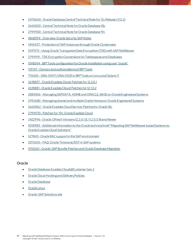- [2470660 -Oracle Database Central Technical Note for 12c Release 2 \(12.2\)](https://launchpad.support.sap.com/#/notes/2470660)
- [2660020 -Central Technical Note for Oracle Database 18c](https://launchpad.support.sap.com/#/notes/2660020)
- [2799900-Central Technical Note for Oracle Database 19c](https://launchpad.support.sap.com/#/notes/2799900)
- [1868094 -Overview: Oracle Security SAP Notes](https://launchpad.support.sap.com/#/notes/1868094)
- [1496927 -Protection of SAP instances through Oracle Clusterware](https://launchpad.support.sap.com/#/notes/1496927)
- [2591575 -Using Oracle Transparent Data Encryption \(TDE\) with SAP NetWeaver](https://launchpad.support.sap.com/#/notes/2591575)
- [2799991 -TDE Encryption Conversions for Tablespaces and Databases](https://launchpad.support.sap.com/#/notes/2799991)
- [1598594 -BR\\*Tools configuration for Oracle installation using user "oracle"](https://launchpad.support.sap.com/#/notes/1598594)
- [113747 -Owners and authorizations of BR\\*Tools](https://launchpad.support.sap.com/#/notes/113747)
- 776505 [ORA-01017/ORA-01031 in BR\\*Tools on Linux and Solaris 11](https://launchpad.support.sap.com/#/notes/776505)
- [2618837 -Oracle Exadata Cloud: Patches for 12.2.0.1](https://launchpad.support.sap.com/#/notes/2618837)
- [2618881 -Oracle Exadata Cloud: Patches for 12.1.0.2](https://launchpad.support.sap.com/#/notes/2618881)
- 2884306 Managing SAPDATA\_HOME and ORACLE\_BASE on Oracle Engineered Systems
- [2992680 -Managing shared and multiple Oracle Homes on Oracle Engineered Systems](https://launchpad.support.sap.com/#/notes/2992680)
- [2660062 -Oracle Exadata Cloud Service: Patches for Oracle 18c](https://launchpad.support.sap.com/#/notes/2660062)
- [2799970 -Patches for 19c: Oracle Exadata Cloud](https://launchpad.support.sap.com/#/notes/2799970)
- [2422996 -Oracle: OPatch Versions 12.2.0.1.8, 11.2.0.3.18 and Newer](https://launchpad.support.sap.com/#/notes/2422996)
- [3018983 -Additional information to the Oracle technical brief "Migrating SAP NetWeaver based Systems to](https://launchpad.support.sap.com/#/notes/3018983)  [Oracle Exadata Cloud Solutions"](https://launchpad.support.sap.com/#/notes/3018983)
- [527843 -Oracle RAC support in the SAP environment](https://launchpad.support.sap.com/#/notes/527843)
- 2072655 [FAQ: Oracle Timezone/DST in SAP systems](https://launchpad.support.sap.com/#/notes/2072655)
- [3110260 -Oracle: SAP Bundle Patches and Oracle Database Migration](https://launchpad.support.sap.com/#/notes/3110260)

## **Oracle**

- [Oracle Database Exadata Cloud@Customer](https://docs.oracle.com/en/engineered-systems/exadata-cloud-at-customer/19/eccad/eccmanagingvmclusters.html) Gen 2
- [Oracle Cloud Hosting and Delivery Policies](http://www.oracle.com/us/corporate/contracts/ocloud-hosting-delivery-policies-3089853.pdf)
- **[Oracle Database](http://docs.oracle.com/en/database/)**
- [Oracle Linux](http://docs.oracle.com/en/operating-systems/linux.html)
- [Oracle-SAP Solutions site](http://www.oracle.com/us/solutions/sap/introduction/overview/index.html)